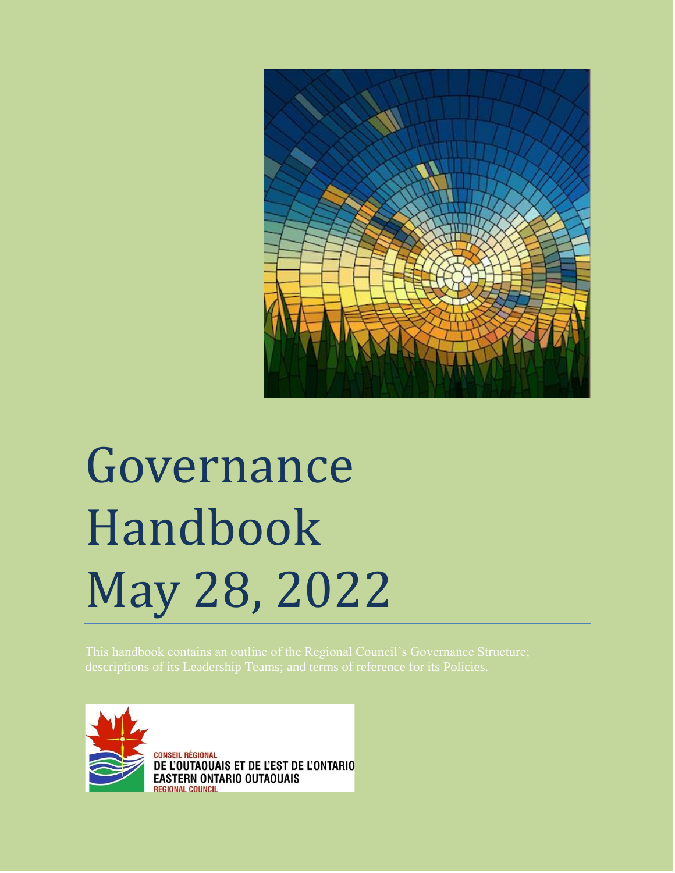

# Governance Handbook May 28, 2022



**CONSEIL RÉGIONAL** DE L'OUTAOUAIS ET DE L'EST DE L'ONTARIO **EASTERN ONTARIO OUTAOUAIS REGIONAL COUNCIL**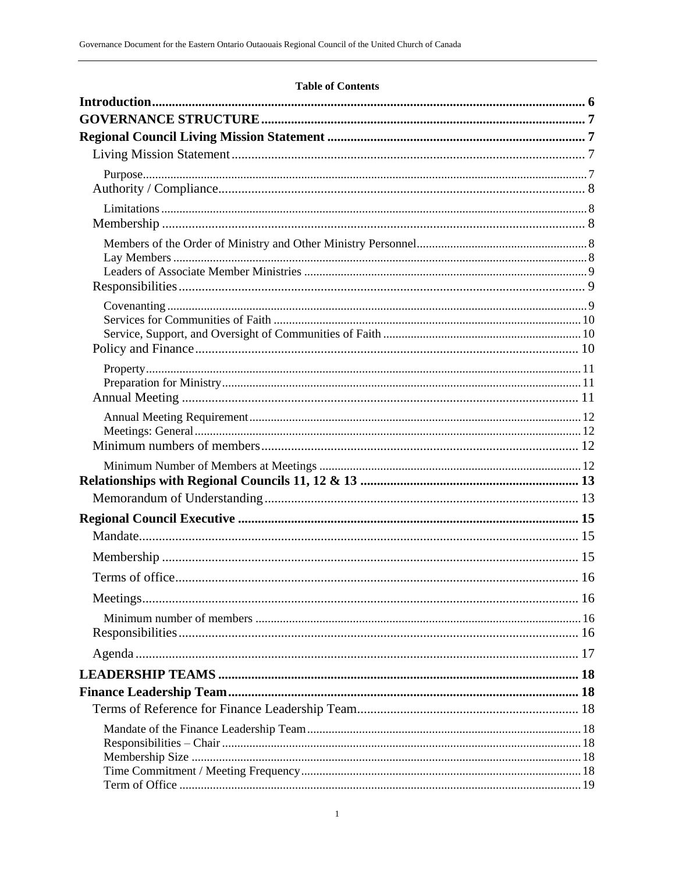#### **Table of Contents**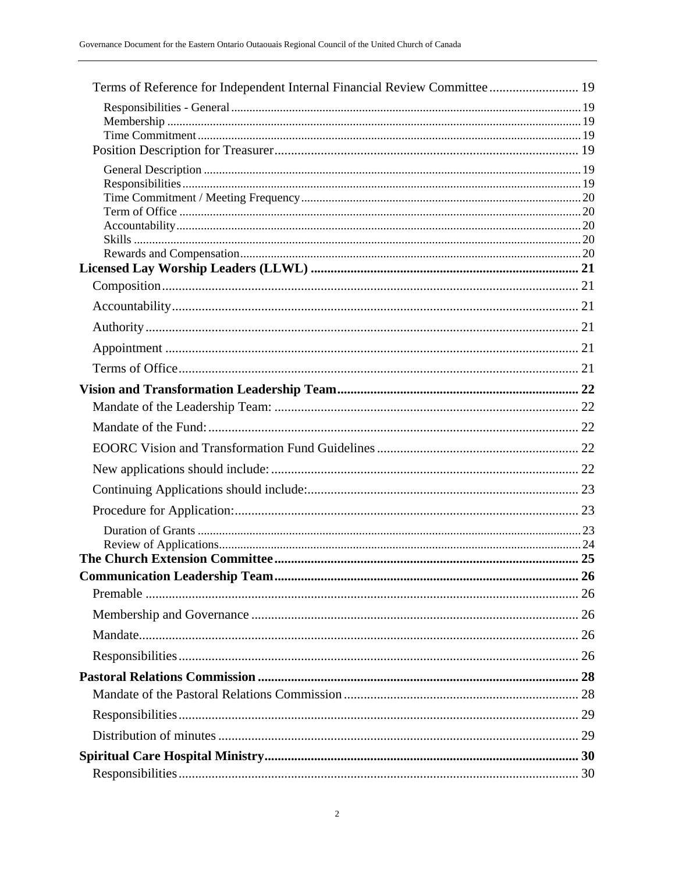| Terms of Reference for Independent Internal Financial Review Committee 19 |  |
|---------------------------------------------------------------------------|--|
|                                                                           |  |
|                                                                           |  |
|                                                                           |  |
|                                                                           |  |
|                                                                           |  |
|                                                                           |  |
|                                                                           |  |
|                                                                           |  |
|                                                                           |  |
|                                                                           |  |
|                                                                           |  |
|                                                                           |  |
|                                                                           |  |
|                                                                           |  |
|                                                                           |  |
|                                                                           |  |
|                                                                           |  |
|                                                                           |  |
|                                                                           |  |
|                                                                           |  |
|                                                                           |  |
|                                                                           |  |
|                                                                           |  |
|                                                                           |  |
|                                                                           |  |
|                                                                           |  |
|                                                                           |  |
|                                                                           |  |
|                                                                           |  |
|                                                                           |  |
|                                                                           |  |
|                                                                           |  |
|                                                                           |  |
|                                                                           |  |
|                                                                           |  |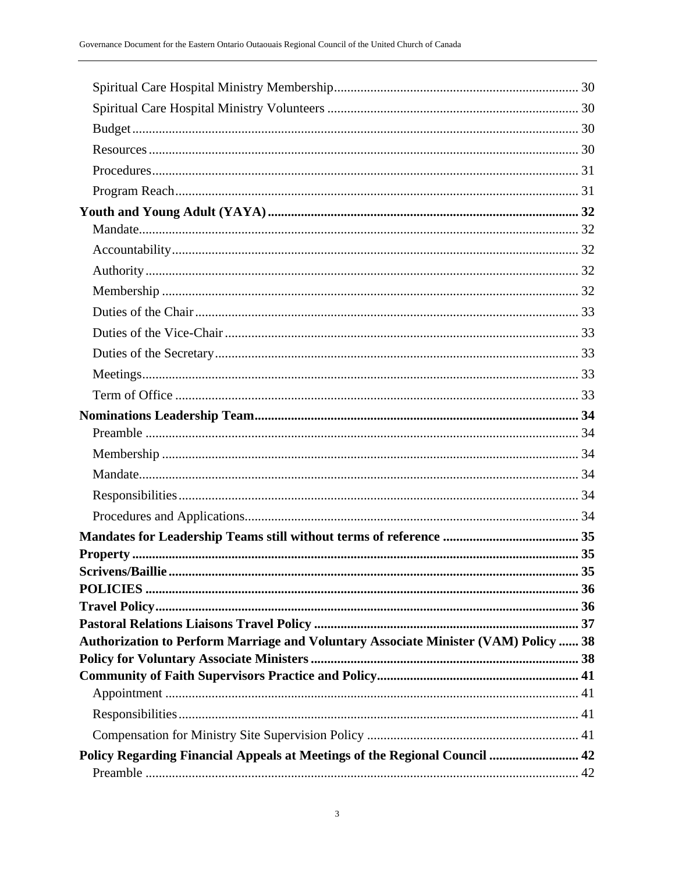| Authorization to Perform Marriage and Voluntary Associate Minister (VAM) Policy  38 |  |
|-------------------------------------------------------------------------------------|--|
|                                                                                     |  |
|                                                                                     |  |
|                                                                                     |  |
|                                                                                     |  |
|                                                                                     |  |
| Policy Regarding Financial Appeals at Meetings of the Regional Council  42          |  |
|                                                                                     |  |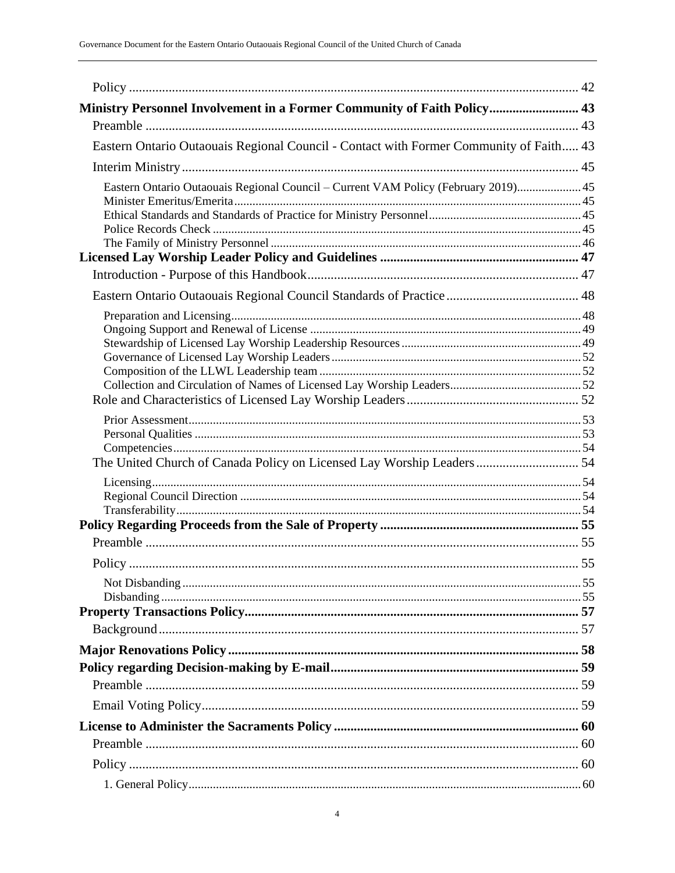| Ministry Personnel Involvement in a Former Community of Faith Policy 43                |  |
|----------------------------------------------------------------------------------------|--|
|                                                                                        |  |
| Eastern Ontario Outaouais Regional Council - Contact with Former Community of Faith 43 |  |
|                                                                                        |  |
| Eastern Ontario Outaouais Regional Council - Current VAM Policy (February 2019) 45     |  |
|                                                                                        |  |
|                                                                                        |  |
|                                                                                        |  |
|                                                                                        |  |
|                                                                                        |  |
|                                                                                        |  |
|                                                                                        |  |
|                                                                                        |  |
|                                                                                        |  |
|                                                                                        |  |
|                                                                                        |  |
|                                                                                        |  |
|                                                                                        |  |
|                                                                                        |  |
|                                                                                        |  |
|                                                                                        |  |
|                                                                                        |  |
|                                                                                        |  |
|                                                                                        |  |
|                                                                                        |  |
|                                                                                        |  |
|                                                                                        |  |
|                                                                                        |  |
|                                                                                        |  |
|                                                                                        |  |
|                                                                                        |  |
|                                                                                        |  |
|                                                                                        |  |
|                                                                                        |  |
|                                                                                        |  |
|                                                                                        |  |
|                                                                                        |  |
|                                                                                        |  |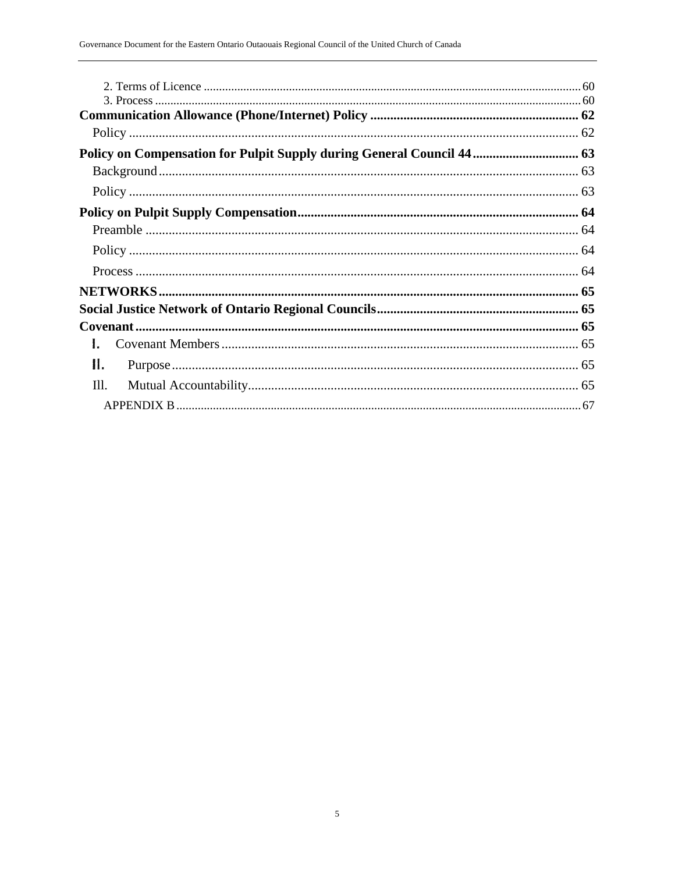| Policy on Compensation for Pulpit Supply during General Council 44 63 |  |
|-----------------------------------------------------------------------|--|
|                                                                       |  |
|                                                                       |  |
|                                                                       |  |
|                                                                       |  |
|                                                                       |  |
|                                                                       |  |
|                                                                       |  |
|                                                                       |  |
|                                                                       |  |
| 1.                                                                    |  |
| Н.                                                                    |  |
| III.                                                                  |  |
|                                                                       |  |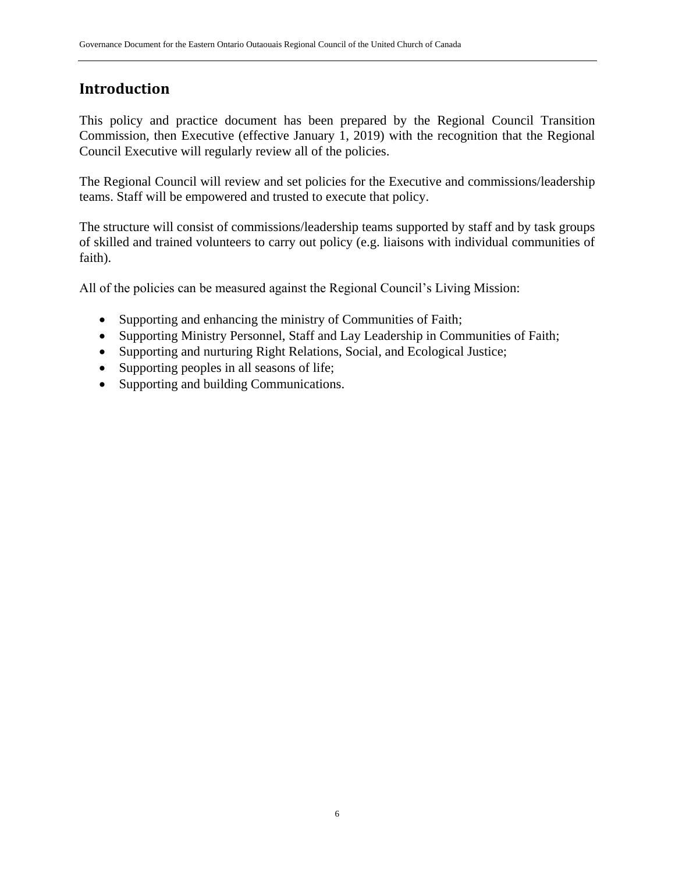## <span id="page-6-0"></span>**Introduction**

This policy and practice document has been prepared by the Regional Council Transition Commission, then Executive (effective January 1, 2019) with the recognition that the Regional Council Executive will regularly review all of the policies.

The Regional Council will review and set policies for the Executive and commissions/leadership teams. Staff will be empowered and trusted to execute that policy.

The structure will consist of commissions/leadership teams supported by staff and by task groups of skilled and trained volunteers to carry out policy (e.g. liaisons with individual communities of faith).

All of the policies can be measured against the Regional Council's Living Mission:

- Supporting and enhancing the ministry of Communities of Faith;
- Supporting Ministry Personnel, Staff and Lay Leadership in Communities of Faith;
- Supporting and nurturing Right Relations, Social, and Ecological Justice;
- Supporting peoples in all seasons of life;
- Supporting and building Communications.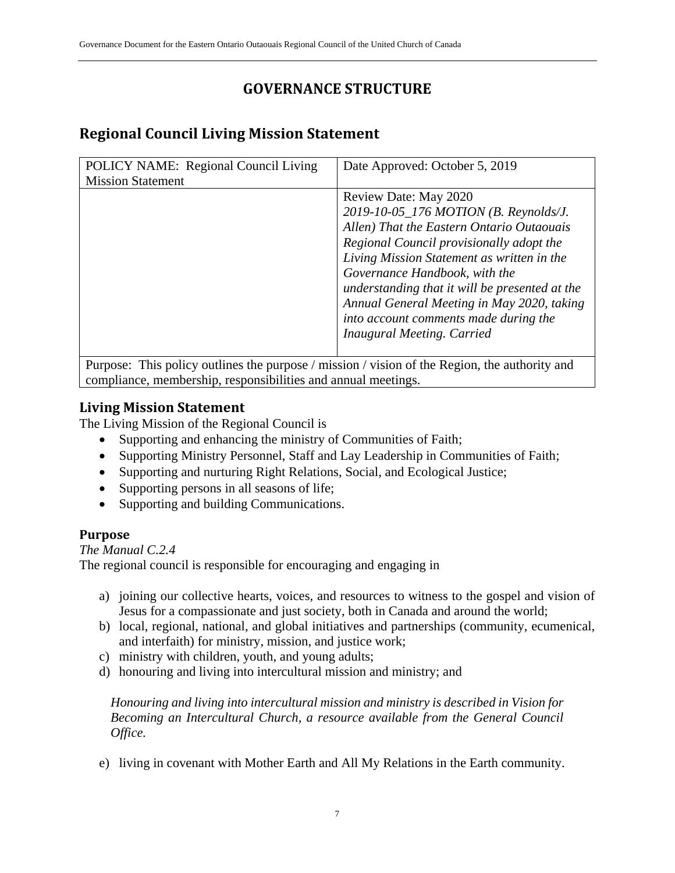## **GOVERNANCE STRUCTURE**

## <span id="page-7-1"></span><span id="page-7-0"></span>**Regional Council Living Mission Statement**

| POLICY NAME: Regional Council Living                                                          | Date Approved: October 5, 2019                 |
|-----------------------------------------------------------------------------------------------|------------------------------------------------|
| <b>Mission Statement</b>                                                                      |                                                |
|                                                                                               | Review Date: May 2020                          |
|                                                                                               | 2019-10-05_176 MOTION (B. Reynolds/J.          |
|                                                                                               | Allen) That the Eastern Ontario Outaouais      |
|                                                                                               | Regional Council provisionally adopt the       |
|                                                                                               | Living Mission Statement as written in the     |
|                                                                                               | Governance Handbook, with the                  |
|                                                                                               | understanding that it will be presented at the |
|                                                                                               | Annual General Meeting in May 2020, taking     |
|                                                                                               | into account comments made during the          |
|                                                                                               | <b>Inaugural Meeting. Carried</b>              |
|                                                                                               |                                                |
| Purpose: This policy outlines the purpose / mission / vision of the Region, the authority and |                                                |

compliance, membership, responsibilities and annual meetings.

## <span id="page-7-2"></span>**Living Mission Statement**

The Living Mission of the Regional Council is

- Supporting and enhancing the ministry of Communities of Faith;
- Supporting Ministry Personnel, Staff and Lay Leadership in Communities of Faith;
- Supporting and nurturing Right Relations, Social, and Ecological Justice;
- Supporting persons in all seasons of life;
- Supporting and building Communications.

## <span id="page-7-3"></span>**Purpose**

#### *The Manual C.2.4*

The regional council is responsible for encouraging and engaging in

- a) joining our collective hearts, voices, and resources to witness to the gospel and vision of Jesus for a compassionate and just society, both in Canada and around the world;
- b) local, regional, national, and global initiatives and partnerships (community, ecumenical, and interfaith) for ministry, mission, and justice work;
- c) ministry with children, youth, and young adults;
- d) honouring and living into intercultural mission and ministry; and

*Honouring and living into intercultural mission and ministry is described in Vision for Becoming an Intercultural Church, a resource available from the General Council Office.* 

e) living in covenant with Mother Earth and All My Relations in the Earth community.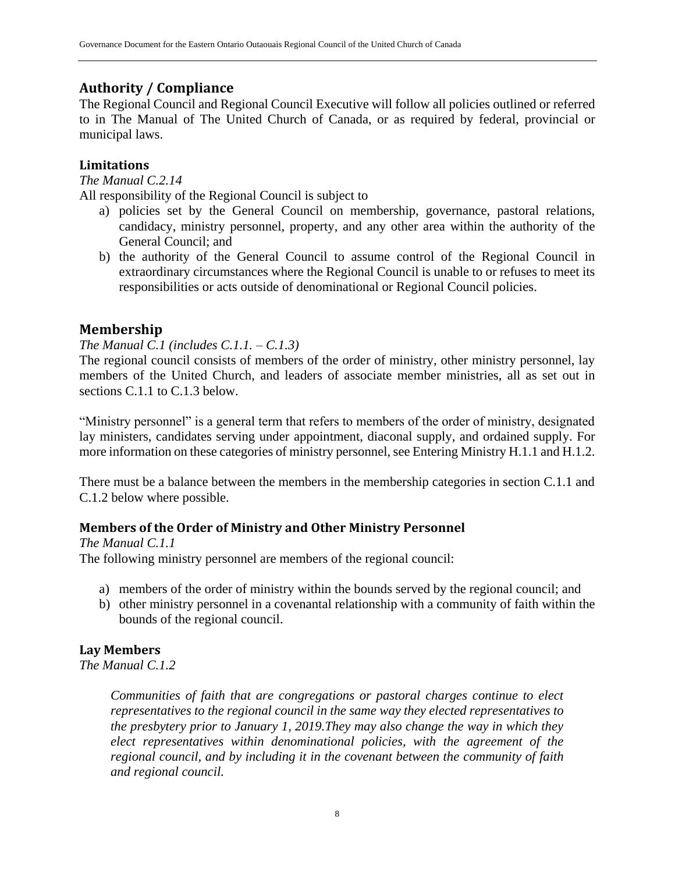## <span id="page-8-0"></span>**Authority / Compliance**

The Regional Council and Regional Council Executive will follow all policies outlined or referred to in The Manual of The United Church of Canada, or as required by federal, provincial or municipal laws.

#### <span id="page-8-1"></span>**Limitations**

*The Manual C.2.14* 

All responsibility of the Regional Council is subject to

- a) policies set by the General Council on membership, governance, pastoral relations, candidacy, ministry personnel, property, and any other area within the authority of the General Council; and
- b) the authority of the General Council to assume control of the Regional Council in extraordinary circumstances where the Regional Council is unable to or refuses to meet its responsibilities or acts outside of denominational or Regional Council policies.

## <span id="page-8-2"></span>**Membership**

#### *The Manual C.1 (includes C.1.1. – C.1.3)*

The regional council consists of members of the order of ministry, other ministry personnel, lay members of the United Church, and leaders of associate member ministries, all as set out in sections C.1.1 to C.1.3 below.

"Ministry personnel" is a general term that refers to members of the order of ministry, designated lay ministers, candidates serving under appointment, diaconal supply, and ordained supply. For more information on these categories of ministry personnel, see Entering Ministry H.1.1 and H.1.2.

There must be a balance between the members in the membership categories in section C.1.1 and C.1.2 below where possible.

#### <span id="page-8-3"></span>**Members of the Order of Ministry and Other Ministry Personnel**

*The Manual C.1.1*  The following ministry personnel are members of the regional council:

- a) members of the order of ministry within the bounds served by the regional council; and
- b) other ministry personnel in a covenantal relationship with a community of faith within the bounds of the regional council.

#### <span id="page-8-4"></span>**Lay Members**

*The Manual C.1.2* 

*Communities of faith that are congregations or pastoral charges continue to elect representatives to the regional council in the same way they elected representatives to the presbytery prior to January 1, 2019.They may also change the way in which they elect representatives within denominational policies, with the agreement of the regional council, and by including it in the covenant between the community of faith and regional council.*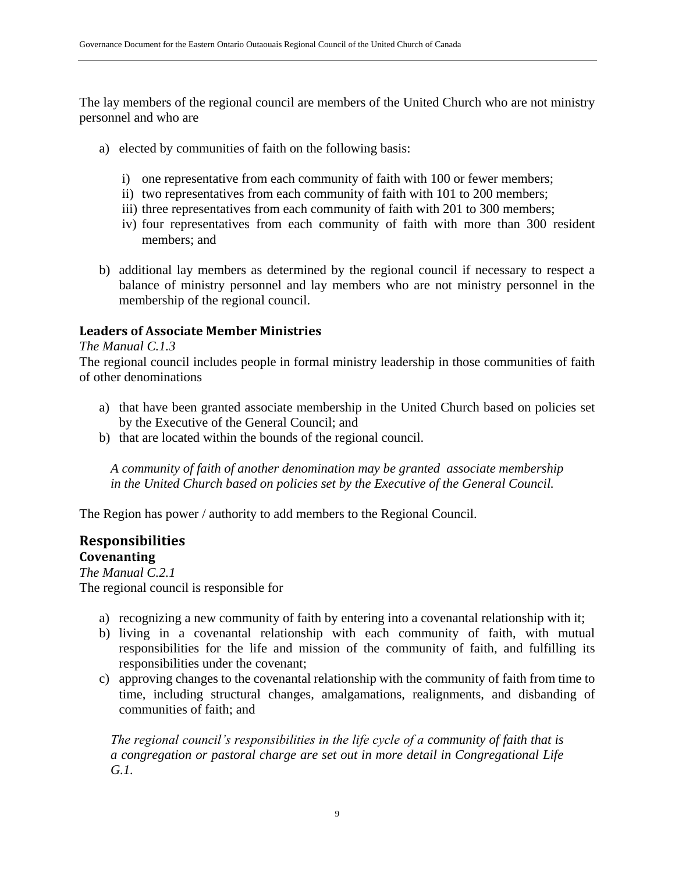The lay members of the regional council are members of the United Church who are not ministry personnel and who are

- a) elected by communities of faith on the following basis:
	- i) one representative from each community of faith with 100 or fewer members;
	- ii) two representatives from each community of faith with 101 to 200 members;
	- iii) three representatives from each community of faith with 201 to 300 members;
	- iv) four representatives from each community of faith with more than 300 resident members; and
- b) additional lay members as determined by the regional council if necessary to respect a balance of ministry personnel and lay members who are not ministry personnel in the membership of the regional council.

## <span id="page-9-0"></span>**Leaders of Associate Member Ministries**

#### *The Manual C.1.3*

The regional council includes people in formal ministry leadership in those communities of faith of other denominations

- a) that have been granted associate membership in the United Church based on policies set by the Executive of the General Council; and
- b) that are located within the bounds of the regional council.

*A community of faith of another denomination may be granted associate membership in the United Church based on policies set by the Executive of the General Council.*

The Region has power / authority to add members to the Regional Council.

## <span id="page-9-2"></span><span id="page-9-1"></span>**Responsibilities Covenanting**

*The Manual C.2.1* The regional council is responsible for

- a) recognizing a new community of faith by entering into a covenantal relationship with it;
- b) living in a covenantal relationship with each community of faith, with mutual responsibilities for the life and mission of the community of faith, and fulfilling its responsibilities under the covenant;
- c) approving changes to the covenantal relationship with the community of faith from time to time, including structural changes, amalgamations, realignments, and disbanding of communities of faith; and

*The regional council's responsibilities in the life cycle of a community of faith that is a congregation or pastoral charge are set out in more detail in Congregational Life G.1.*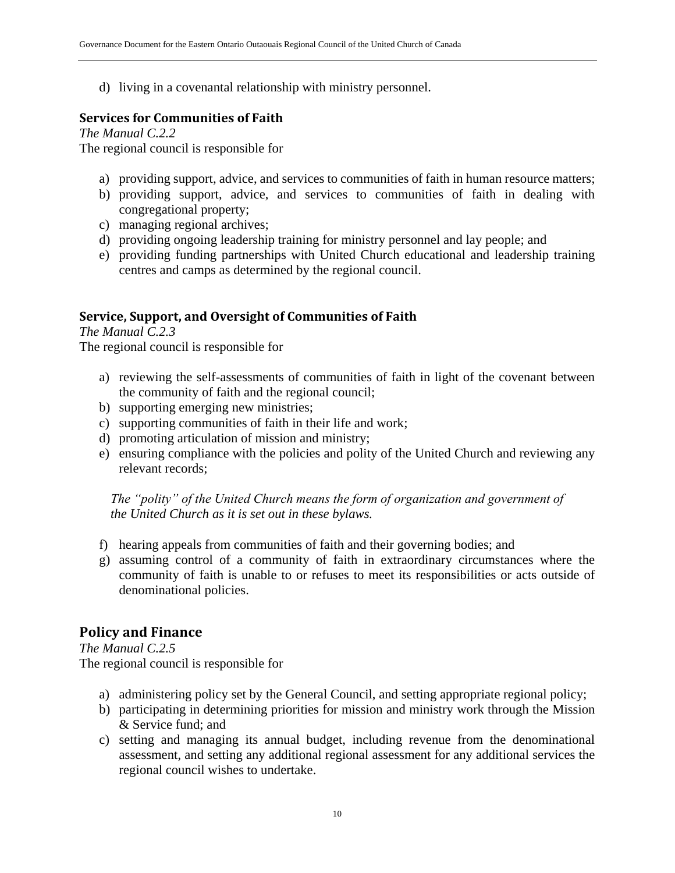d) living in a covenantal relationship with ministry personnel.

## <span id="page-10-0"></span>**Services for Communities of Faith**

*The Manual C.2.2* The regional council is responsible for

- a) providing support, advice, and services to communities of faith in human resource matters;
- b) providing support, advice, and services to communities of faith in dealing with congregational property;
- c) managing regional archives;
- d) providing ongoing leadership training for ministry personnel and lay people; and
- e) providing funding partnerships with United Church educational and leadership training centres and camps as determined by the regional council.

#### <span id="page-10-1"></span>**Service, Support, and Oversight of Communities of Faith**

*The Manual C.2.3* 

The regional council is responsible for

- a) reviewing the self-assessments of communities of faith in light of the covenant between the community of faith and the regional council;
- b) supporting emerging new ministries;
- c) supporting communities of faith in their life and work;
- d) promoting articulation of mission and ministry;
- e) ensuring compliance with the policies and polity of the United Church and reviewing any relevant records;

*The "polity" of the United Church means the form of organization and government of the United Church as it is set out in these bylaws.* 

- f) hearing appeals from communities of faith and their governing bodies; and
- g) assuming control of a community of faith in extraordinary circumstances where the community of faith is unable to or refuses to meet its responsibilities or acts outside of denominational policies.

## <span id="page-10-2"></span>**Policy and Finance**

*The Manual C.2.5* The regional council is responsible for

- a) administering policy set by the General Council, and setting appropriate regional policy;
- b) participating in determining priorities for mission and ministry work through the Mission & Service fund; and
- c) setting and managing its annual budget, including revenue from the denominational assessment, and setting any additional regional assessment for any additional services the regional council wishes to undertake.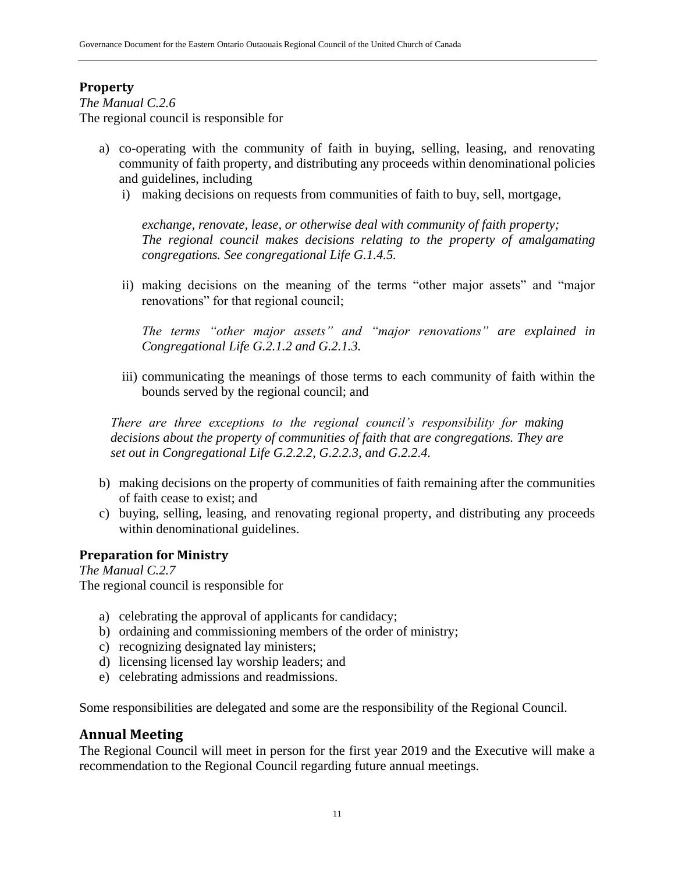#### <span id="page-11-0"></span>**Property**

*The Manual C.2.6* The regional council is responsible for

- a) co-operating with the community of faith in buying, selling, leasing, and renovating community of faith property, and distributing any proceeds within denominational policies and guidelines, including
	- i) making decisions on requests from communities of faith to buy, sell, mortgage,

*exchange, renovate, lease, or otherwise deal with community of faith property; The regional council makes decisions relating to the property of amalgamating congregations. See congregational Life G.1.4.5.* 

ii) making decisions on the meaning of the terms "other major assets" and "major renovations" for that regional council;

*The terms "other major assets" and "major renovations" are explained in Congregational Life G.2.1.2 and G.2.1.3.* 

iii) communicating the meanings of those terms to each community of faith within the bounds served by the regional council; and

*There are three exceptions to the regional council's responsibility for making decisions about the property of communities of faith that are congregations. They are set out in Congregational Life G.2.2.2, G.2.2.3, and G.2.2.4.* 

- b) making decisions on the property of communities of faith remaining after the communities of faith cease to exist; and
- c) buying, selling, leasing, and renovating regional property, and distributing any proceeds within denominational guidelines.

#### <span id="page-11-1"></span>**Preparation for Ministry**

*The Manual C.2.7* The regional council is responsible for

- a) celebrating the approval of applicants for candidacy;
- b) ordaining and commissioning members of the order of ministry;
- c) recognizing designated lay ministers;
- d) licensing licensed lay worship leaders; and
- e) celebrating admissions and readmissions.

Some responsibilities are delegated and some are the responsibility of the Regional Council.

#### <span id="page-11-2"></span>**Annual Meeting**

The Regional Council will meet in person for the first year 2019 and the Executive will make a recommendation to the Regional Council regarding future annual meetings.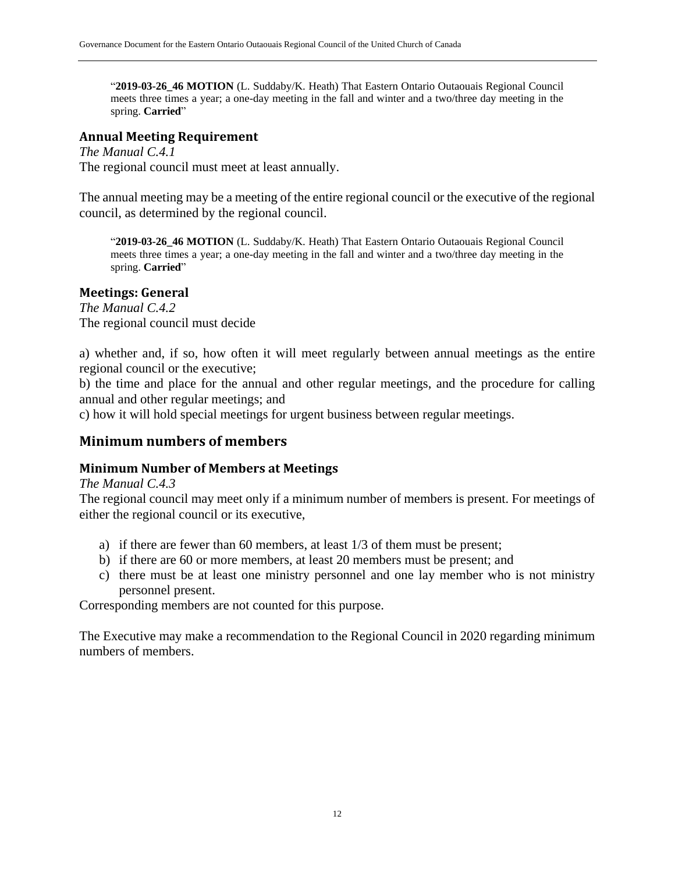"**2019-03-26\_46 MOTION** (L. Suddaby/K. Heath) That Eastern Ontario Outaouais Regional Council meets three times a year; a one-day meeting in the fall and winter and a two/three day meeting in the spring. **Carried**"

#### <span id="page-12-0"></span>**Annual Meeting Requirement**

*The Manual C.4.1*  The regional council must meet at least annually.

The annual meeting may be a meeting of the entire regional council or the executive of the regional council, as determined by the regional council.

"2019-03-26 46 MOTION (L. Suddaby/K. Heath) That Eastern Ontario Outaouais Regional Council meets three times a year; a one-day meeting in the fall and winter and a two/three day meeting in the spring. **Carried**"

#### <span id="page-12-1"></span>**Meetings: General**

*The Manual C.4.2*  The regional council must decide

a) whether and, if so, how often it will meet regularly between annual meetings as the entire regional council or the executive;

b) the time and place for the annual and other regular meetings, and the procedure for calling annual and other regular meetings; and

c) how it will hold special meetings for urgent business between regular meetings.

#### <span id="page-12-2"></span>**Minimum numbers of members**

#### <span id="page-12-3"></span>**Minimum Number of Members at Meetings**

*The Manual C.4.3* 

The regional council may meet only if a minimum number of members is present. For meetings of either the regional council or its executive,

- a) if there are fewer than 60 members, at least 1/3 of them must be present;
- b) if there are 60 or more members, at least 20 members must be present; and
- c) there must be at least one ministry personnel and one lay member who is not ministry personnel present.

Corresponding members are not counted for this purpose.

The Executive may make a recommendation to the Regional Council in 2020 regarding minimum numbers of members.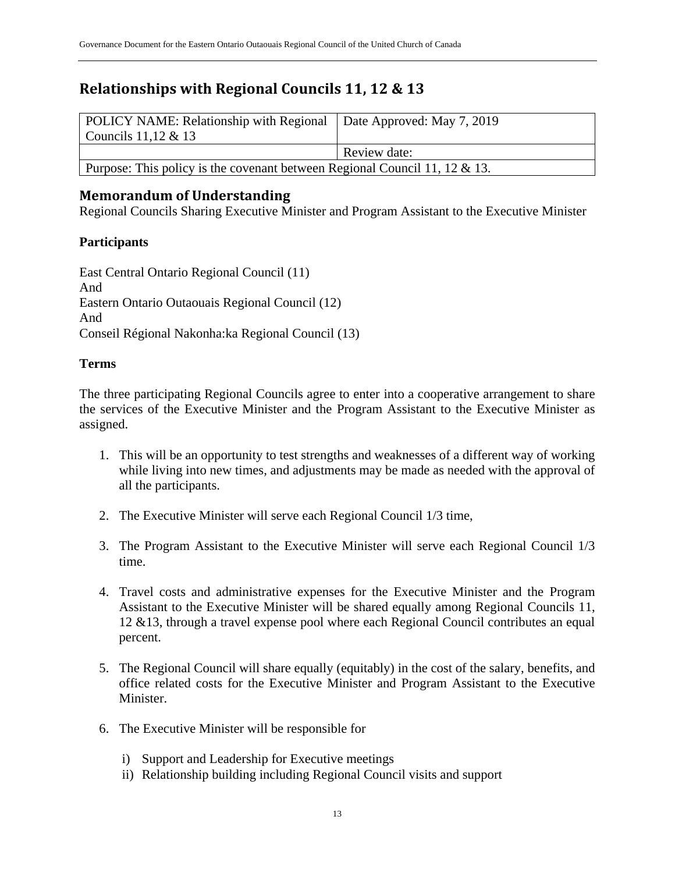## <span id="page-13-0"></span>**Relationships with Regional Councils 11, 12 & 13**

| POLICY NAME: Relationship with Regional   Date Approved: May 7, 2019          |              |
|-------------------------------------------------------------------------------|--------------|
| Councils $11,12 \& 13$                                                        |              |
|                                                                               | Review date: |
| Purpose: This policy is the covenant between Regional Council 11, 12 $\&$ 13. |              |

#### <span id="page-13-1"></span>**Memorandum of Understanding**

Regional Councils Sharing Executive Minister and Program Assistant to the Executive Minister

#### **Participants**

East Central Ontario Regional Council (11) And Eastern Ontario Outaouais Regional Council (12) And Conseil Régional Nakonha:ka Regional Council (13)

#### **Terms**

The three participating Regional Councils agree to enter into a cooperative arrangement to share the services of the Executive Minister and the Program Assistant to the Executive Minister as assigned.

- 1. This will be an opportunity to test strengths and weaknesses of a different way of working while living into new times, and adjustments may be made as needed with the approval of all the participants.
- 2. The Executive Minister will serve each Regional Council 1/3 time,
- 3. The Program Assistant to the Executive Minister will serve each Regional Council 1/3 time.
- 4. Travel costs and administrative expenses for the Executive Minister and the Program Assistant to the Executive Minister will be shared equally among Regional Councils 11, 12 &13, through a travel expense pool where each Regional Council contributes an equal percent.
- 5. The Regional Council will share equally (equitably) in the cost of the salary, benefits, and office related costs for the Executive Minister and Program Assistant to the Executive Minister.
- 6. The Executive Minister will be responsible for
	- i) Support and Leadership for Executive meetings
	- ii) Relationship building including Regional Council visits and support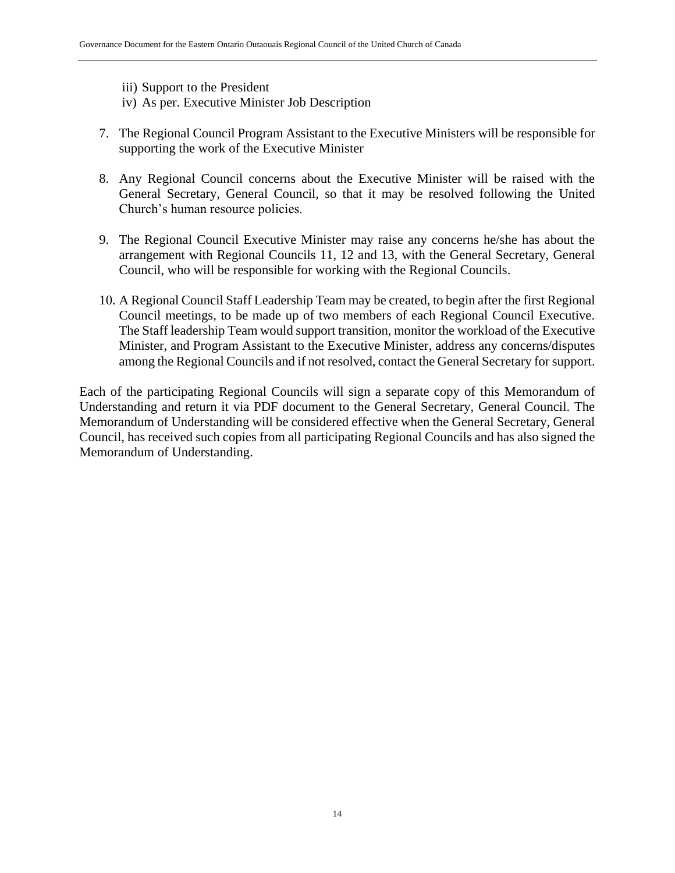- iii) Support to the President
- iv) As per. Executive Minister Job Description
- 7. The Regional Council Program Assistant to the Executive Ministers will be responsible for supporting the work of the Executive Minister
- 8. Any Regional Council concerns about the Executive Minister will be raised with the General Secretary, General Council, so that it may be resolved following the United Church's human resource policies.
- 9. The Regional Council Executive Minister may raise any concerns he/she has about the arrangement with Regional Councils 11, 12 and 13, with the General Secretary, General Council, who will be responsible for working with the Regional Councils.
- 10. A Regional Council Staff Leadership Team may be created, to begin after the first Regional Council meetings, to be made up of two members of each Regional Council Executive. The Staff leadership Team would support transition, monitor the workload of the Executive Minister, and Program Assistant to the Executive Minister, address any concerns/disputes among the Regional Councils and if not resolved, contact the General Secretary for support.

Each of the participating Regional Councils will sign a separate copy of this Memorandum of Understanding and return it via PDF document to the General Secretary, General Council. The Memorandum of Understanding will be considered effective when the General Secretary, General Council, has received such copies from all participating Regional Councils and has also signed the Memorandum of Understanding.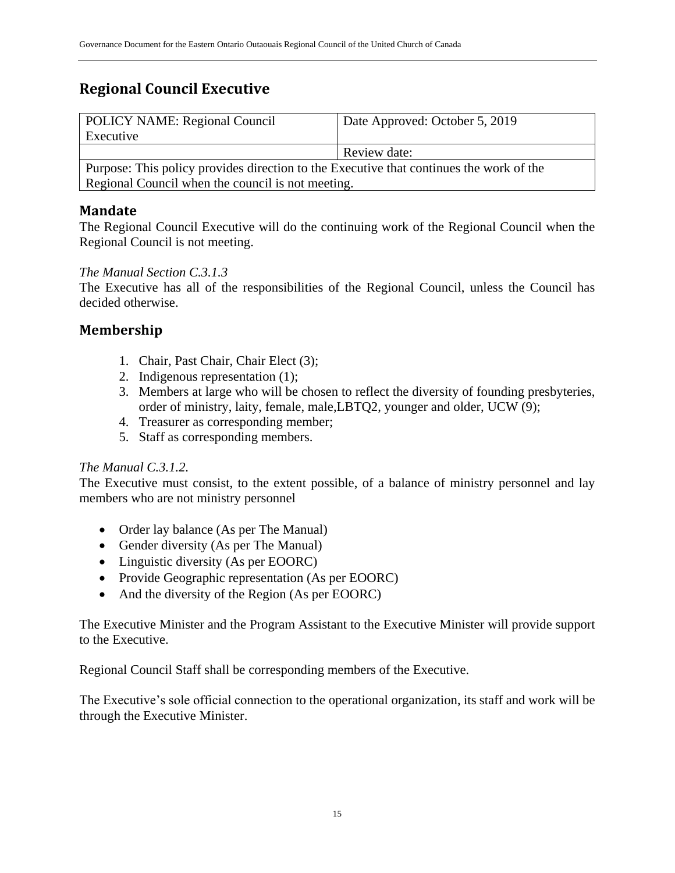## <span id="page-15-0"></span>**Regional Council Executive**

| <b>POLICY NAME: Regional Council</b>                                                    | Date Approved: October 5, 2019 |  |
|-----------------------------------------------------------------------------------------|--------------------------------|--|
| Executive                                                                               |                                |  |
|                                                                                         | Review date:                   |  |
| Purpose: This policy provides direction to the Executive that continues the work of the |                                |  |
| Regional Council when the council is not meeting.                                       |                                |  |

## <span id="page-15-1"></span>**Mandate**

The Regional Council Executive will do the continuing work of the Regional Council when the Regional Council is not meeting.

#### *The Manual Section C.3.1.3*

The Executive has all of the responsibilities of the Regional Council, unless the Council has decided otherwise.

## <span id="page-15-2"></span>**Membership**

- 1. Chair, Past Chair, Chair Elect (3);
- 2. Indigenous representation (1);
- 3. Members at large who will be chosen to reflect the diversity of founding presbyteries, order of ministry, laity, female, male,LBTQ2, younger and older, UCW (9);
- 4. Treasurer as corresponding member;
- 5. Staff as corresponding members.

#### *The Manual C.3.1.2.*

The Executive must consist, to the extent possible, of a balance of ministry personnel and lay members who are not ministry personnel

- Order lay balance (As per The Manual)
- Gender diversity (As per The Manual)
- Linguistic diversity (As per EOORC)
- Provide Geographic representation (As per EOORC)
- And the diversity of the Region (As per EOORC)

The Executive Minister and the Program Assistant to the Executive Minister will provide support to the Executive.

Regional Council Staff shall be corresponding members of the Executive.

The Executive's sole official connection to the operational organization, its staff and work will be through the Executive Minister.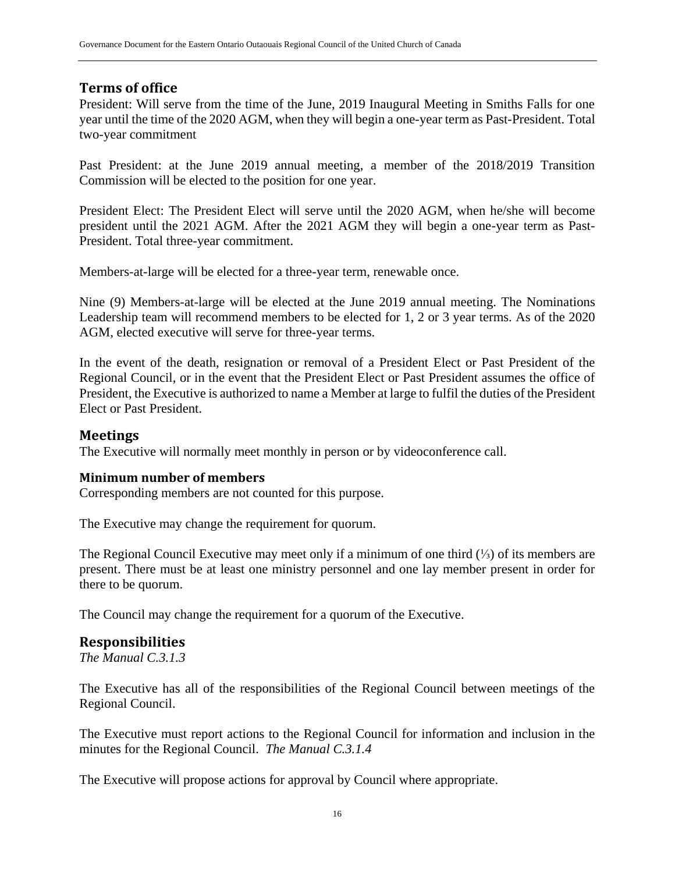#### <span id="page-16-0"></span>**Terms of office**

President: Will serve from the time of the June, 2019 Inaugural Meeting in Smiths Falls for one year until the time of the 2020 AGM, when they will begin a one-year term as Past-President. Total two-year commitment

Past President: at the June 2019 annual meeting, a member of the 2018/2019 Transition Commission will be elected to the position for one year.

President Elect: The President Elect will serve until the 2020 AGM, when he/she will become president until the 2021 AGM. After the 2021 AGM they will begin a one-year term as Past-President. Total three-year commitment.

Members-at-large will be elected for a three-year term, renewable once.

Nine (9) Members-at-large will be elected at the June 2019 annual meeting. The Nominations Leadership team will recommend members to be elected for 1, 2 or 3 year terms. As of the 2020 AGM, elected executive will serve for three-year terms.

In the event of the death, resignation or removal of a President Elect or Past President of the Regional Council, or in the event that the President Elect or Past President assumes the office of President, the Executive is authorized to name a Member at large to fulfil the duties of the President Elect or Past President.

#### <span id="page-16-1"></span>**Meetings**

The Executive will normally meet monthly in person or by videoconference call.

#### <span id="page-16-2"></span>**Minimum number of members**

Corresponding members are not counted for this purpose.

The Executive may change the requirement for quorum.

The Regional Council Executive may meet only if a minimum of one third (⅓) of its members are present. There must be at least one ministry personnel and one lay member present in order for there to be quorum.

The Council may change the requirement for a quorum of the Executive.

#### <span id="page-16-3"></span>**Responsibilities**

*The Manual C.3.1.3*

The Executive has all of the responsibilities of the Regional Council between meetings of the Regional Council.

The Executive must report actions to the Regional Council for information and inclusion in the minutes for the Regional Council. *The Manual C.3.1.4*

The Executive will propose actions for approval by Council where appropriate.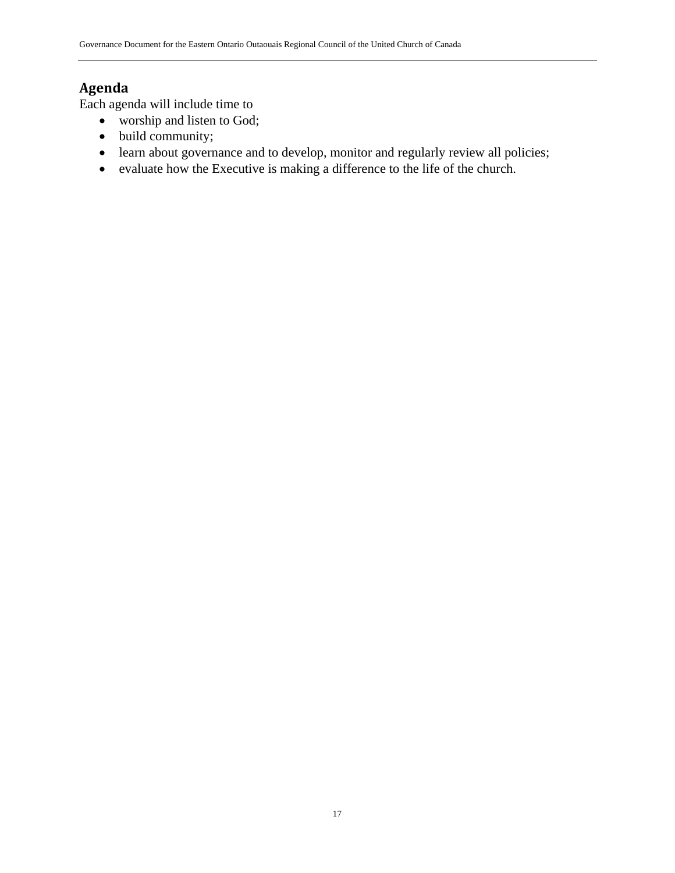## <span id="page-17-0"></span>**Agenda**

Each agenda will include time to

- worship and listen to God;
- build community;
- learn about governance and to develop, monitor and regularly review all policies;
- evaluate how the Executive is making a difference to the life of the church.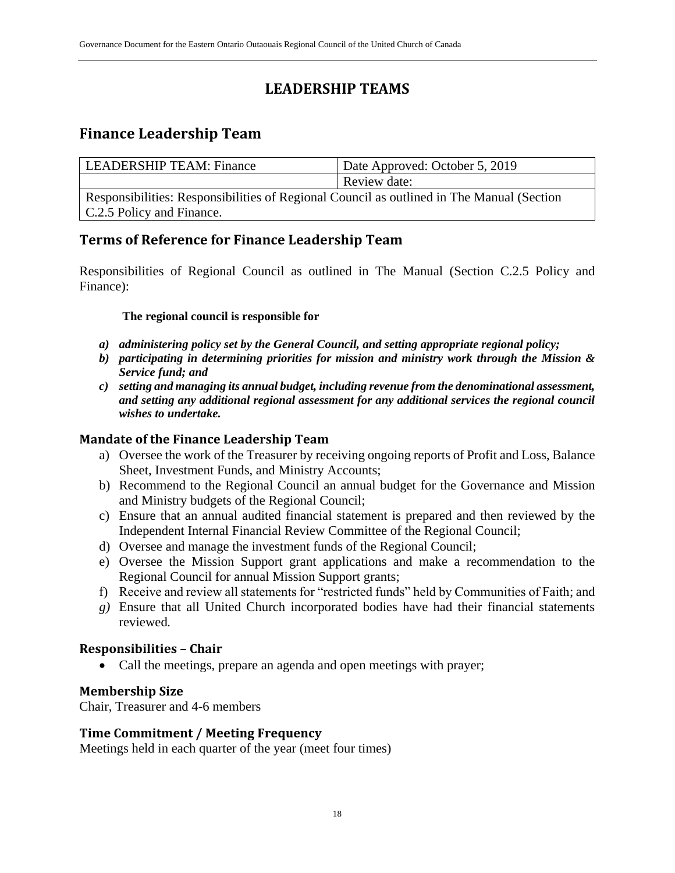## **LEADERSHIP TEAMS**

## <span id="page-18-1"></span><span id="page-18-0"></span>**Finance Leadership Team**

| LEADERSHIP TEAM: Finance                                                                  | Date Approved: October 5, 2019 |
|-------------------------------------------------------------------------------------------|--------------------------------|
|                                                                                           | Review date:                   |
| Responsibilities: Responsibilities of Regional Council as outlined in The Manual (Section |                                |
| C.2.5 Policy and Finance.                                                                 |                                |

#### <span id="page-18-2"></span>**Terms of Reference for Finance Leadership Team**

Responsibilities of Regional Council as outlined in The Manual (Section C.2.5 Policy and Finance):

#### **The regional council is responsible for**

- *a) administering policy set by the General Council, and setting appropriate regional policy;*
- *b) participating in determining priorities for mission and ministry work through the Mission & Service fund; and*
- *c) setting and managing its annual budget, including revenue from the denominational assessment, and setting any additional regional assessment for any additional services the regional council wishes to undertake.*

#### <span id="page-18-3"></span>**Mandate of the Finance Leadership Team**

- a) Oversee the work of the Treasurer by receiving ongoing reports of Profit and Loss, Balance Sheet, Investment Funds, and Ministry Accounts;
- b) Recommend to the Regional Council an annual budget for the Governance and Mission and Ministry budgets of the Regional Council;
- c) Ensure that an annual audited financial statement is prepared and then reviewed by the Independent Internal Financial Review Committee of the Regional Council;
- d) Oversee and manage the investment funds of the Regional Council;
- e) Oversee the Mission Support grant applications and make a recommendation to the Regional Council for annual Mission Support grants;
- f) Receive and review all statements for "restricted funds" held by Communities of Faith; and
- *g)* Ensure that all United Church incorporated bodies have had their financial statements reviewed*.*

#### <span id="page-18-4"></span>**Responsibilities – Chair**

• Call the meetings, prepare an agenda and open meetings with prayer;

#### <span id="page-18-5"></span>**Membership Size**

Chair, Treasurer and 4-6 members

#### <span id="page-18-6"></span>**Time Commitment / Meeting Frequency**

Meetings held in each quarter of the year (meet four times)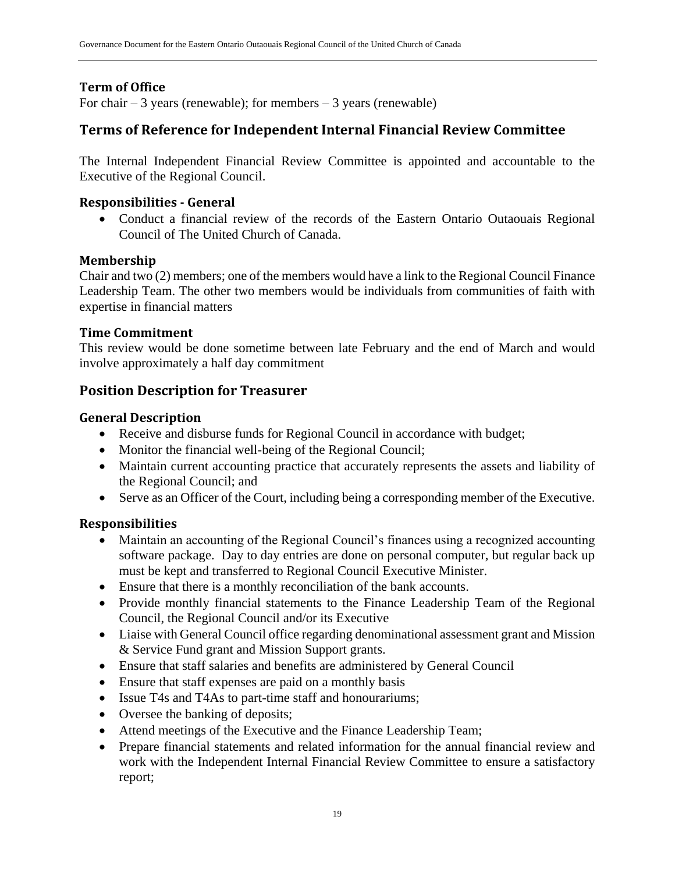#### <span id="page-19-0"></span>**Term of Office**

For chair  $-3$  years (renewable); for members  $-3$  years (renewable)

#### <span id="page-19-1"></span>**Terms of Reference for Independent Internal Financial Review Committee**

The Internal Independent Financial Review Committee is appointed and accountable to the Executive of the Regional Council.

#### <span id="page-19-2"></span>**Responsibilities - General**

• Conduct a financial review of the records of the Eastern Ontario Outaouais Regional Council of The United Church of Canada.

#### <span id="page-19-3"></span>**Membership**

Chair and two (2) members; one of the members would have a link to the Regional Council Finance Leadership Team. The other two members would be individuals from communities of faith with expertise in financial matters

#### <span id="page-19-4"></span>**Time Commitment**

This review would be done sometime between late February and the end of March and would involve approximately a half day commitment

#### <span id="page-19-5"></span>**Position Description for Treasurer**

#### <span id="page-19-6"></span>**General Description**

- Receive and disburse funds for Regional Council in accordance with budget;
- Monitor the financial well-being of the Regional Council;
- Maintain current accounting practice that accurately represents the assets and liability of the Regional Council; and
- Serve as an Officer of the Court, including being a corresponding member of the Executive.

#### <span id="page-19-7"></span>**Responsibilities**

- Maintain an accounting of the Regional Council's finances using a recognized accounting software package. Day to day entries are done on personal computer, but regular back up must be kept and transferred to Regional Council Executive Minister.
- Ensure that there is a monthly reconciliation of the bank accounts.
- Provide monthly financial statements to the Finance Leadership Team of the Regional Council, the Regional Council and/or its Executive
- Liaise with General Council office regarding denominational assessment grant and Mission & Service Fund grant and Mission Support grants.
- Ensure that staff salaries and benefits are administered by General Council
- Ensure that staff expenses are paid on a monthly basis
- Issue T4s and T4As to part-time staff and honourariums;
- Oversee the banking of deposits;
- Attend meetings of the Executive and the Finance Leadership Team;
- Prepare financial statements and related information for the annual financial review and work with the Independent Internal Financial Review Committee to ensure a satisfactory report;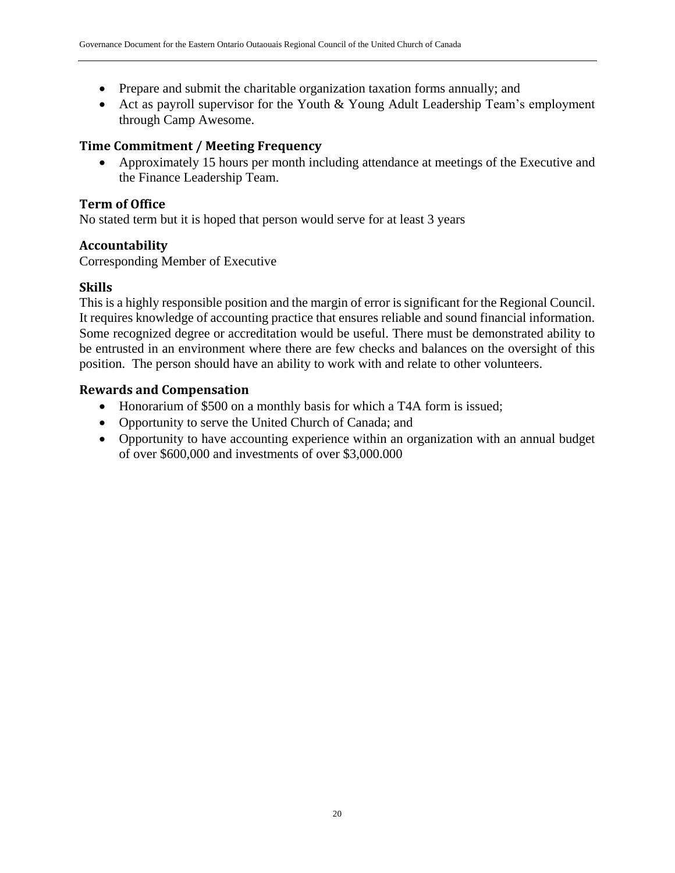- Prepare and submit the charitable organization taxation forms annually; and
- Act as payroll supervisor for the Youth & Young Adult Leadership Team's employment through Camp Awesome.

#### <span id="page-20-0"></span>**Time Commitment / Meeting Frequency**

• Approximately 15 hours per month including attendance at meetings of the Executive and the Finance Leadership Team.

#### <span id="page-20-1"></span>**Term of Office**

No stated term but it is hoped that person would serve for at least 3 years

#### <span id="page-20-2"></span>**Accountability**

Corresponding Member of Executive

#### <span id="page-20-3"></span>**Skills**

This is a highly responsible position and the margin of error is significant for the Regional Council. It requires knowledge of accounting practice that ensures reliable and sound financial information. Some recognized degree or accreditation would be useful. There must be demonstrated ability to be entrusted in an environment where there are few checks and balances on the oversight of this position. The person should have an ability to work with and relate to other volunteers.

#### <span id="page-20-4"></span>**Rewards and Compensation**

- Honorarium of \$500 on a monthly basis for which a T4A form is issued;
- Opportunity to serve the United Church of Canada; and
- Opportunity to have accounting experience within an organization with an annual budget of over \$600,000 and investments of over \$3,000.000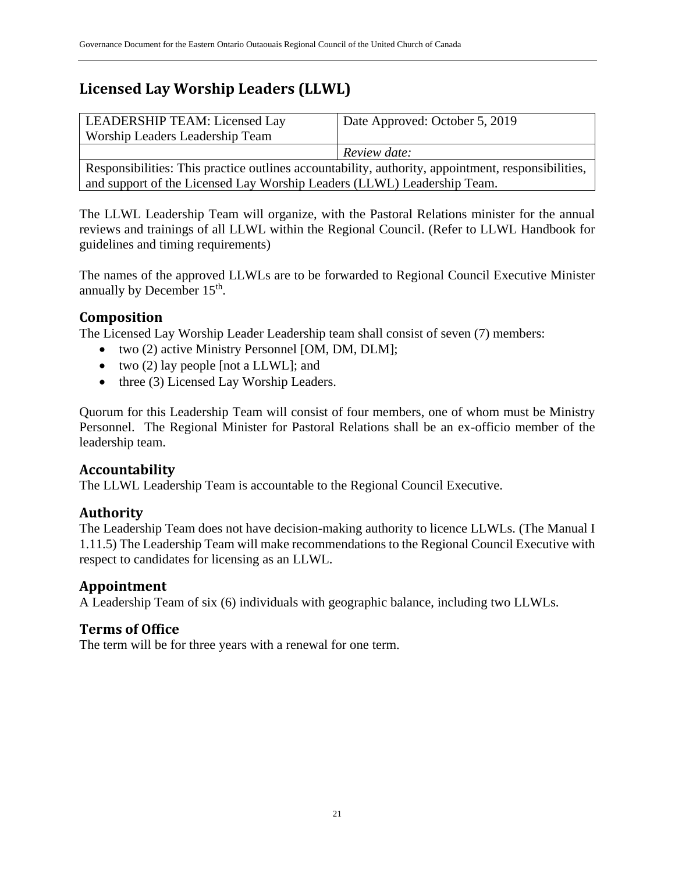## <span id="page-21-0"></span>**Licensed Lay Worship Leaders (LLWL)**

| LEADERSHIP TEAM: Licensed Lay                                                                      | Date Approved: October 5, 2019 |  |
|----------------------------------------------------------------------------------------------------|--------------------------------|--|
| Worship Leaders Leadership Team                                                                    |                                |  |
|                                                                                                    | Review date:                   |  |
| Responsibilities: This practice outlines accountability, authority, appointment, responsibilities, |                                |  |
| and support of the Licensed Lay Worship Leaders (LLWL) Leadership Team.                            |                                |  |

The LLWL Leadership Team will organize, with the Pastoral Relations minister for the annual reviews and trainings of all LLWL within the Regional Council. (Refer to LLWL Handbook for guidelines and timing requirements)

The names of the approved LLWLs are to be forwarded to Regional Council Executive Minister annually by December  $15<sup>th</sup>$ .

## <span id="page-21-1"></span>**Composition**

The Licensed Lay Worship Leader Leadership team shall consist of seven (7) members:

- two (2) active Ministry Personnel [OM, DM, DLM];
- two (2) lay people [not a LLWL]; and
- three (3) Licensed Lay Worship Leaders.

Quorum for this Leadership Team will consist of four members, one of whom must be Ministry Personnel. The Regional Minister for Pastoral Relations shall be an ex-officio member of the leadership team.

## <span id="page-21-2"></span>**Accountability**

The LLWL Leadership Team is accountable to the Regional Council Executive.

## <span id="page-21-3"></span>**Authority**

The Leadership Team does not have decision-making authority to licence LLWLs. (The Manual I 1.11.5) The Leadership Team will make recommendations to the Regional Council Executive with respect to candidates for licensing as an LLWL.

## <span id="page-21-4"></span>**Appointment**

A Leadership Team of six (6) individuals with geographic balance, including two LLWLs.

## <span id="page-21-5"></span>**Terms of Office**

The term will be for three years with a renewal for one term.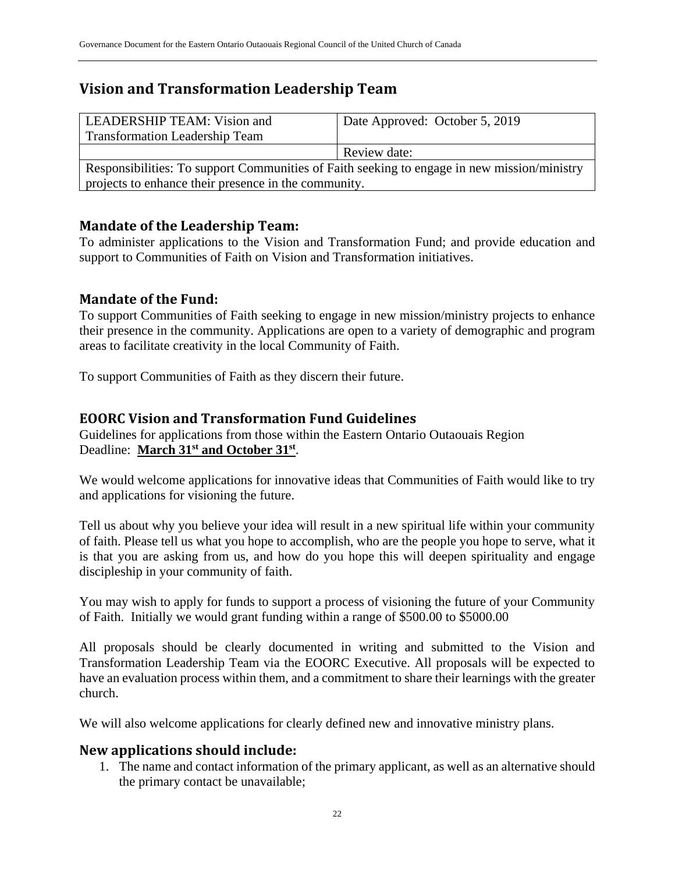## <span id="page-22-0"></span>**Vision and Transformation Leadership Team**

| LEADERSHIP TEAM: Vision and                                                                 | Date Approved: October 5, 2019 |
|---------------------------------------------------------------------------------------------|--------------------------------|
| <b>Transformation Leadership Team</b>                                                       |                                |
|                                                                                             | Review date:                   |
| Responsibilities: To support Communities of Faith seeking to engage in new mission/ministry |                                |
| projects to enhance their presence in the community.                                        |                                |

#### <span id="page-22-1"></span>**Mandate of the Leadership Team:**

To administer applications to the Vision and Transformation Fund; and provide education and support to Communities of Faith on Vision and Transformation initiatives.

#### <span id="page-22-2"></span>**Mandate of the Fund:**

To support Communities of Faith seeking to engage in new mission/ministry projects to enhance their presence in the community. Applications are open to a variety of demographic and program areas to facilitate creativity in the local Community of Faith.

To support Communities of Faith as they discern their future.

#### <span id="page-22-3"></span>**EOORC Vision and Transformation Fund Guidelines**

Guidelines for applications from those within the Eastern Ontario Outaouais Region Deadline: **March 31st and October 31st** .

We would welcome applications for innovative ideas that Communities of Faith would like to try and applications for visioning the future.

Tell us about why you believe your idea will result in a new spiritual life within your community of faith. Please tell us what you hope to accomplish, who are the people you hope to serve, what it is that you are asking from us, and how do you hope this will deepen spirituality and engage discipleship in your community of faith.

You may wish to apply for funds to support a process of visioning the future of your Community of Faith. Initially we would grant funding within a range of \$500.00 to \$5000.00

All proposals should be clearly documented in writing and submitted to the Vision and Transformation Leadership Team via the EOORC Executive. All proposals will be expected to have an evaluation process within them, and a commitment to share their learnings with the greater church.

We will also welcome applications for clearly defined new and innovative ministry plans.

## <span id="page-22-4"></span>**New applications should include:**

1. The name and contact information of the primary applicant, as well as an alternative should the primary contact be unavailable;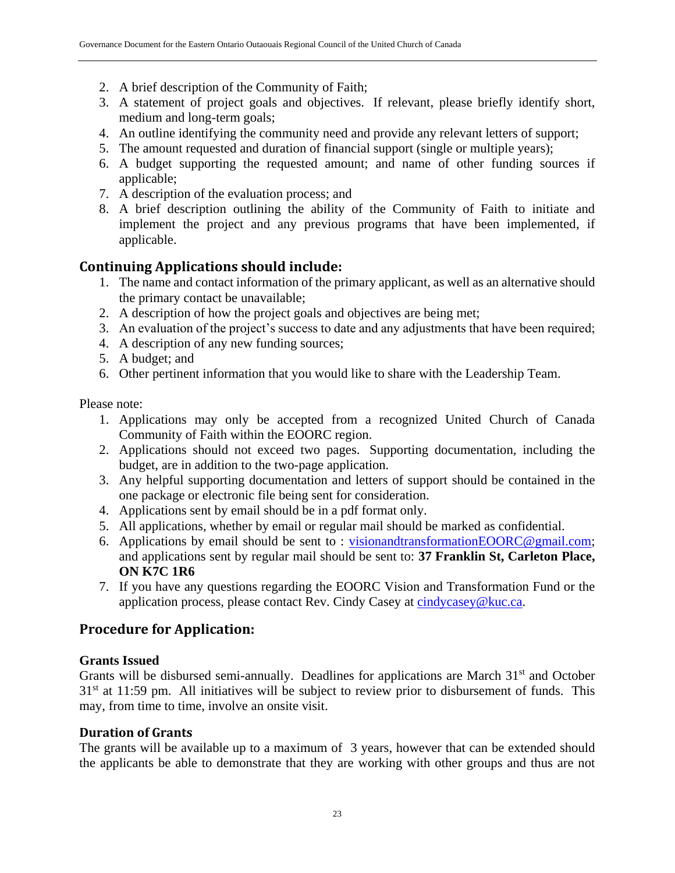- 2. A brief description of the Community of Faith;
- 3. A statement of project goals and objectives. If relevant, please briefly identify short, medium and long-term goals;
- 4. An outline identifying the community need and provide any relevant letters of support;
- 5. The amount requested and duration of financial support (single or multiple years);
- 6. A budget supporting the requested amount; and name of other funding sources if applicable;
- 7. A description of the evaluation process; and
- 8. A brief description outlining the ability of the Community of Faith to initiate and implement the project and any previous programs that have been implemented, if applicable.

## <span id="page-23-0"></span>**Continuing Applications should include:**

- 1. The name and contact information of the primary applicant, as well as an alternative should the primary contact be unavailable;
- 2. A description of how the project goals and objectives are being met;
- 3. An evaluation of the project's success to date and any adjustments that have been required;
- 4. A description of any new funding sources;
- 5. A budget; and
- 6. Other pertinent information that you would like to share with the Leadership Team.

Please note:

- 1. Applications may only be accepted from a recognized United Church of Canada Community of Faith within the EOORC region.
- 2. Applications should not exceed two pages. Supporting documentation, including the budget, are in addition to the two-page application.
- 3. Any helpful supporting documentation and letters of support should be contained in the one package or electronic file being sent for consideration.
- 4. Applications sent by email should be in a pdf format only.
- 5. All applications, whether by email or regular mail should be marked as confidential.
- 6. Applications by email should be sent to : [visionandtransformationEOORC@gmail.com;](mailto:visionandtransformationEOORC@gmail.com) and applications sent by regular mail should be sent to: **37 Franklin St, Carleton Place, ON K7C 1R6**
- 7. If you have any questions regarding the EOORC Vision and Transformation Fund or the application process, please contact Rev. Cindy Casey at [cindycasey@kuc.ca.](mailto:cindycasey@kuc.ca)

## <span id="page-23-1"></span>**Procedure for Application:**

#### **Grants Issued**

Grants will be disbursed semi-annually. Deadlines for applications are March 31<sup>st</sup> and October  $31<sup>st</sup>$  at 11:59 pm. All initiatives will be subject to review prior to disbursement of funds. This may, from time to time, involve an onsite visit.

#### <span id="page-23-2"></span>**Duration of Grants**

The grants will be available up to a maximum of 3 years, however that can be extended should the applicants be able to demonstrate that they are working with other groups and thus are not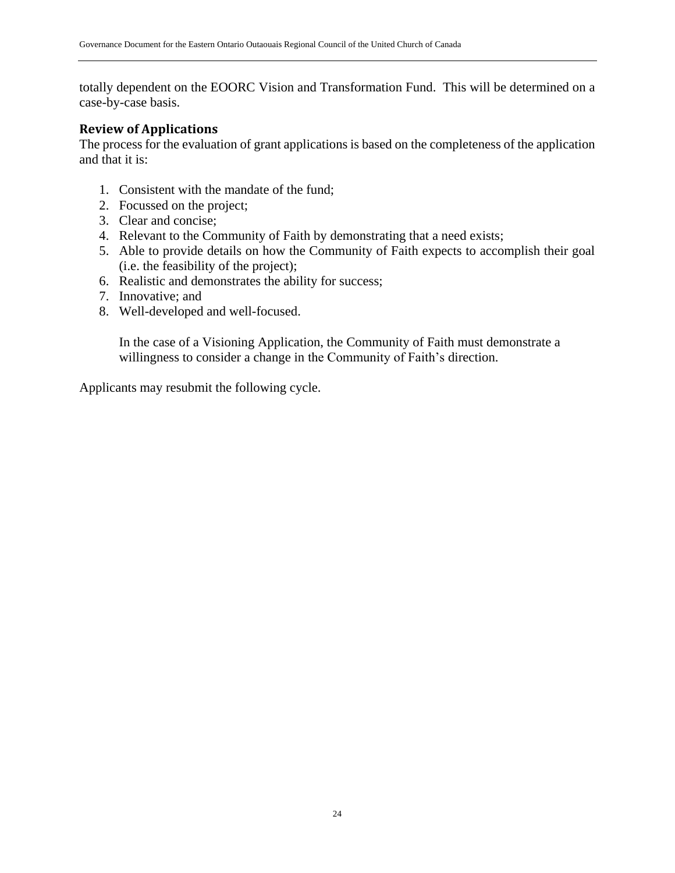totally dependent on the EOORC Vision and Transformation Fund. This will be determined on a case-by-case basis.

#### <span id="page-24-0"></span>**Review of Applications**

The process for the evaluation of grant applications is based on the completeness of the application and that it is:

- 1. Consistent with the mandate of the fund;
- 2. Focussed on the project;
- 3. Clear and concise;
- 4. Relevant to the Community of Faith by demonstrating that a need exists;
- 5. Able to provide details on how the Community of Faith expects to accomplish their goal (i.e. the feasibility of the project);
- 6. Realistic and demonstrates the ability for success;
- 7. Innovative; and
- 8. Well-developed and well-focused.

In the case of a Visioning Application, the Community of Faith must demonstrate a willingness to consider a change in the Community of Faith's direction.

Applicants may resubmit the following cycle.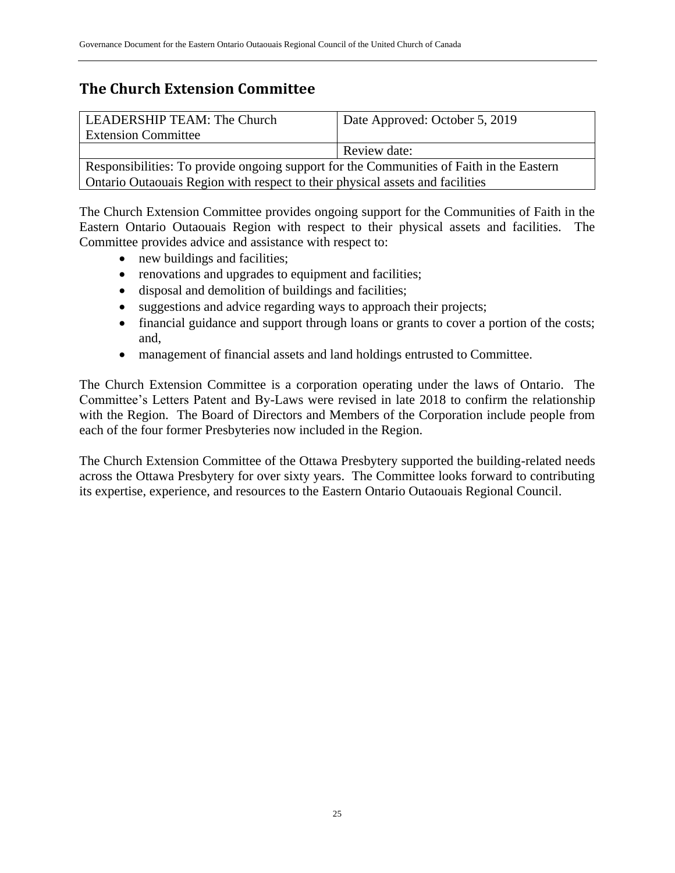## <span id="page-25-0"></span>**The Church Extension Committee**

| LEADERSHIP TEAM: The Church                                                              | Date Approved: October 5, 2019 |  |
|------------------------------------------------------------------------------------------|--------------------------------|--|
| <b>Extension Committee</b>                                                               |                                |  |
|                                                                                          | Review date:                   |  |
| Responsibilities: To provide ongoing support for the Communities of Faith in the Eastern |                                |  |
| Ontario Outaouais Region with respect to their physical assets and facilities            |                                |  |

The Church Extension Committee provides ongoing support for the Communities of Faith in the Eastern Ontario Outaouais Region with respect to their physical assets and facilities. The Committee provides advice and assistance with respect to:

- new buildings and facilities;
- renovations and upgrades to equipment and facilities;
- disposal and demolition of buildings and facilities;
- suggestions and advice regarding ways to approach their projects;
- financial guidance and support through loans or grants to cover a portion of the costs; and,
- management of financial assets and land holdings entrusted to Committee.

The Church Extension Committee is a corporation operating under the laws of Ontario. The Committee's Letters Patent and By-Laws were revised in late 2018 to confirm the relationship with the Region. The Board of Directors and Members of the Corporation include people from each of the four former Presbyteries now included in the Region.

The Church Extension Committee of the Ottawa Presbytery supported the building-related needs across the Ottawa Presbytery for over sixty years. The Committee looks forward to contributing its expertise, experience, and resources to the Eastern Ontario Outaouais Regional Council.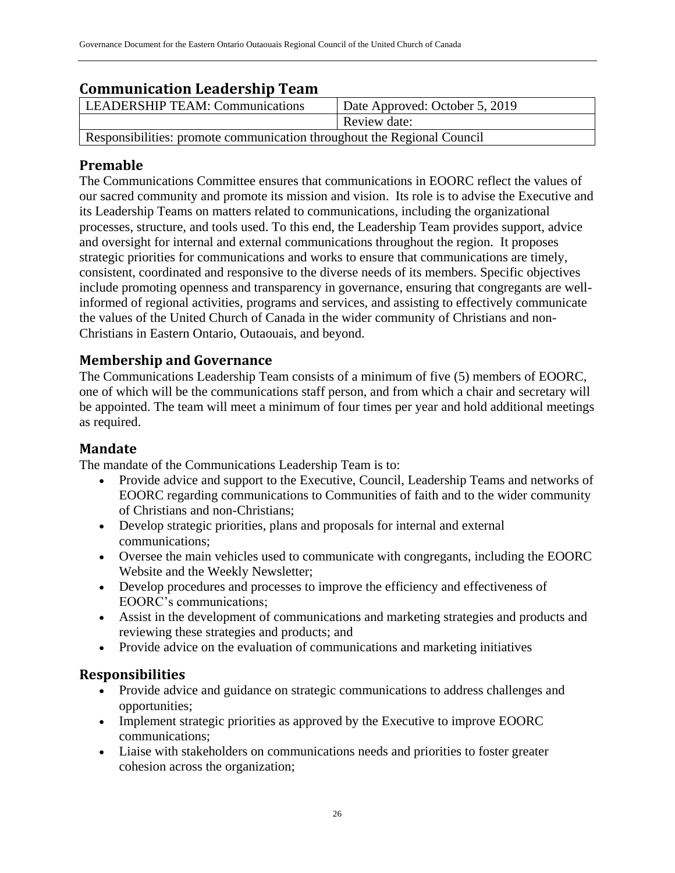## <span id="page-26-0"></span>**Communication Leadership Team**

| <b>LEADERSHIP TEAM: Communications</b>                                  | <sup>1</sup> Date Approved: October 5, 2019 |  |
|-------------------------------------------------------------------------|---------------------------------------------|--|
|                                                                         | Review date:                                |  |
| Responsibilities: promote communication throughout the Regional Council |                                             |  |

## <span id="page-26-1"></span>**Premable**

The Communications Committee ensures that communications in EOORC reflect the values of our sacred community and promote its mission and vision. Its role is to advise the Executive and its Leadership Teams on matters related to communications, including the organizational processes, structure, and tools used. To this end, the Leadership Team provides support, advice and oversight for internal and external communications throughout the region. It proposes strategic priorities for communications and works to ensure that communications are timely, consistent, coordinated and responsive to the diverse needs of its members. Specific objectives include promoting openness and transparency in governance, ensuring that congregants are wellinformed of regional activities, programs and services, and assisting to effectively communicate the values of the United Church of Canada in the wider community of Christians and non-Christians in Eastern Ontario, Outaouais, and beyond.

## <span id="page-26-2"></span>**Membership and Governance**

The Communications Leadership Team consists of a minimum of five (5) members of EOORC, one of which will be the communications staff person, and from which a chair and secretary will be appointed. The team will meet a minimum of four times per year and hold additional meetings as required.

## <span id="page-26-3"></span>**Mandate**

The mandate of the Communications Leadership Team is to:

- Provide advice and support to the Executive, Council, Leadership Teams and networks of EOORC regarding communications to Communities of faith and to the wider community of Christians and non-Christians;
- Develop strategic priorities, plans and proposals for internal and external communications;
- Oversee the main vehicles used to communicate with congregants, including the EOORC Website and the Weekly Newsletter;
- Develop procedures and processes to improve the efficiency and effectiveness of EOORC's communications;
- Assist in the development of communications and marketing strategies and products and reviewing these strategies and products; and
- Provide advice on the evaluation of communications and marketing initiatives

#### <span id="page-26-4"></span>**Responsibilities**

- Provide advice and guidance on strategic communications to address challenges and opportunities;
- Implement strategic priorities as approved by the Executive to improve EOORC communications;
- Liaise with stakeholders on communications needs and priorities to foster greater cohesion across the organization;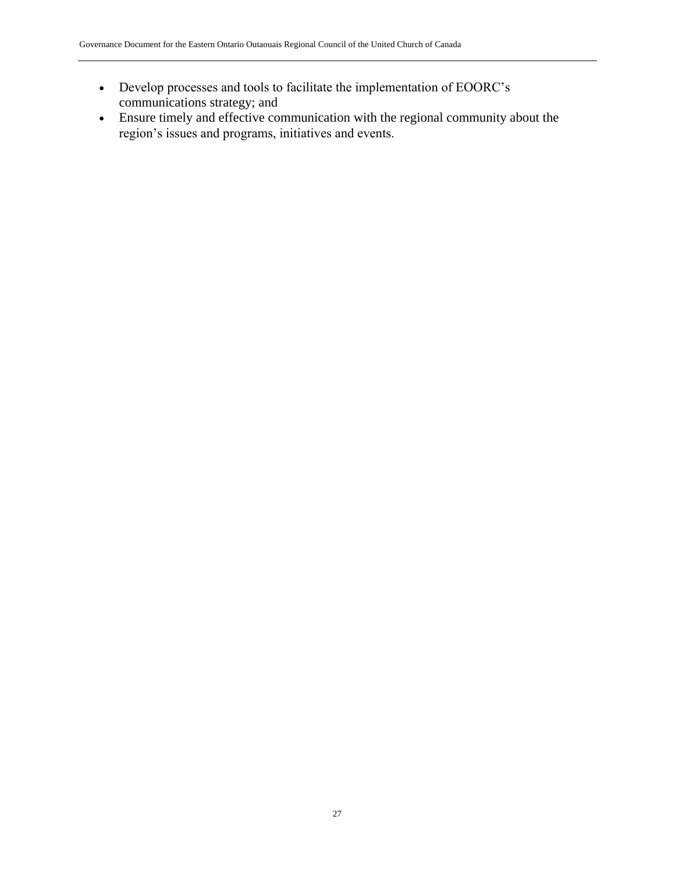- Develop processes and tools to facilitate the implementation of EOORC's communications strategy; and
- Ensure timely and effective communication with the regional community about the region's issues and programs, initiatives and events.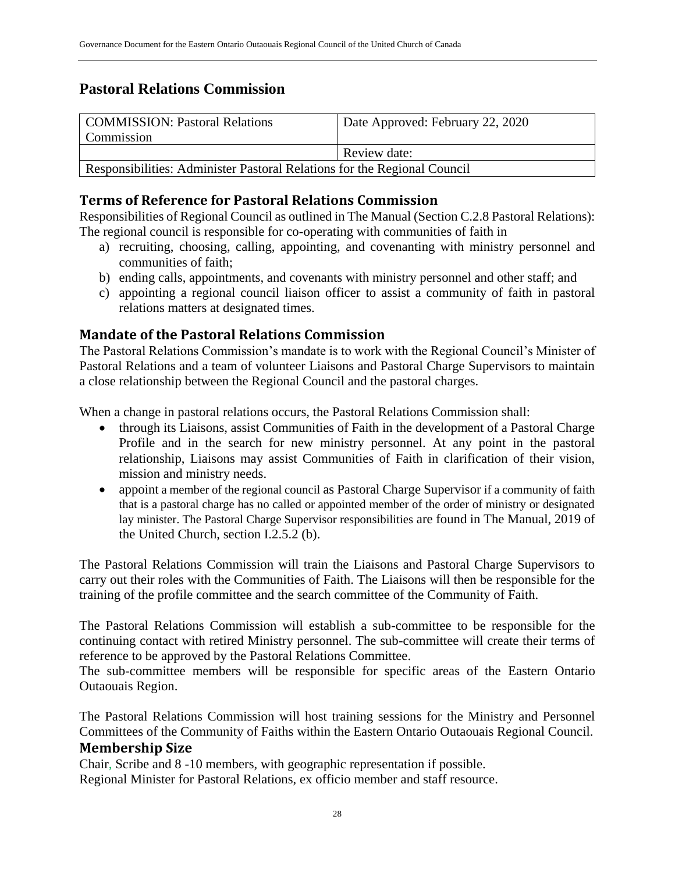## <span id="page-28-0"></span>**Pastoral Relations Commission**

| COMMISSION: Pastoral Relations                                           | Date Approved: February 22, 2020 |  |
|--------------------------------------------------------------------------|----------------------------------|--|
| Commission                                                               |                                  |  |
| Review date:                                                             |                                  |  |
| Responsibilities: Administer Pastoral Relations for the Regional Council |                                  |  |

## **Terms of Reference for Pastoral Relations Commission**

Responsibilities of Regional Council as outlined in The Manual (Section C.2.8 Pastoral Relations): The regional council is responsible for co-operating with communities of faith in

- a) recruiting, choosing, calling, appointing, and covenanting with ministry personnel and communities of faith;
- b) ending calls, appointments, and covenants with ministry personnel and other staff; and
- c) appointing a regional council liaison officer to assist a community of faith in pastoral relations matters at designated times.

## <span id="page-28-1"></span>**Mandate of the Pastoral Relations Commission**

The Pastoral Relations Commission's mandate is to work with the Regional Council's Minister of Pastoral Relations and a team of volunteer Liaisons and Pastoral Charge Supervisors to maintain a close relationship between the Regional Council and the pastoral charges.

When a change in pastoral relations occurs, the Pastoral Relations Commission shall:

- through its Liaisons, assist Communities of Faith in the development of a Pastoral Charge Profile and in the search for new ministry personnel. At any point in the pastoral relationship, Liaisons may assist Communities of Faith in clarification of their vision, mission and ministry needs.
- appoint a member of the regional council as Pastoral Charge Supervisor if a community of faith that is a pastoral charge has no called or appointed member of the order of ministry or designated lay minister. The Pastoral Charge Supervisor responsibilities are found in The Manual, 2019 of the United Church, section I.2.5.2 (b).

The Pastoral Relations Commission will train the Liaisons and Pastoral Charge Supervisors to carry out their roles with the Communities of Faith. The Liaisons will then be responsible for the training of the profile committee and the search committee of the Community of Faith.

The Pastoral Relations Commission will establish a sub-committee to be responsible for the continuing contact with retired Ministry personnel. The sub-committee will create their terms of reference to be approved by the Pastoral Relations Committee.

The sub-committee members will be responsible for specific areas of the Eastern Ontario Outaouais Region.

The Pastoral Relations Commission will host training sessions for the Ministry and Personnel Committees of the Community of Faiths within the Eastern Ontario Outaouais Regional Council. **Membership Size**

Chair, Scribe and 8 -10 members, with geographic representation if possible.

Regional Minister for Pastoral Relations, ex officio member and staff resource.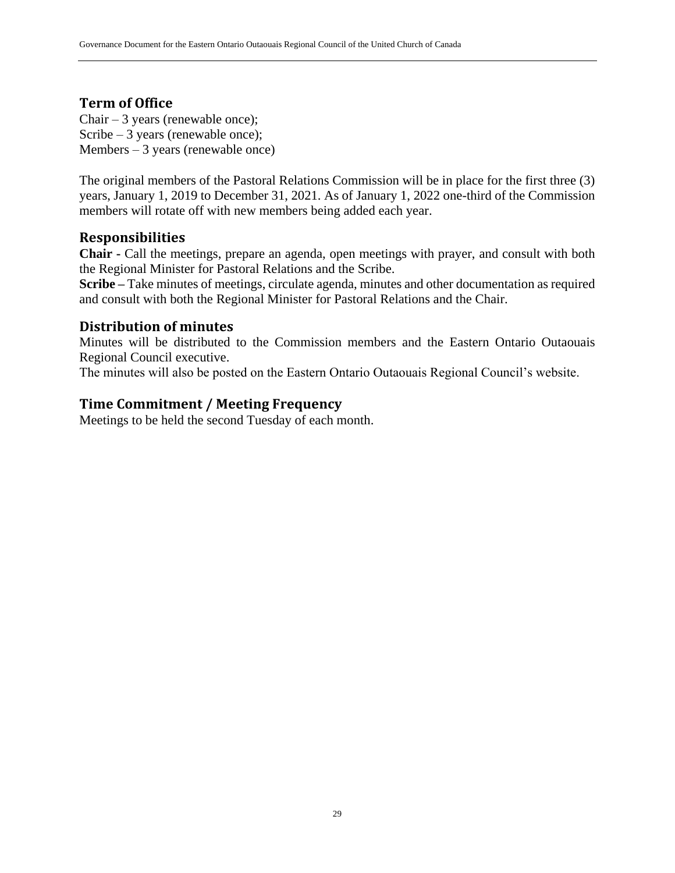#### **Term of Office**

Chair – 3 years (renewable once); Scribe – 3 years (renewable once); Members – 3 years (renewable once)

The original members of the Pastoral Relations Commission will be in place for the first three (3) years, January 1, 2019 to December 31, 2021. As of January 1, 2022 one-third of the Commission members will rotate off with new members being added each year.

#### <span id="page-29-0"></span>**Responsibilities**

**Chair -** Call the meetings, prepare an agenda, open meetings with prayer, and consult with both the Regional Minister for Pastoral Relations and the Scribe.

**Scribe –** Take minutes of meetings, circulate agenda, minutes and other documentation as required and consult with both the Regional Minister for Pastoral Relations and the Chair.

#### <span id="page-29-1"></span>**Distribution of minutes**

Minutes will be distributed to the Commission members and the Eastern Ontario Outaouais Regional Council executive.

The minutes will also be posted on the Eastern Ontario Outaouais Regional Council's website.

#### **Time Commitment / Meeting Frequency**

Meetings to be held the second Tuesday of each month.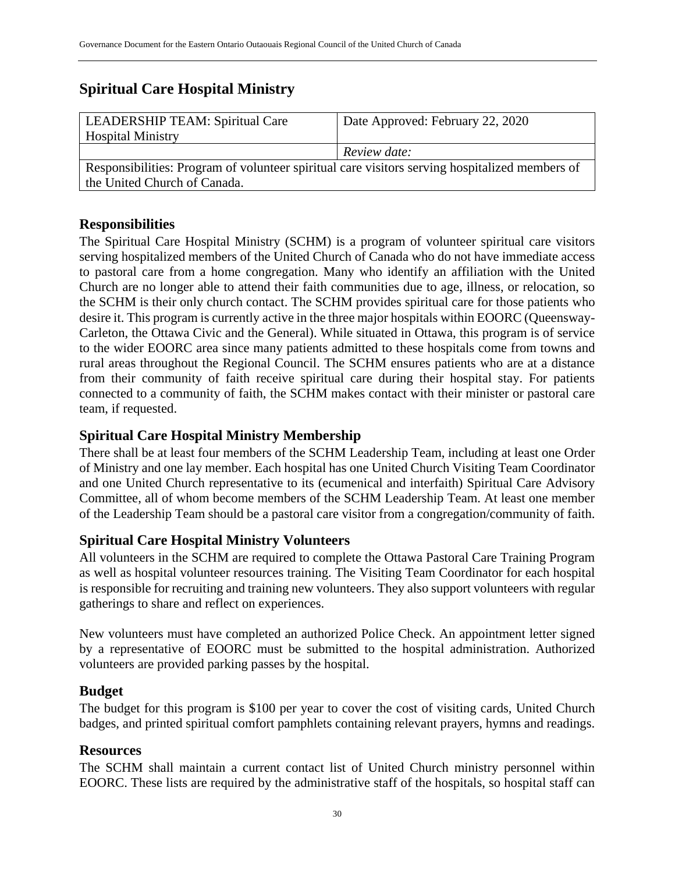## <span id="page-30-0"></span>**Spiritual Care Hospital Ministry**

| <b>LEADERSHIP TEAM: Spiritual Care</b>                                                         | Date Approved: February 22, 2020 |  |
|------------------------------------------------------------------------------------------------|----------------------------------|--|
| <b>Hospital Ministry</b>                                                                       |                                  |  |
|                                                                                                | Review date:                     |  |
| Responsibilities: Program of volunteer spiritual care visitors serving hospitalized members of |                                  |  |
| the United Church of Canada.                                                                   |                                  |  |

## <span id="page-30-1"></span>**Responsibilities**

The Spiritual Care Hospital Ministry (SCHM) is a program of volunteer spiritual care visitors serving hospitalized members of the United Church of Canada who do not have immediate access to pastoral care from a home congregation. Many who identify an affiliation with the United Church are no longer able to attend their faith communities due to age, illness, or relocation, so the SCHM is their only church contact. The SCHM provides spiritual care for those patients who desire it. This program is currently active in the three major hospitals within EOORC (Queensway-Carleton, the Ottawa Civic and the General). While situated in Ottawa, this program is of service to the wider EOORC area since many patients admitted to these hospitals come from towns and rural areas throughout the Regional Council. The SCHM ensures patients who are at a distance from their community of faith receive spiritual care during their hospital stay. For patients connected to a community of faith, the SCHM makes contact with their minister or pastoral care team, if requested.

#### <span id="page-30-2"></span>**Spiritual Care Hospital Ministry Membership**

There shall be at least four members of the SCHM Leadership Team, including at least one Order of Ministry and one lay member. Each hospital has one United Church Visiting Team Coordinator and one United Church representative to its (ecumenical and interfaith) Spiritual Care Advisory Committee, all of whom become members of the SCHM Leadership Team. At least one member of the Leadership Team should be a pastoral care visitor from a congregation/community of faith.

## <span id="page-30-3"></span>**Spiritual Care Hospital Ministry Volunteers**

All volunteers in the SCHM are required to complete the Ottawa Pastoral Care Training Program as well as hospital volunteer resources training. The Visiting Team Coordinator for each hospital is responsible for recruiting and training new volunteers. They also support volunteers with regular gatherings to share and reflect on experiences.

New volunteers must have completed an authorized Police Check. An appointment letter signed by a representative of EOORC must be submitted to the hospital administration. Authorized volunteers are provided parking passes by the hospital.

#### <span id="page-30-4"></span>**Budget**

The budget for this program is \$100 per year to cover the cost of visiting cards, United Church badges, and printed spiritual comfort pamphlets containing relevant prayers, hymns and readings.

#### <span id="page-30-5"></span>**Resources**

The SCHM shall maintain a current contact list of United Church ministry personnel within EOORC. These lists are required by the administrative staff of the hospitals, so hospital staff can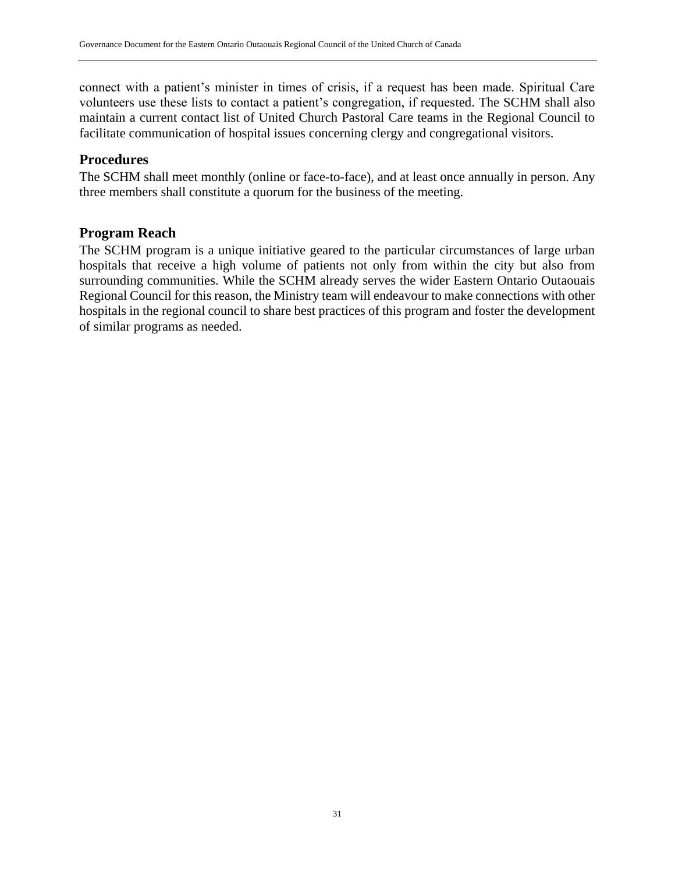connect with a patient's minister in times of crisis, if a request has been made. Spiritual Care volunteers use these lists to contact a patient's congregation, if requested. The SCHM shall also maintain a current contact list of United Church Pastoral Care teams in the Regional Council to facilitate communication of hospital issues concerning clergy and congregational visitors.

#### <span id="page-31-0"></span>**Procedures**

The SCHM shall meet monthly (online or face-to-face), and at least once annually in person. Any three members shall constitute a quorum for the business of the meeting.

#### <span id="page-31-1"></span>**Program Reach**

The SCHM program is a unique initiative geared to the particular circumstances of large urban hospitals that receive a high volume of patients not only from within the city but also from surrounding communities. While the SCHM already serves the wider Eastern Ontario Outaouais Regional Council for this reason, the Ministry team will endeavour to make connections with other hospitals in the regional council to share best practices of this program and foster the development of similar programs as needed.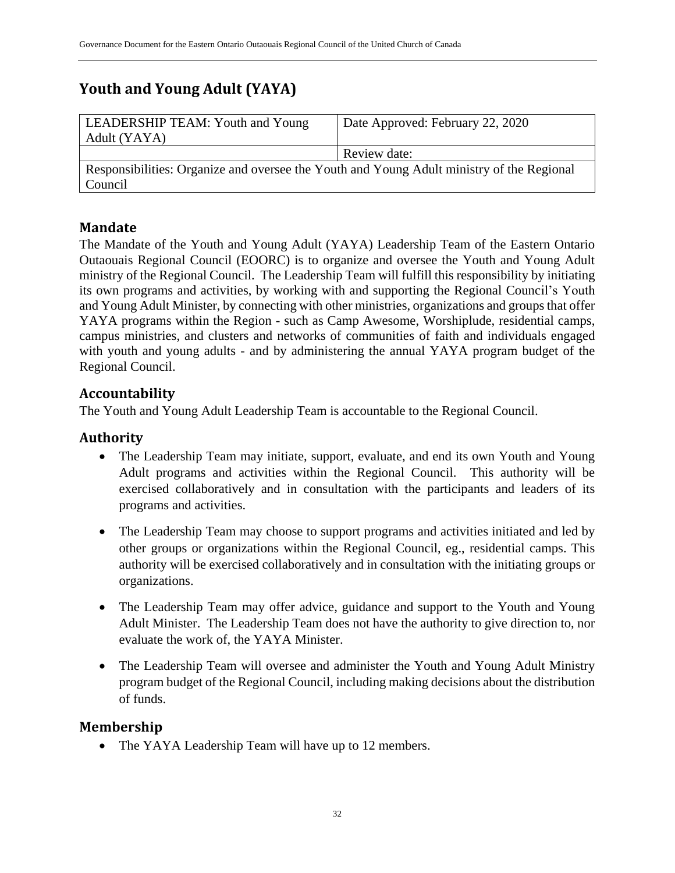## <span id="page-32-0"></span>**Youth and Young Adult (YAYA)**

| <b>LEADERSHIP TEAM: Youth and Young</b><br>Adult (YAYA)                                   | Date Approved: February 22, 2020 |  |
|-------------------------------------------------------------------------------------------|----------------------------------|--|
|                                                                                           | Review date:                     |  |
| Responsibilities: Organize and oversee the Youth and Young Adult ministry of the Regional |                                  |  |
| Council                                                                                   |                                  |  |

## <span id="page-32-1"></span>**Mandate**

The Mandate of the Youth and Young Adult (YAYA) Leadership Team of the Eastern Ontario Outaouais Regional Council (EOORC) is to organize and oversee the Youth and Young Adult ministry of the Regional Council. The Leadership Team will fulfill this responsibility by initiating its own programs and activities, by working with and supporting the Regional Council's Youth and Young Adult Minister, by connecting with other ministries, organizations and groups that offer YAYA programs within the Region - such as Camp Awesome, Worshiplude, residential camps, campus ministries, and clusters and networks of communities of faith and individuals engaged with youth and young adults - and by administering the annual YAYA program budget of the Regional Council.

## <span id="page-32-2"></span>**Accountability**

The Youth and Young Adult Leadership Team is accountable to the Regional Council.

## <span id="page-32-3"></span>**Authority**

- The Leadership Team may initiate, support, evaluate, and end its own Youth and Young Adult programs and activities within the Regional Council. This authority will be exercised collaboratively and in consultation with the participants and leaders of its programs and activities.
- The Leadership Team may choose to support programs and activities initiated and led by other groups or organizations within the Regional Council, eg., residential camps. This authority will be exercised collaboratively and in consultation with the initiating groups or organizations.
- The Leadership Team may offer advice, guidance and support to the Youth and Young Adult Minister. The Leadership Team does not have the authority to give direction to, nor evaluate the work of, the YAYA Minister.
- The Leadership Team will oversee and administer the Youth and Young Adult Ministry program budget of the Regional Council, including making decisions about the distribution of funds.

## <span id="page-32-4"></span>**Membership**

• The YAYA Leadership Team will have up to 12 members.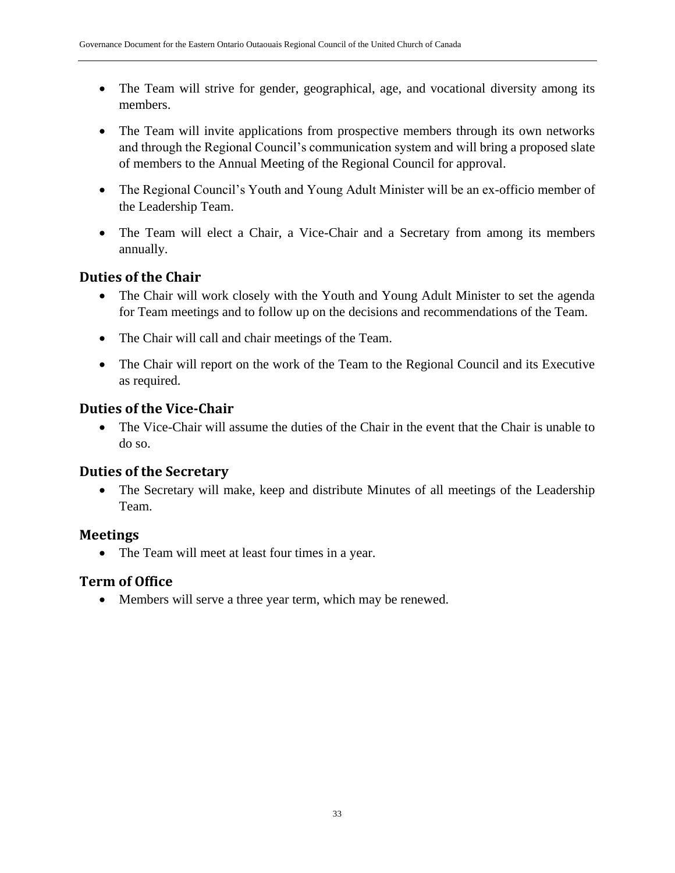- The Team will strive for gender, geographical, age, and vocational diversity among its members.
- The Team will invite applications from prospective members through its own networks and through the Regional Council's communication system and will bring a proposed slate of members to the Annual Meeting of the Regional Council for approval.
- The Regional Council's Youth and Young Adult Minister will be an ex-officio member of the Leadership Team.
- The Team will elect a Chair, a Vice-Chair and a Secretary from among its members annually.

## <span id="page-33-0"></span>**Duties of the Chair**

- The Chair will work closely with the Youth and Young Adult Minister to set the agenda for Team meetings and to follow up on the decisions and recommendations of the Team.
- The Chair will call and chair meetings of the Team.
- The Chair will report on the work of the Team to the Regional Council and its Executive as required.

## <span id="page-33-1"></span>**Duties of the Vice-Chair**

• The Vice-Chair will assume the duties of the Chair in the event that the Chair is unable to do so.

#### <span id="page-33-2"></span>**Duties of the Secretary**

• The Secretary will make, keep and distribute Minutes of all meetings of the Leadership Team.

## <span id="page-33-3"></span>**Meetings**

• The Team will meet at least four times in a year.

## <span id="page-33-4"></span>**Term of Office**

• Members will serve a three year term, which may be renewed.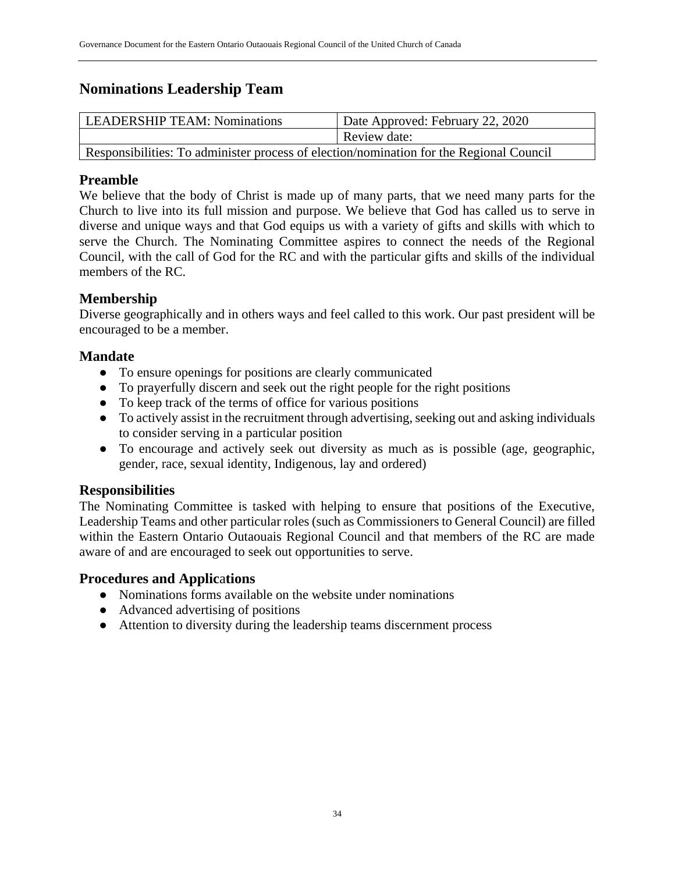## <span id="page-34-0"></span>**Nominations Leadership Team**

| LEADERSHIP TEAM: Nominations                                                            | Date Approved: February 22, 2020 |  |
|-----------------------------------------------------------------------------------------|----------------------------------|--|
|                                                                                         | Review date:                     |  |
| Responsibilities: To administer process of election/nomination for the Regional Council |                                  |  |

#### <span id="page-34-1"></span>**Preamble**

We believe that the body of Christ is made up of many parts, that we need many parts for the Church to live into its full mission and purpose. We believe that God has called us to serve in diverse and unique ways and that God equips us with a variety of gifts and skills with which to serve the Church. The Nominating Committee aspires to connect the needs of the Regional Council, with the call of God for the RC and with the particular gifts and skills of the individual members of the RC.

## <span id="page-34-2"></span>**Membership**

Diverse geographically and in others ways and feel called to this work. Our past president will be encouraged to be a member.

#### <span id="page-34-3"></span>**Mandate**

- To ensure openings for positions are clearly communicated
- To prayerfully discern and seek out the right people for the right positions
- To keep track of the terms of office for various positions
- To actively assist in the recruitment through advertising, seeking out and asking individuals to consider serving in a particular position
- To encourage and actively seek out diversity as much as is possible (age, geographic, gender, race, sexual identity, Indigenous, lay and ordered)

#### <span id="page-34-4"></span>**Responsibilities**

The Nominating Committee is tasked with helping to ensure that positions of the Executive, Leadership Teams and other particular roles (such as Commissioners to General Council) are filled within the Eastern Ontario Outaouais Regional Council and that members of the RC are made aware of and are encouraged to seek out opportunities to serve.

#### <span id="page-34-5"></span>**Procedures and Applic**a**tions**

- Nominations forms available on the website under nominations
- Advanced advertising of positions
- Attention to diversity during the leadership teams discernment process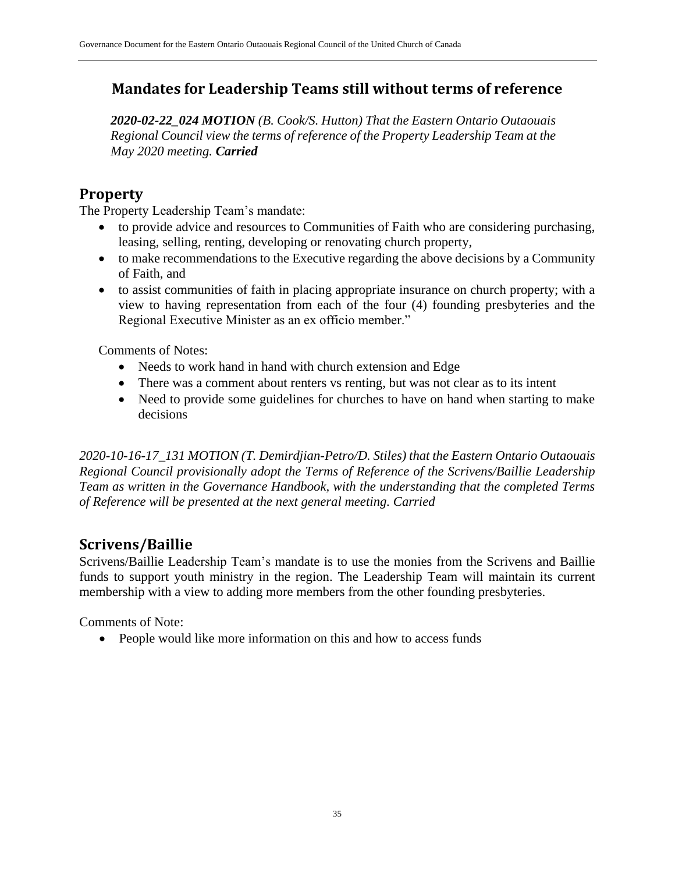## <span id="page-35-0"></span>**Mandates for Leadership Teams still without terms of reference**

*2020-02-22\_024 MOTION (B. Cook/S. Hutton) That the Eastern Ontario Outaouais Regional Council view the terms of reference of the Property Leadership Team at the May 2020 meeting. Carried*

## <span id="page-35-1"></span>**Property**

The Property Leadership Team's mandate:

- to provide advice and resources to Communities of Faith who are considering purchasing, leasing, selling, renting, developing or renovating church property,
- to make recommendations to the Executive regarding the above decisions by a Community of Faith, and
- to assist communities of faith in placing appropriate insurance on church property; with a view to having representation from each of the four (4) founding presbyteries and the Regional Executive Minister as an ex officio member."

Comments of Notes:

- Needs to work hand in hand with church extension and Edge
- There was a comment about renters vs renting, but was not clear as to its intent
- Need to provide some guidelines for churches to have on hand when starting to make decisions

*2020-10-16-17\_131 MOTION (T. Demirdjian-Petro/D. Stiles) that the Eastern Ontario Outaouais Regional Council provisionally adopt the Terms of Reference of the Scrivens/Baillie Leadership Team as written in the Governance Handbook, with the understanding that the completed Terms of Reference will be presented at the next general meeting. Carried* 

## <span id="page-35-2"></span>**Scrivens/Baillie**

Scrivens/Baillie Leadership Team's mandate is to use the monies from the Scrivens and Baillie funds to support youth ministry in the region. The Leadership Team will maintain its current membership with a view to adding more members from the other founding presbyteries.

Comments of Note:

• People would like more information on this and how to access funds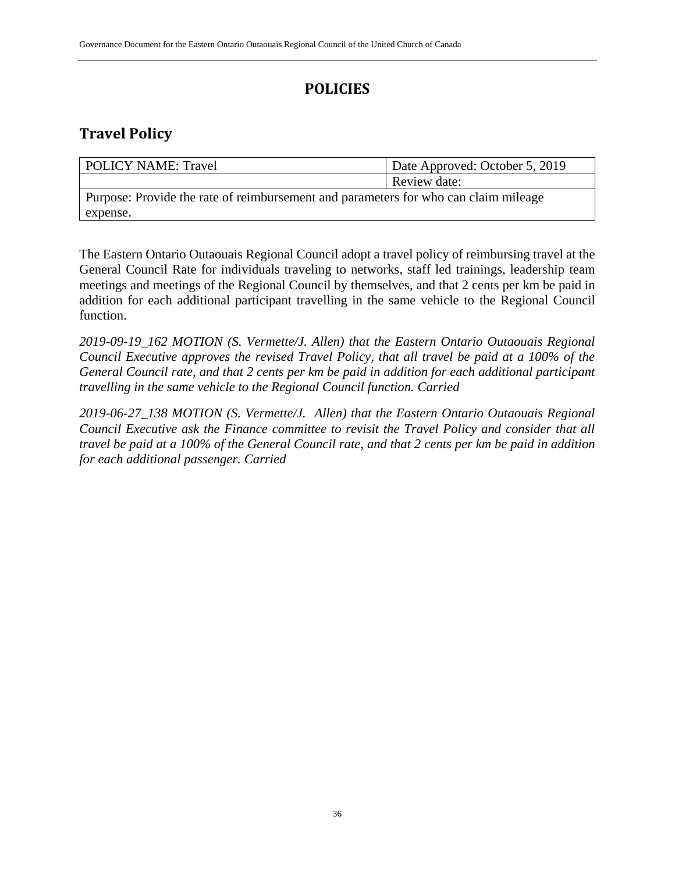## **POLICIES**

## <span id="page-36-1"></span><span id="page-36-0"></span>**Travel Policy**

| <b>POLICY NAME: Travel</b>                                                          | Date Approved: October 5, 2019 |  |
|-------------------------------------------------------------------------------------|--------------------------------|--|
|                                                                                     | Review date:                   |  |
| Purpose: Provide the rate of reimbursement and parameters for who can claim mileage |                                |  |
| expense.                                                                            |                                |  |

The Eastern Ontario Outaouais Regional Council adopt a travel policy of reimbursing travel at the General Council Rate for individuals traveling to networks, staff led trainings, leadership team meetings and meetings of the Regional Council by themselves, and that 2 cents per km be paid in addition for each additional participant travelling in the same vehicle to the Regional Council function.

*2019-09-19\_162 MOTION (S. Vermette/J. Allen) that the Eastern Ontario Outaouais Regional Council Executive approves the revised Travel Policy, that all travel be paid at a 100% of the General Council rate, and that 2 cents per km be paid in addition for each additional participant travelling in the same vehicle to the Regional Council function. Carried* 

*2019-06-27\_138 MOTION (S. Vermette/J. Allen) that the Eastern Ontario Outaouais Regional Council Executive ask the Finance committee to revisit the Travel Policy and consider that all travel be paid at a 100% of the General Council rate, and that 2 cents per km be paid in addition for each additional passenger. Carried*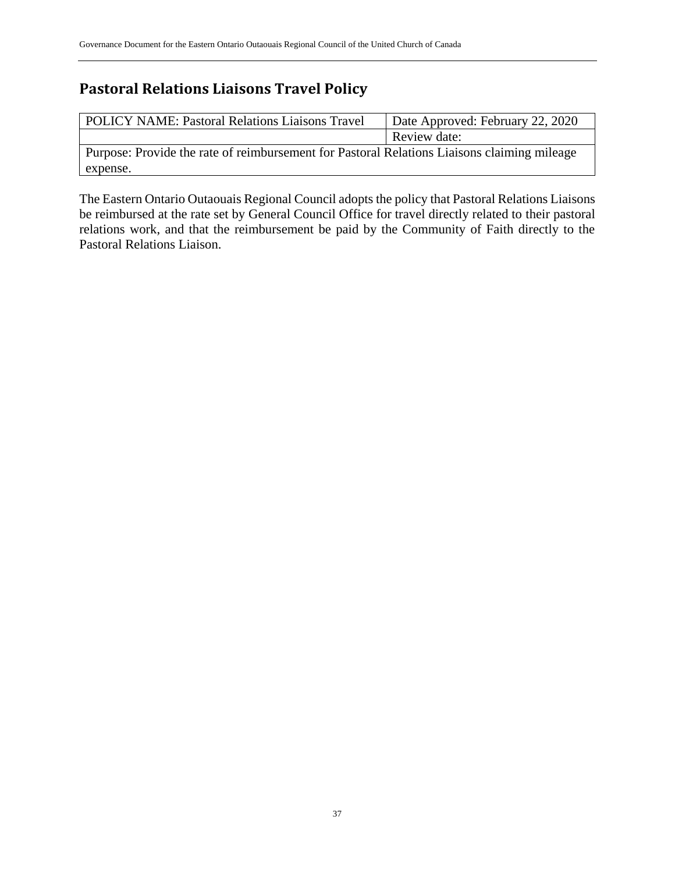## <span id="page-37-0"></span>**Pastoral Relations Liaisons Travel Policy**

| <b>POLICY NAME: Pastoral Relations Liaisons Travel</b>                                      | Date Approved: February 22, 2020 |  |
|---------------------------------------------------------------------------------------------|----------------------------------|--|
|                                                                                             | Review date:                     |  |
| Purpose: Provide the rate of reimbursement for Pastoral Relations Liaisons claiming mileage |                                  |  |
| expense.                                                                                    |                                  |  |

The Eastern Ontario Outaouais Regional Council adopts the policy that Pastoral Relations Liaisons be reimbursed at the rate set by General Council Office for travel directly related to their pastoral relations work, and that the reimbursement be paid by the Community of Faith directly to the Pastoral Relations Liaison.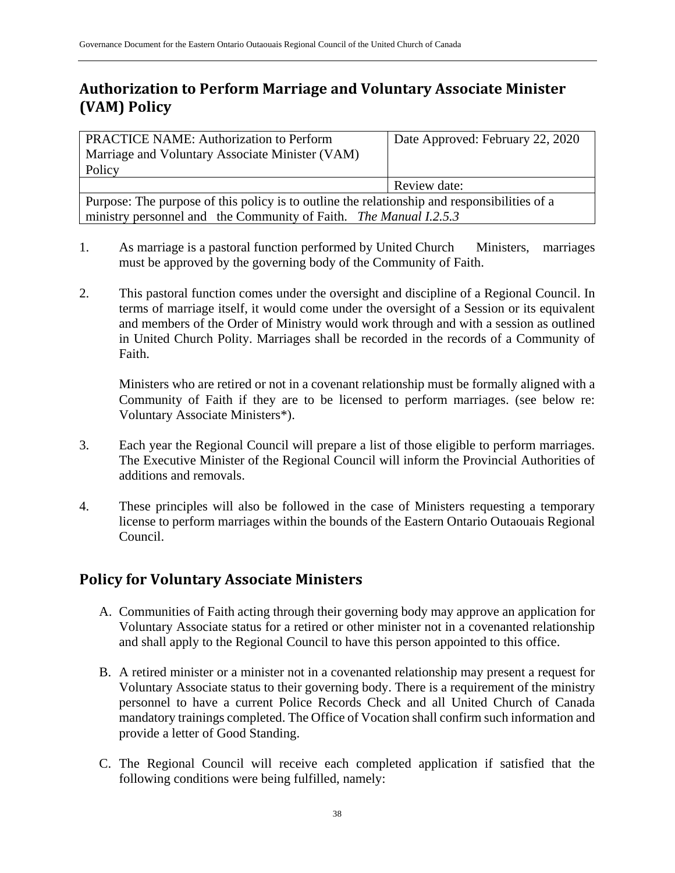## <span id="page-38-0"></span>**Authorization to Perform Marriage and Voluntary Associate Minister (VAM) Policy**

| <b>PRACTICE NAME: Authorization to Perform</b><br>Marriage and Voluntary Associate Minister (VAM)<br>Policy | Date Approved: February 22, 2020 |  |
|-------------------------------------------------------------------------------------------------------------|----------------------------------|--|
|                                                                                                             | Review date:                     |  |
| Purpose: The purpose of this policy is to outline the relationship and responsibilities of a                |                                  |  |
| ministry personnel and the Community of Faith. The Manual I.2.5.3                                           |                                  |  |

- 1. As marriage is a pastoral function performed by United Church Ministers, marriages must be approved by the governing body of the Community of Faith.
- 2. This pastoral function comes under the oversight and discipline of a Regional Council. In terms of marriage itself, it would come under the oversight of a Session or its equivalent and members of the Order of Ministry would work through and with a session as outlined in United Church Polity. Marriages shall be recorded in the records of a Community of Faith.

Ministers who are retired or not in a covenant relationship must be formally aligned with a Community of Faith if they are to be licensed to perform marriages. (see below re: Voluntary Associate Ministers\*).

- 3. Each year the Regional Council will prepare a list of those eligible to perform marriages. The Executive Minister of the Regional Council will inform the Provincial Authorities of additions and removals.
- 4. These principles will also be followed in the case of Ministers requesting a temporary license to perform marriages within the bounds of the Eastern Ontario Outaouais Regional Council.

## <span id="page-38-1"></span>**Policy for Voluntary Associate Ministers**

- A. Communities of Faith acting through their governing body may approve an application for Voluntary Associate status for a retired or other minister not in a covenanted relationship and shall apply to the Regional Council to have this person appointed to this office.
- B. A retired minister or a minister not in a covenanted relationship may present a request for Voluntary Associate status to their governing body. There is a requirement of the ministry personnel to have a current Police Records Check and all United Church of Canada mandatory trainings completed. The Office of Vocation shall confirm such information and provide a letter of Good Standing.
- C. The Regional Council will receive each completed application if satisfied that the following conditions were being fulfilled, namely: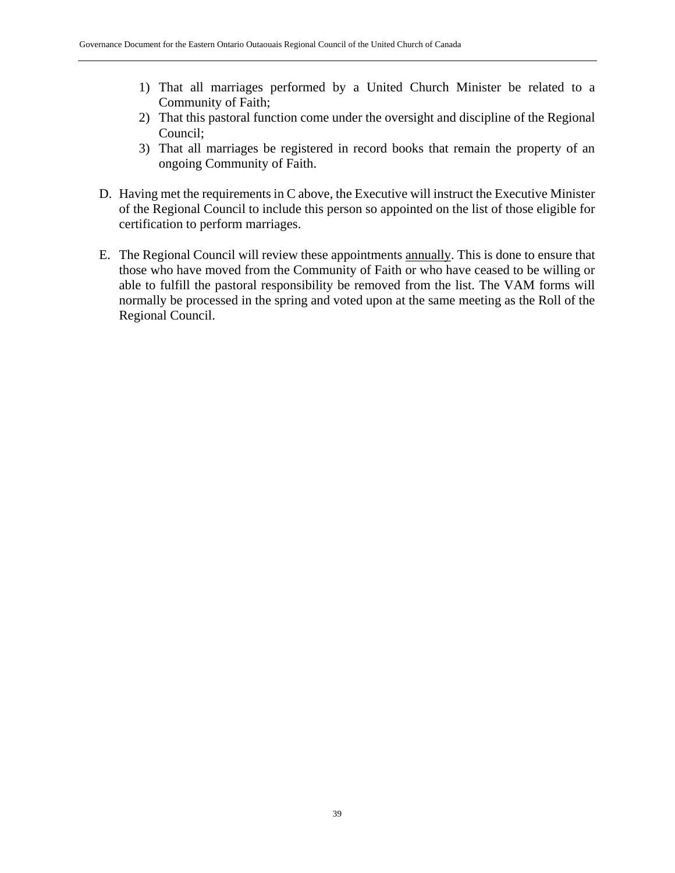- 1) That all marriages performed by a United Church Minister be related to a Community of Faith;
- 2) That this pastoral function come under the oversight and discipline of the Regional Council;
- 3) That all marriages be registered in record books that remain the property of an ongoing Community of Faith.
- D. Having met the requirements in C above, the Executive will instruct the Executive Minister of the Regional Council to include this person so appointed on the list of those eligible for certification to perform marriages.
- E. The Regional Council will review these appointments annually. This is done to ensure that those who have moved from the Community of Faith or who have ceased to be willing or able to fulfill the pastoral responsibility be removed from the list. The VAM forms will normally be processed in the spring and voted upon at the same meeting as the Roll of the Regional Council.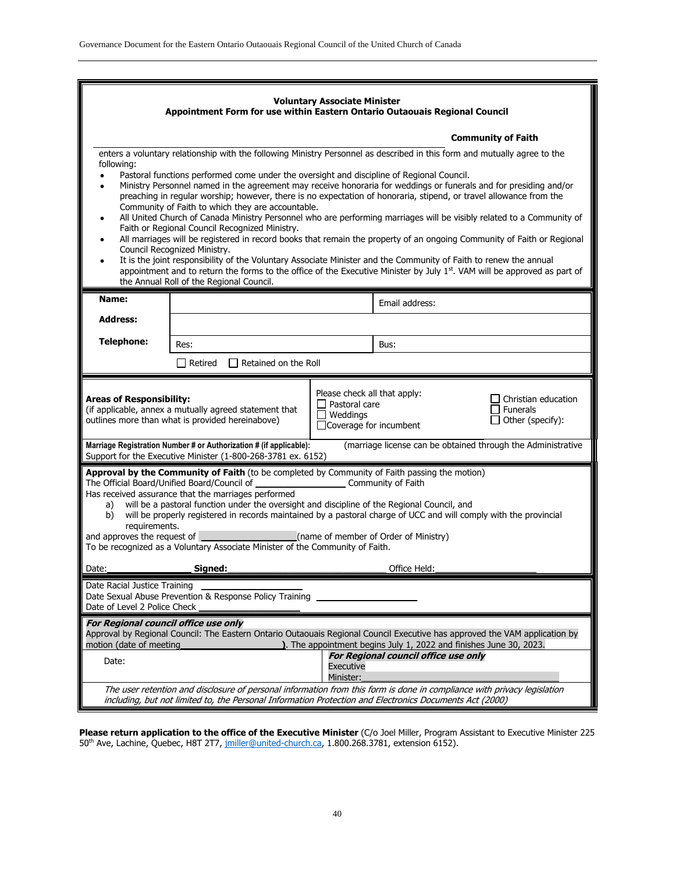| <b>Voluntary Associate Minister</b><br>Appointment Form for use within Eastern Ontario Outaouais Regional Council                                                                                                                                                                                                                                                                                                                                                                                                                                                                                                                                                                                                                                                                                                                                                                                                                                                                                                                                                                                                                                                                           |                                          |                               |                                      |  |
|---------------------------------------------------------------------------------------------------------------------------------------------------------------------------------------------------------------------------------------------------------------------------------------------------------------------------------------------------------------------------------------------------------------------------------------------------------------------------------------------------------------------------------------------------------------------------------------------------------------------------------------------------------------------------------------------------------------------------------------------------------------------------------------------------------------------------------------------------------------------------------------------------------------------------------------------------------------------------------------------------------------------------------------------------------------------------------------------------------------------------------------------------------------------------------------------|------------------------------------------|-------------------------------|--------------------------------------|--|
| <b>Community of Faith</b>                                                                                                                                                                                                                                                                                                                                                                                                                                                                                                                                                                                                                                                                                                                                                                                                                                                                                                                                                                                                                                                                                                                                                                   |                                          |                               |                                      |  |
| enters a voluntary relationship with the following Ministry Personnel as described in this form and mutually agree to the<br>following:<br>Pastoral functions performed come under the oversight and discipline of Regional Council.<br>Ministry Personnel named in the agreement may receive honoraria for weddings or funerals and for presiding and/or<br>$\bullet$<br>preaching in regular worship; however, there is no expectation of honoraria, stipend, or travel allowance from the<br>Community of Faith to which they are accountable.<br>All United Church of Canada Ministry Personnel who are performing marriages will be visibly related to a Community of<br>٠<br>Faith or Regional Council Recognized Ministry.<br>All marriages will be registered in record books that remain the property of an ongoing Community of Faith or Regional<br>Council Recognized Ministry.<br>It is the joint responsibility of the Voluntary Associate Minister and the Community of Faith to renew the annual<br>appointment and to return the forms to the office of the Executive Minister by July $1st$ . VAM will be approved as part of<br>the Annual Roll of the Regional Council. |                                          |                               |                                      |  |
| Name:                                                                                                                                                                                                                                                                                                                                                                                                                                                                                                                                                                                                                                                                                                                                                                                                                                                                                                                                                                                                                                                                                                                                                                                       |                                          |                               | Email address:                       |  |
| <b>Address:</b>                                                                                                                                                                                                                                                                                                                                                                                                                                                                                                                                                                                                                                                                                                                                                                                                                                                                                                                                                                                                                                                                                                                                                                             |                                          |                               |                                      |  |
| <b>Telephone:</b>                                                                                                                                                                                                                                                                                                                                                                                                                                                                                                                                                                                                                                                                                                                                                                                                                                                                                                                                                                                                                                                                                                                                                                           | Res:                                     |                               | Bus:                                 |  |
|                                                                                                                                                                                                                                                                                                                                                                                                                                                                                                                                                                                                                                                                                                                                                                                                                                                                                                                                                                                                                                                                                                                                                                                             | $\Box$ Retained on the Roll<br>□ Retired |                               |                                      |  |
| Please check all that apply:<br><b>Areas of Responsibility:</b><br>Christian education<br>$\Box$ Pastoral care<br>(if applicable, annex a mutually agreed statement that<br><b>Funerals</b><br>$\Box$ Weddings<br>outlines more than what is provided hereinabove)<br>Other (specify):<br>□Coverage for incumbent<br>Marriage Registration Number # or Authorization # (if applicable):<br>(marriage license can be obtained through the Administrative                                                                                                                                                                                                                                                                                                                                                                                                                                                                                                                                                                                                                                                                                                                                     |                                          |                               |                                      |  |
| Support for the Executive Minister (1-800-268-3781 ex. 6152)<br>Approval by the Community of Faith (to be completed by Community of Faith passing the motion)<br>The Official Board/Unified Board/Council of ____________________________Community of Faith<br>Has received assurance that the marriages performed<br>will be a pastoral function under the oversight and discipline of the Regional Council, and<br>a)<br>will be properly registered in records maintained by a pastoral charge of UCC and will comply with the provincial<br>b)<br>requirements.<br>and approves the request of<br>(name of member of Order of Ministry)<br>To be recognized as a Voluntary Associate Minister of the Community of Faith.<br>Signed:<br>Office Held:<br>Date:                                                                                                                                                                                                                                                                                                                                                                                                                            |                                          |                               |                                      |  |
| Date Racial Justice Training                                                                                                                                                                                                                                                                                                                                                                                                                                                                                                                                                                                                                                                                                                                                                                                                                                                                                                                                                                                                                                                                                                                                                                |                                          |                               |                                      |  |
| Date Sexual Abuse Prevention & Response Policy Training<br>Date of Level 2 Police Check                                                                                                                                                                                                                                                                                                                                                                                                                                                                                                                                                                                                                                                                                                                                                                                                                                                                                                                                                                                                                                                                                                     |                                          |                               |                                      |  |
| For Regional council office use only<br>Approval by Regional Council: The Eastern Ontario Outaouais Regional Council Executive has approved the VAM application by<br>motion (date of meeting<br>1. The appointment begins July 1, 2022 and finishes June 30, 2023.                                                                                                                                                                                                                                                                                                                                                                                                                                                                                                                                                                                                                                                                                                                                                                                                                                                                                                                         |                                          |                               |                                      |  |
| Date:                                                                                                                                                                                                                                                                                                                                                                                                                                                                                                                                                                                                                                                                                                                                                                                                                                                                                                                                                                                                                                                                                                                                                                                       |                                          | <b>Executive</b><br>Minister: | For Regional council office use only |  |
| The user retention and disclosure of personal information from this form is done in compliance with privacy legislation<br>including, but not limited to, the Personal Information Protection and Electronics Documents Act (2000)                                                                                                                                                                                                                                                                                                                                                                                                                                                                                                                                                                                                                                                                                                                                                                                                                                                                                                                                                          |                                          |                               |                                      |  |

**Please return application to the office of the Executive Minister** (C/o Joel Miller, Program Assistant to Executive Minister 225 50<sup>th</sup> Ave, Lachine, Quebec, H8T 2T7, [jmiller@united-church.ca,](mailto:jmiller@united-church.ca) 1.800.268.3781, extension 6152).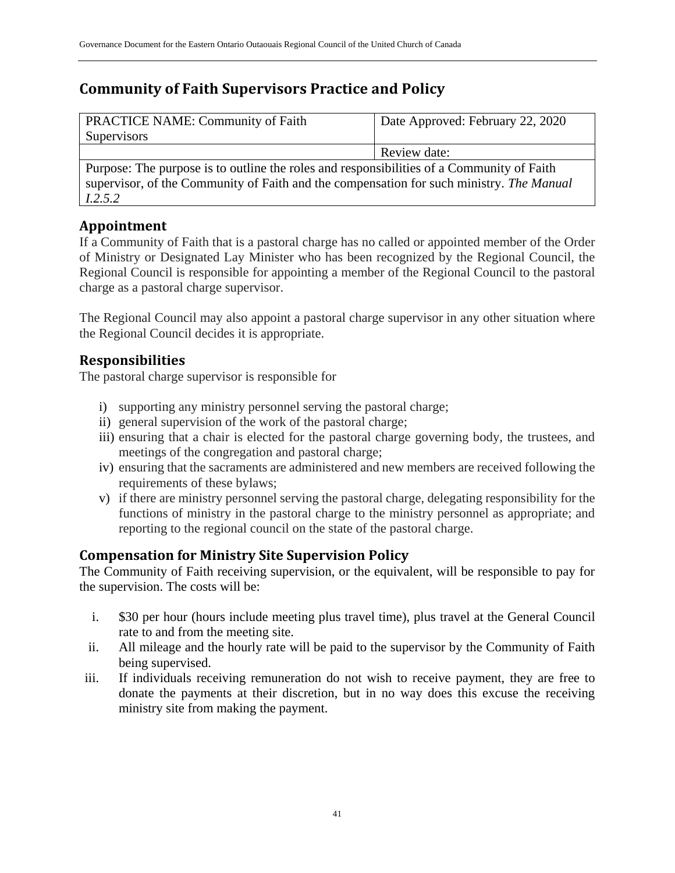## <span id="page-41-0"></span>**Community of Faith Supervisors Practice and Policy**

| <b>PRACTICE NAME: Community of Faith</b>                                                  | Date Approved: February 22, 2020 |  |
|-------------------------------------------------------------------------------------------|----------------------------------|--|
| <b>Supervisors</b>                                                                        |                                  |  |
|                                                                                           | Review date:                     |  |
| Purpose: The purpose is to outline the roles and responsibilities of a Community of Faith |                                  |  |
| supervisor, of the Community of Faith and the compensation for such ministry. The Manual  |                                  |  |
| 1.2.5.2                                                                                   |                                  |  |

## <span id="page-41-1"></span>**Appointment**

If a Community of Faith that is a pastoral charge has no called or appointed member of the Order of Ministry or Designated Lay Minister who has been recognized by the Regional Council, the Regional Council is responsible for appointing a member of the Regional Council to the pastoral charge as a pastoral charge supervisor.

The Regional Council may also appoint a pastoral charge supervisor in any other situation where the Regional Council decides it is appropriate.

## <span id="page-41-2"></span>**Responsibilities**

The pastoral charge supervisor is responsible for

- i) supporting any ministry personnel serving the pastoral charge;
- ii) general supervision of the work of the pastoral charge;
- iii) ensuring that a chair is elected for the pastoral charge governing body, the trustees, and meetings of the congregation and pastoral charge;
- iv) ensuring that the sacraments are administered and new members are received following the requirements of these bylaws;
- v) if there are ministry personnel serving the pastoral charge, delegating responsibility for the functions of ministry in the pastoral charge to the ministry personnel as appropriate; and reporting to the regional council on the state of the pastoral charge.

## <span id="page-41-3"></span>**Compensation for Ministry Site Supervision Policy**

The Community of Faith receiving supervision, or the equivalent, will be responsible to pay for the supervision. The costs will be:

- i. \$30 per hour (hours include meeting plus travel time), plus travel at the General Council rate to and from the meeting site.
- ii. All mileage and the hourly rate will be paid to the supervisor by the Community of Faith being supervised.
- iii. If individuals receiving remuneration do not wish to receive payment, they are free to donate the payments at their discretion, but in no way does this excuse the receiving ministry site from making the payment.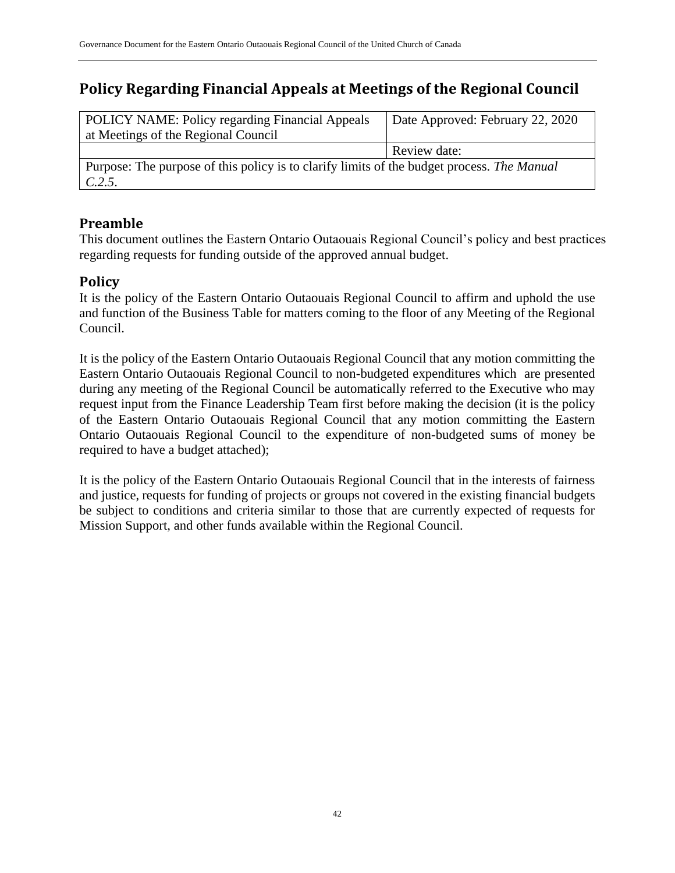## <span id="page-42-0"></span>**Policy Regarding Financial Appeals at Meetings of the Regional Council**

| <b>POLICY NAME: Policy regarding Financial Appeals</b>                                     | Date Approved: February 22, 2020 |  |
|--------------------------------------------------------------------------------------------|----------------------------------|--|
| at Meetings of the Regional Council                                                        |                                  |  |
|                                                                                            | Review date:                     |  |
| Purpose: The purpose of this policy is to clarify limits of the budget process. The Manual |                                  |  |
| C.2.5.                                                                                     |                                  |  |

## <span id="page-42-1"></span>**Preamble**

This document outlines the Eastern Ontario Outaouais Regional Council's policy and best practices regarding requests for funding outside of the approved annual budget.

## <span id="page-42-2"></span>**Policy**

It is the policy of the Eastern Ontario Outaouais Regional Council to affirm and uphold the use and function of the Business Table for matters coming to the floor of any Meeting of the Regional Council.

It is the policy of the Eastern Ontario Outaouais Regional Council that any motion committing the Eastern Ontario Outaouais Regional Council to non-budgeted expenditures which are presented during any meeting of the Regional Council be automatically referred to the Executive who may request input from the Finance Leadership Team first before making the decision (it is the policy of the Eastern Ontario Outaouais Regional Council that any motion committing the Eastern Ontario Outaouais Regional Council to the expenditure of non-budgeted sums of money be required to have a budget attached);

It is the policy of the Eastern Ontario Outaouais Regional Council that in the interests of fairness and justice, requests for funding of projects or groups not covered in the existing financial budgets be subject to conditions and criteria similar to those that are currently expected of requests for Mission Support, and other funds available within the Regional Council.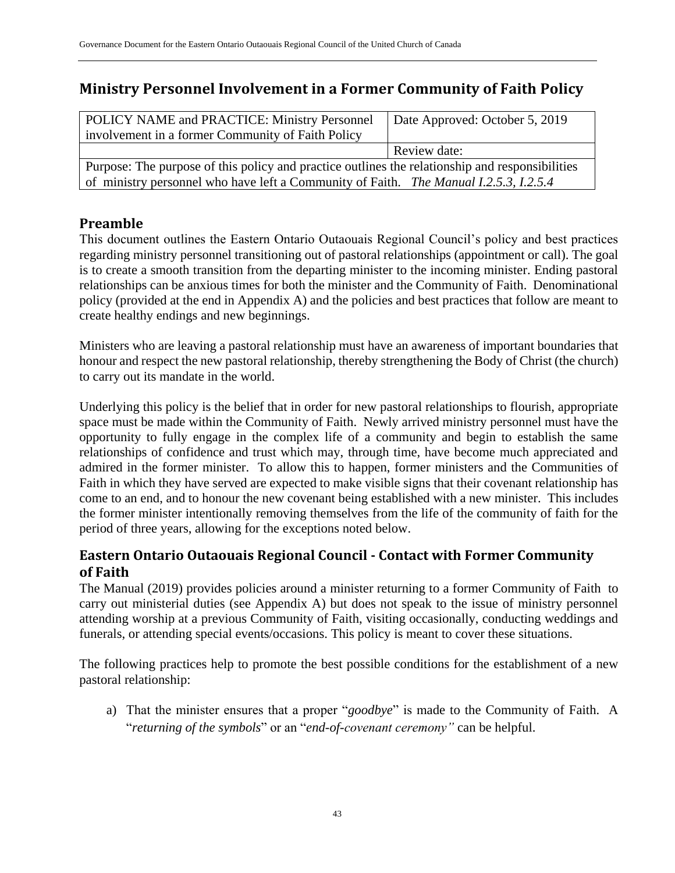## <span id="page-43-0"></span>**Ministry Personnel Involvement in a Former Community of Faith Policy**

| POLICY NAME and PRACTICE: Ministry Personnel                                                    | Date Approved: October 5, 2019 |  |
|-------------------------------------------------------------------------------------------------|--------------------------------|--|
| involvement in a former Community of Faith Policy                                               |                                |  |
|                                                                                                 | Review date:                   |  |
| Purpose: The purpose of this policy and practice outlines the relationship and responsibilities |                                |  |
| of ministry personnel who have left a Community of Faith. <i>The Manual 1.2.5.3, 1.2.5.4</i>    |                                |  |

## <span id="page-43-1"></span>**Preamble**

This document outlines the Eastern Ontario Outaouais Regional Council's policy and best practices regarding ministry personnel transitioning out of pastoral relationships (appointment or call). The goal is to create a smooth transition from the departing minister to the incoming minister. Ending pastoral relationships can be anxious times for both the minister and the Community of Faith. Denominational policy (provided at the end in Appendix A) and the policies and best practices that follow are meant to create healthy endings and new beginnings.

Ministers who are leaving a pastoral relationship must have an awareness of important boundaries that honour and respect the new pastoral relationship, thereby strengthening the Body of Christ (the church) to carry out its mandate in the world.

Underlying this policy is the belief that in order for new pastoral relationships to flourish, appropriate space must be made within the Community of Faith. Newly arrived ministry personnel must have the opportunity to fully engage in the complex life of a community and begin to establish the same relationships of confidence and trust which may, through time, have become much appreciated and admired in the former minister. To allow this to happen, former ministers and the Communities of Faith in which they have served are expected to make visible signs that their covenant relationship has come to an end, and to honour the new covenant being established with a new minister. This includes the former minister intentionally removing themselves from the life of the community of faith for the period of three years, allowing for the exceptions noted below.

## <span id="page-43-2"></span>**Eastern Ontario Outaouais Regional Council - Contact with Former Community of Faith**

The Manual (2019) provides policies around a minister returning to a former Community of Faith to carry out ministerial duties (see Appendix A) but does not speak to the issue of ministry personnel attending worship at a previous Community of Faith, visiting occasionally, conducting weddings and funerals, or attending special events/occasions. This policy is meant to cover these situations.

The following practices help to promote the best possible conditions for the establishment of a new pastoral relationship:

a) That the minister ensures that a proper "*goodbye*" is made to the Community of Faith. A "*returning of the symbols*" or an "*end-of-covenant ceremony"* can be helpful.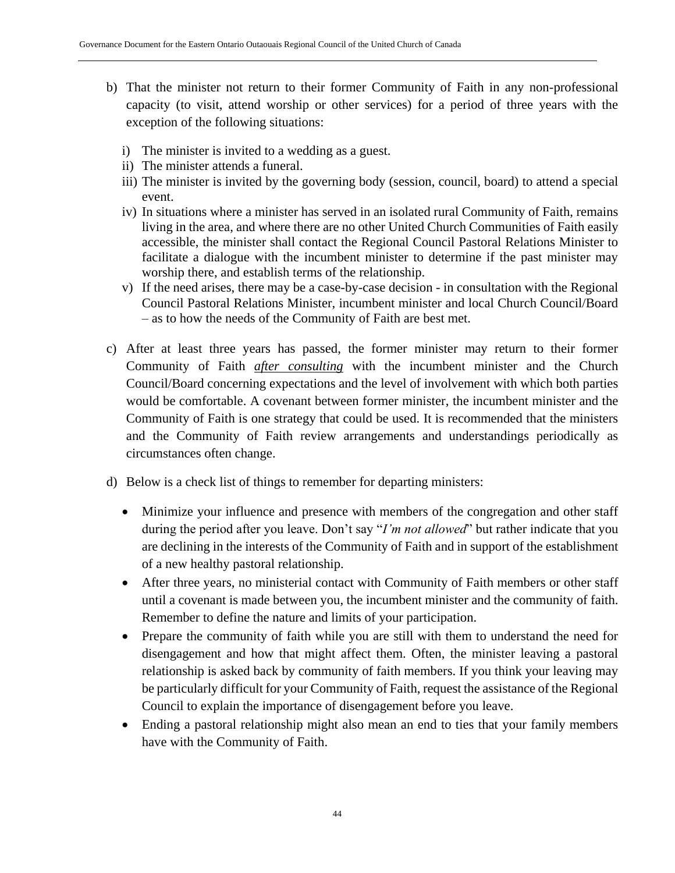- b) That the minister not return to their former Community of Faith in any non-professional capacity (to visit, attend worship or other services) for a period of three years with the exception of the following situations:
	- i) The minister is invited to a wedding as a guest.
	- ii) The minister attends a funeral.
	- iii) The minister is invited by the governing body (session, council, board) to attend a special event.
	- iv) In situations where a minister has served in an isolated rural Community of Faith, remains living in the area, and where there are no other United Church Communities of Faith easily accessible, the minister shall contact the Regional Council Pastoral Relations Minister to facilitate a dialogue with the incumbent minister to determine if the past minister may worship there, and establish terms of the relationship.
	- v) If the need arises, there may be a case-by-case decision in consultation with the Regional Council Pastoral Relations Minister, incumbent minister and local Church Council/Board – as to how the needs of the Community of Faith are best met.
- c) After at least three years has passed, the former minister may return to their former Community of Faith *after consulting* with the incumbent minister and the Church Council/Board concerning expectations and the level of involvement with which both parties would be comfortable. A covenant between former minister, the incumbent minister and the Community of Faith is one strategy that could be used. It is recommended that the ministers and the Community of Faith review arrangements and understandings periodically as circumstances often change.
- d) Below is a check list of things to remember for departing ministers:
	- Minimize your influence and presence with members of the congregation and other staff during the period after you leave. Don't say "*I'm not allowed*" but rather indicate that you are declining in the interests of the Community of Faith and in support of the establishment of a new healthy pastoral relationship.
	- After three years, no ministerial contact with Community of Faith members or other staff until a covenant is made between you, the incumbent minister and the community of faith. Remember to define the nature and limits of your participation.
	- Prepare the community of faith while you are still with them to understand the need for disengagement and how that might affect them. Often, the minister leaving a pastoral relationship is asked back by community of faith members. If you think your leaving may be particularly difficult for your Community of Faith, request the assistance of the Regional Council to explain the importance of disengagement before you leave.
	- Ending a pastoral relationship might also mean an end to ties that your family members have with the Community of Faith.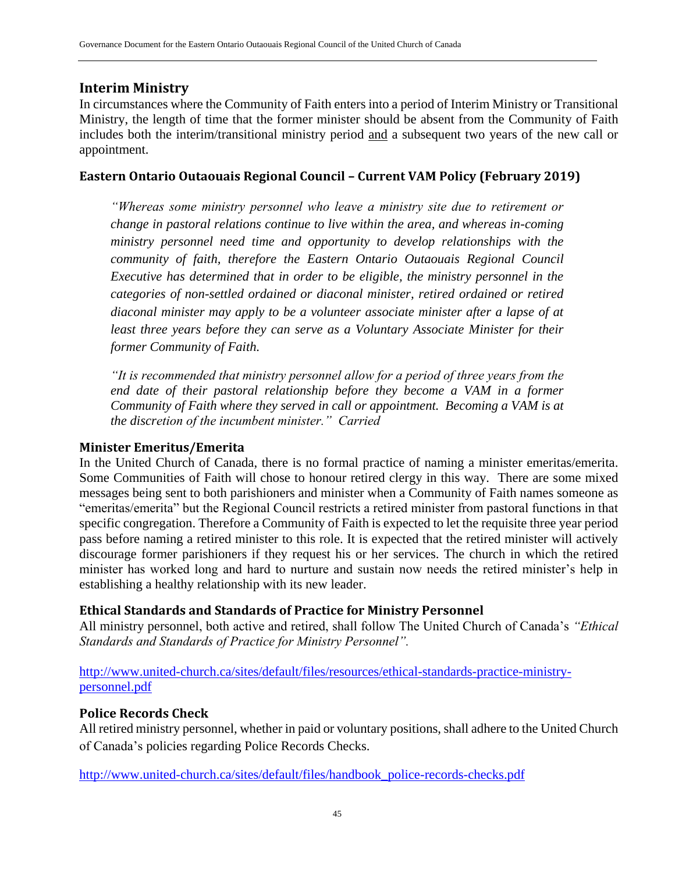#### <span id="page-45-0"></span>**Interim Ministry**

In circumstances where the Community of Faith enters into a period of Interim Ministry or Transitional Ministry, the length of time that the former minister should be absent from the Community of Faith includes both the interim/transitional ministry period and a subsequent two years of the new call or appointment.

#### <span id="page-45-1"></span>**Eastern Ontario Outaouais Regional Council – Current VAM Policy (February 2019)**

*"Whereas some ministry personnel who leave a ministry site due to retirement or change in pastoral relations continue to live within the area, and whereas in-coming ministry personnel need time and opportunity to develop relationships with the community of faith, therefore the Eastern Ontario Outaouais Regional Council Executive has determined that in order to be eligible, the ministry personnel in the categories of non-settled ordained or diaconal minister, retired ordained or retired diaconal minister may apply to be a volunteer associate minister after a lapse of at*  least three years before they can serve as a Voluntary Associate Minister for their *former Community of Faith.*

*"It is recommended that ministry personnel allow for a period of three years from the end date of their pastoral relationship before they become a VAM in a former Community of Faith where they served in call or appointment. Becoming a VAM is at the discretion of the incumbent minister." Carried*

#### <span id="page-45-2"></span>**Minister Emeritus/Emerita**

In the United Church of Canada, there is no formal practice of naming a minister emeritas/emerita. Some Communities of Faith will chose to honour retired clergy in this way. There are some mixed messages being sent to both parishioners and minister when a Community of Faith names someone as "emeritas/emerita" but the Regional Council restricts a retired minister from pastoral functions in that specific congregation. Therefore a Community of Faith is expected to let the requisite three year period pass before naming a retired minister to this role. It is expected that the retired minister will actively discourage former parishioners if they request his or her services. The church in which the retired minister has worked long and hard to nurture and sustain now needs the retired minister's help in establishing a healthy relationship with its new leader.

#### <span id="page-45-3"></span>**Ethical Standards and Standards of Practice for Ministry Personnel**

All ministry personnel, both active and retired, shall follow The United Church of Canada's *"Ethical Standards and Standards of Practice for Ministry Personnel".*

[http://www.united-church.ca/sites/default/files/resources/ethical-standards-practice-ministry](http://www.united-church.ca/sites/default/files/resources/ethical-standards-practice-ministry-personnel.pdf)[personnel.pdf](http://www.united-church.ca/sites/default/files/resources/ethical-standards-practice-ministry-personnel.pdf)

#### <span id="page-45-4"></span>**Police Records Check**

All retired ministry personnel, whether in paid or voluntary positions, shall adhere to the United Church of Canada's policies regarding Police Records Checks.

[http://www.united-church.ca/sites/default/files/handbook\\_police-records-checks.pdf](http://www.united-church.ca/sites/default/files/handbook_police-records-checks.pdf)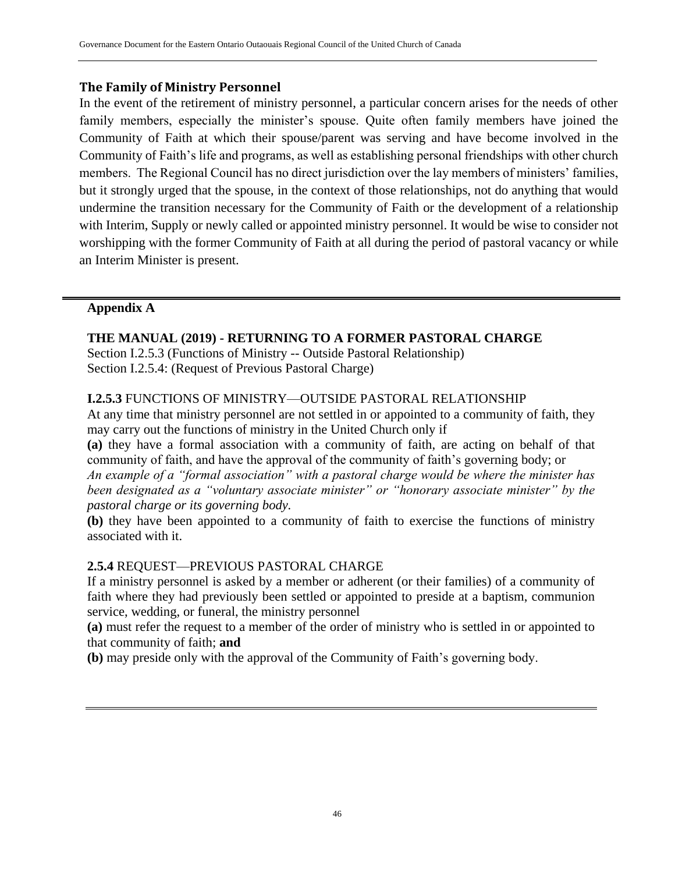#### <span id="page-46-0"></span>**The Family of Ministry Personnel**

In the event of the retirement of ministry personnel, a particular concern arises for the needs of other family members, especially the minister's spouse. Quite often family members have joined the Community of Faith at which their spouse/parent was serving and have become involved in the Community of Faith's life and programs, as well as establishing personal friendships with other church members. The Regional Council has no direct jurisdiction over the lay members of ministers' families, but it strongly urged that the spouse, in the context of those relationships, not do anything that would undermine the transition necessary for the Community of Faith or the development of a relationship with Interim, Supply or newly called or appointed ministry personnel. It would be wise to consider not worshipping with the former Community of Faith at all during the period of pastoral vacancy or while an Interim Minister is present.

#### **Appendix A**

#### **THE MANUAL (2019) - RETURNING TO A FORMER PASTORAL CHARGE**

Section I.2.5.3 (Functions of Ministry -- Outside Pastoral Relationship) Section I.2.5.4: (Request of Previous Pastoral Charge)

#### **I.2.5.3** FUNCTIONS OF MINISTRY—OUTSIDE PASTORAL RELATIONSHIP

At any time that ministry personnel are not settled in or appointed to a community of faith, they may carry out the functions of ministry in the United Church only if

**(a)** they have a formal association with a community of faith, are acting on behalf of that community of faith, and have the approval of the community of faith's governing body; or

*An example of a "formal association" with a pastoral charge would be where the minister has been designated as a "voluntary associate minister" or "honorary associate minister" by the pastoral charge or its governing body.* 

**(b)** they have been appointed to a community of faith to exercise the functions of ministry associated with it.

#### **2.5.4** REQUEST—PREVIOUS PASTORAL CHARGE

If a ministry personnel is asked by a member or adherent (or their families) of a community of faith where they had previously been settled or appointed to preside at a baptism, communion service, wedding, or funeral, the ministry personnel

**(a)** must refer the request to a member of the order of ministry who is settled in or appointed to that community of faith; **and** 

**(b)** may preside only with the approval of the Community of Faith's governing body.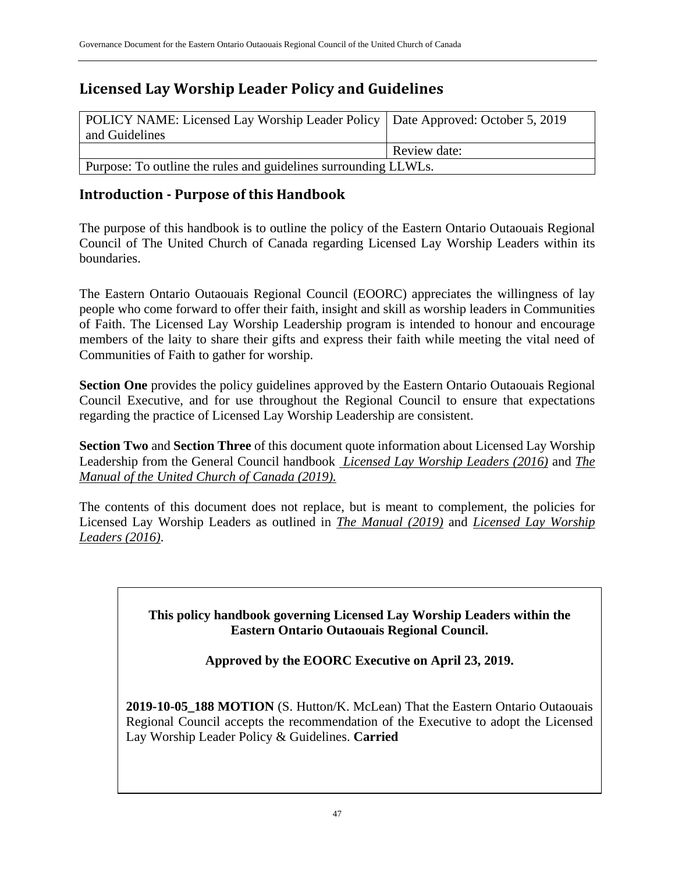## <span id="page-47-0"></span>**Licensed Lay Worship Leader Policy and Guidelines**

| POLICY NAME: Licensed Lay Worship Leader Policy   Date Approved: October 5, 2019 |              |
|----------------------------------------------------------------------------------|--------------|
| and Guidelines                                                                   |              |
|                                                                                  | Review date: |
| Purpose: To outline the rules and guidelines surrounding LLWLs.                  |              |

## <span id="page-47-1"></span>**Introduction - Purpose of this Handbook**

The purpose of this handbook is to outline the policy of the Eastern Ontario Outaouais Regional Council of The United Church of Canada regarding Licensed Lay Worship Leaders within its boundaries.

The Eastern Ontario Outaouais Regional Council (EOORC) appreciates the willingness of lay people who come forward to offer their faith, insight and skill as worship leaders in Communities of Faith. The Licensed Lay Worship Leadership program is intended to honour and encourage members of the laity to share their gifts and express their faith while meeting the vital need of Communities of Faith to gather for worship.

**Section One** provides the policy guidelines approved by the Eastern Ontario Outaouais Regional Council Executive, and for use throughout the Regional Council to ensure that expectations regarding the practice of Licensed Lay Worship Leadership are consistent.

**Section Two** and **Section Three** of this document quote information about Licensed Lay Worship Leadership from the General Council handbook *Licensed Lay Worship Leaders (2016)* and *The Manual of the United Church of Canada (2019).*

The contents of this document does not replace, but is meant to complement, the policies for Licensed Lay Worship Leaders as outlined in *The Manual (2019)* and *Licensed Lay Worship Leaders (2016)*.

> **This policy handbook governing Licensed Lay Worship Leaders within the Eastern Ontario Outaouais Regional Council.**

> > **Approved by the EOORC Executive on April 23, 2019.**

**2019-10-05\_188 MOTION** (S. Hutton/K. McLean) That the Eastern Ontario Outaouais Regional Council accepts the recommendation of the Executive to adopt the Licensed Lay Worship Leader Policy & Guidelines. **Carried**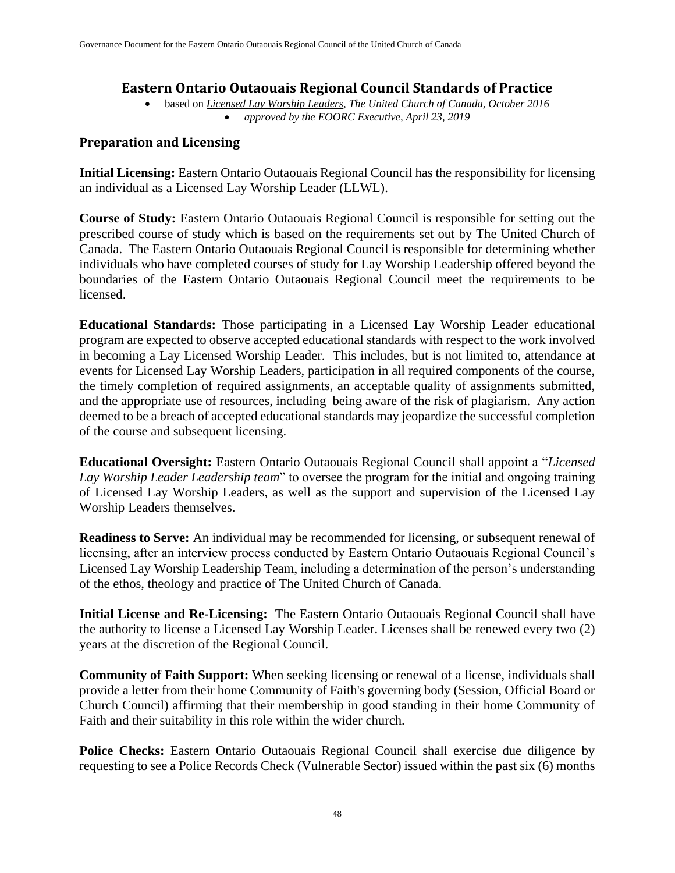#### <span id="page-48-0"></span>**Eastern Ontario Outaouais Regional Council Standards of Practice**

• based on *Licensed Lay Worship Leaders, The United Church of Canada, October 2016* • *approved by the EOORC Executive, April 23, 2019*

#### <span id="page-48-1"></span>**Preparation and Licensing**

**Initial Licensing:** Eastern Ontario Outaouais Regional Council has the responsibility for licensing an individual as a Licensed Lay Worship Leader (LLWL).

**Course of Study:** Eastern Ontario Outaouais Regional Council is responsible for setting out the prescribed course of study which is based on the requirements set out by The United Church of Canada. The Eastern Ontario Outaouais Regional Council is responsible for determining whether individuals who have completed courses of study for Lay Worship Leadership offered beyond the boundaries of the Eastern Ontario Outaouais Regional Council meet the requirements to be licensed.

**Educational Standards:** Those participating in a Licensed Lay Worship Leader educational program are expected to observe accepted educational standards with respect to the work involved in becoming a Lay Licensed Worship Leader. This includes, but is not limited to, attendance at events for Licensed Lay Worship Leaders, participation in all required components of the course, the timely completion of required assignments, an acceptable quality of assignments submitted, and the appropriate use of resources, including being aware of the risk of plagiarism. Any action deemed to be a breach of accepted educational standards may jeopardize the successful completion of the course and subsequent licensing.

**Educational Oversight:** Eastern Ontario Outaouais Regional Council shall appoint a "*Licensed Lay Worship Leader Leadership team*" to oversee the program for the initial and ongoing training of Licensed Lay Worship Leaders, as well as the support and supervision of the Licensed Lay Worship Leaders themselves.

**Readiness to Serve:** An individual may be recommended for licensing, or subsequent renewal of licensing, after an interview process conducted by Eastern Ontario Outaouais Regional Council's Licensed Lay Worship Leadership Team, including a determination of the person's understanding of the ethos, theology and practice of The United Church of Canada.

**Initial License and Re-Licensing:** The Eastern Ontario Outaouais Regional Council shall have the authority to license a Licensed Lay Worship Leader. Licenses shall be renewed every two (2) years at the discretion of the Regional Council.

**Community of Faith Support:** When seeking licensing or renewal of a license, individuals shall provide a letter from their home Community of Faith's governing body (Session, Official Board or Church Council) affirming that their membership in good standing in their home Community of Faith and their suitability in this role within the wider church.

Police Checks: Eastern Ontario Outaouais Regional Council shall exercise due diligence by requesting to see a Police Records Check (Vulnerable Sector) issued within the past six (6) months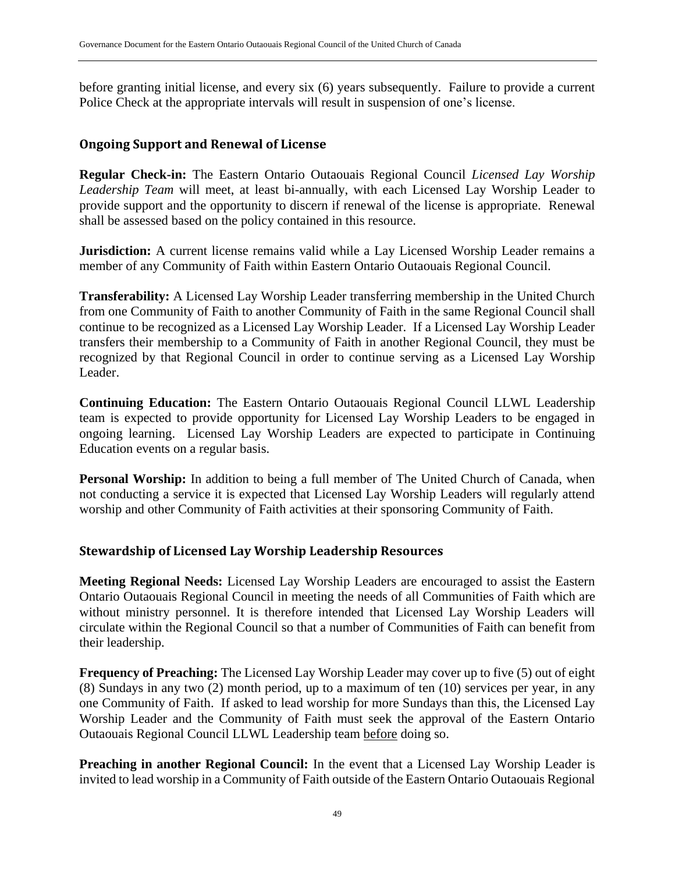before granting initial license, and every six (6) years subsequently. Failure to provide a current Police Check at the appropriate intervals will result in suspension of one's license.

#### <span id="page-49-0"></span>**Ongoing Support and Renewal of License**

**Regular Check-in:** The Eastern Ontario Outaouais Regional Council *Licensed Lay Worship Leadership Team* will meet, at least bi-annually, with each Licensed Lay Worship Leader to provide support and the opportunity to discern if renewal of the license is appropriate. Renewal shall be assessed based on the policy contained in this resource.

**Jurisdiction:** A current license remains valid while a Lay Licensed Worship Leader remains a member of any Community of Faith within Eastern Ontario Outaouais Regional Council.

**Transferability:** A Licensed Lay Worship Leader transferring membership in the United Church from one Community of Faith to another Community of Faith in the same Regional Council shall continue to be recognized as a Licensed Lay Worship Leader. If a Licensed Lay Worship Leader transfers their membership to a Community of Faith in another Regional Council, they must be recognized by that Regional Council in order to continue serving as a Licensed Lay Worship Leader.

**Continuing Education:** The Eastern Ontario Outaouais Regional Council LLWL Leadership team is expected to provide opportunity for Licensed Lay Worship Leaders to be engaged in ongoing learning. Licensed Lay Worship Leaders are expected to participate in Continuing Education events on a regular basis.

**Personal Worship:** In addition to being a full member of The United Church of Canada, when not conducting a service it is expected that Licensed Lay Worship Leaders will regularly attend worship and other Community of Faith activities at their sponsoring Community of Faith.

#### <span id="page-49-1"></span>**Stewardship of Licensed Lay Worship Leadership Resources**

**Meeting Regional Needs:** Licensed Lay Worship Leaders are encouraged to assist the Eastern Ontario Outaouais Regional Council in meeting the needs of all Communities of Faith which are without ministry personnel. It is therefore intended that Licensed Lay Worship Leaders will circulate within the Regional Council so that a number of Communities of Faith can benefit from their leadership.

**Frequency of Preaching:** The Licensed Lay Worship Leader may cover up to five (5) out of eight (8) Sundays in any two (2) month period, up to a maximum of ten (10) services per year, in any one Community of Faith. If asked to lead worship for more Sundays than this, the Licensed Lay Worship Leader and the Community of Faith must seek the approval of the Eastern Ontario Outaouais Regional Council LLWL Leadership team before doing so.

**Preaching in another Regional Council:** In the event that a Licensed Lay Worship Leader is invited to lead worship in a Community of Faith outside of the Eastern Ontario Outaouais Regional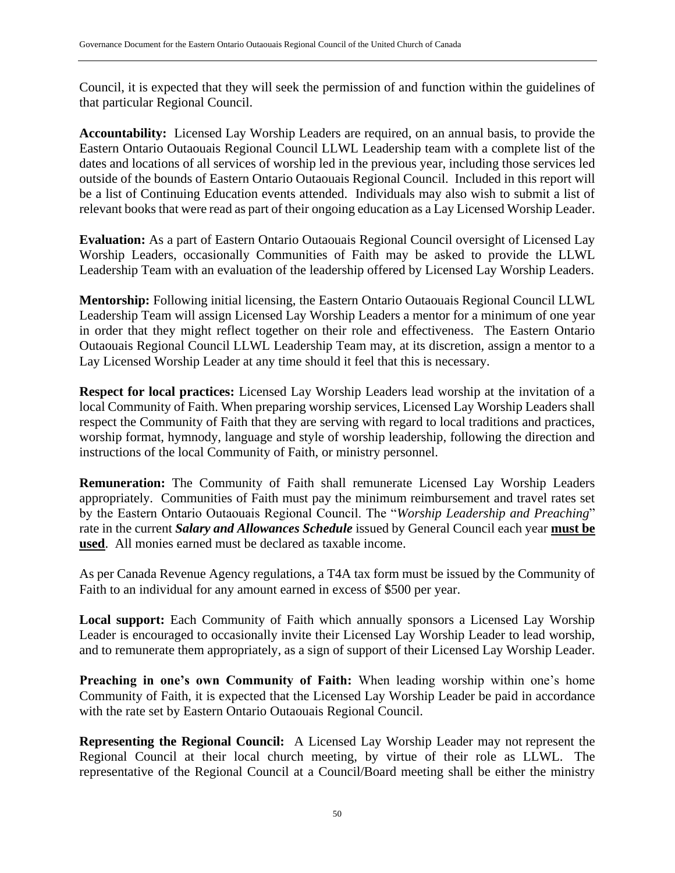Council, it is expected that they will seek the permission of and function within the guidelines of that particular Regional Council.

**Accountability:** Licensed Lay Worship Leaders are required, on an annual basis, to provide the Eastern Ontario Outaouais Regional Council LLWL Leadership team with a complete list of the dates and locations of all services of worship led in the previous year, including those services led outside of the bounds of Eastern Ontario Outaouais Regional Council. Included in this report will be a list of Continuing Education events attended. Individuals may also wish to submit a list of relevant books that were read as part of their ongoing education as a Lay Licensed Worship Leader.

**Evaluation:** As a part of Eastern Ontario Outaouais Regional Council oversight of Licensed Lay Worship Leaders, occasionally Communities of Faith may be asked to provide the LLWL Leadership Team with an evaluation of the leadership offered by Licensed Lay Worship Leaders.

**Mentorship:** Following initial licensing, the Eastern Ontario Outaouais Regional Council LLWL Leadership Team will assign Licensed Lay Worship Leaders a mentor for a minimum of one year in order that they might reflect together on their role and effectiveness. The Eastern Ontario Outaouais Regional Council LLWL Leadership Team may, at its discretion, assign a mentor to a Lay Licensed Worship Leader at any time should it feel that this is necessary.

**Respect for local practices:** Licensed Lay Worship Leaders lead worship at the invitation of a local Community of Faith. When preparing worship services, Licensed Lay Worship Leaders shall respect the Community of Faith that they are serving with regard to local traditions and practices, worship format, hymnody, language and style of worship leadership, following the direction and instructions of the local Community of Faith, or ministry personnel.

**Remuneration:** The Community of Faith shall remunerate Licensed Lay Worship Leaders appropriately. Communities of Faith must pay the minimum reimbursement and travel rates set by the Eastern Ontario Outaouais Regional Council. The "*Worship Leadership and Preaching*" rate in the current *Salary and Allowances Schedule* issued by General Council each year **must be used**. All monies earned must be declared as taxable income.

As per Canada Revenue Agency regulations, a T4A tax form must be issued by the Community of Faith to an individual for any amount earned in excess of \$500 per year.

**Local support:** Each Community of Faith which annually sponsors a Licensed Lay Worship Leader is encouraged to occasionally invite their Licensed Lay Worship Leader to lead worship, and to remunerate them appropriately, as a sign of support of their Licensed Lay Worship Leader.

**Preaching in one's own Community of Faith:** When leading worship within one's home Community of Faith, it is expected that the Licensed Lay Worship Leader be paid in accordance with the rate set by Eastern Ontario Outaouais Regional Council.

**Representing the Regional Council:** A Licensed Lay Worship Leader may not represent the Regional Council at their local church meeting, by virtue of their role as LLWL. The representative of the Regional Council at a Council/Board meeting shall be either the ministry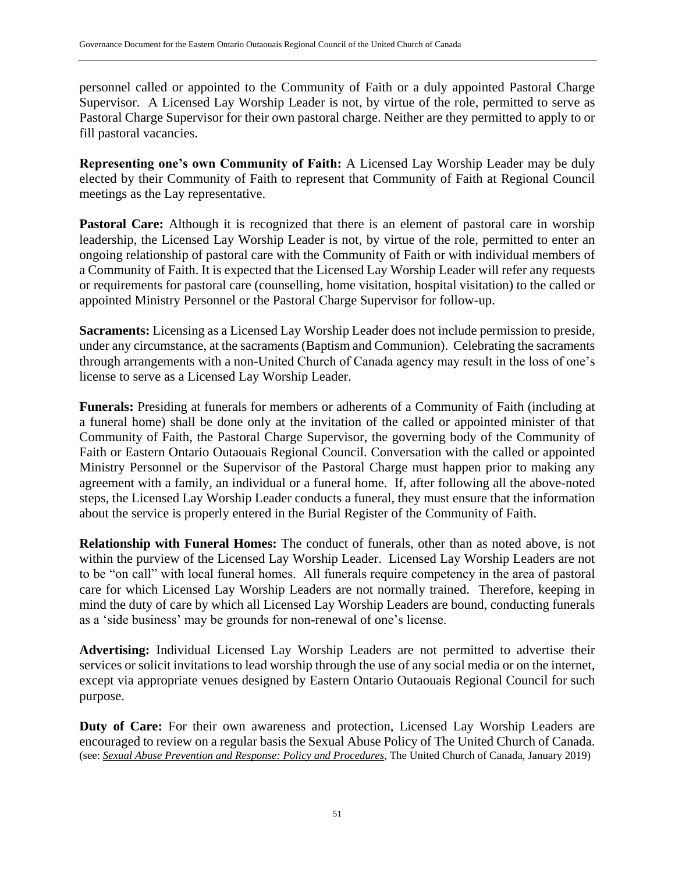personnel called or appointed to the Community of Faith or a duly appointed Pastoral Charge Supervisor. A Licensed Lay Worship Leader is not, by virtue of the role, permitted to serve as Pastoral Charge Supervisor for their own pastoral charge. Neither are they permitted to apply to or fill pastoral vacancies.

**Representing one's own Community of Faith:** A Licensed Lay Worship Leader may be duly elected by their Community of Faith to represent that Community of Faith at Regional Council meetings as the Lay representative.

**Pastoral Care:** Although it is recognized that there is an element of pastoral care in worship leadership, the Licensed Lay Worship Leader is not, by virtue of the role, permitted to enter an ongoing relationship of pastoral care with the Community of Faith or with individual members of a Community of Faith. It is expected that the Licensed Lay Worship Leader will refer any requests or requirements for pastoral care (counselling, home visitation, hospital visitation) to the called or appointed Ministry Personnel or the Pastoral Charge Supervisor for follow-up.

**Sacraments:** Licensing as a Licensed Lay Worship Leader does not include permission to preside, under any circumstance, at the sacraments (Baptism and Communion). Celebrating the sacraments through arrangements with a non-United Church of Canada agency may result in the loss of one's license to serve as a Licensed Lay Worship Leader.

**Funerals:** Presiding at funerals for members or adherents of a Community of Faith (including at a funeral home) shall be done only at the invitation of the called or appointed minister of that Community of Faith, the Pastoral Charge Supervisor, the governing body of the Community of Faith or Eastern Ontario Outaouais Regional Council. Conversation with the called or appointed Ministry Personnel or the Supervisor of the Pastoral Charge must happen prior to making any agreement with a family, an individual or a funeral home. If, after following all the above-noted steps, the Licensed Lay Worship Leader conducts a funeral, they must ensure that the information about the service is properly entered in the Burial Register of the Community of Faith.

**Relationship with Funeral Homes:** The conduct of funerals, other than as noted above, is not within the purview of the Licensed Lay Worship Leader. Licensed Lay Worship Leaders are not to be "on call" with local funeral homes. All funerals require competency in the area of pastoral care for which Licensed Lay Worship Leaders are not normally trained. Therefore, keeping in mind the duty of care by which all Licensed Lay Worship Leaders are bound, conducting funerals as a 'side business' may be grounds for non-renewal of one's license.

**Advertising:** Individual Licensed Lay Worship Leaders are not permitted to advertise their services or solicit invitations to lead worship through the use of any social media or on the internet, except via appropriate venues designed by Eastern Ontario Outaouais Regional Council for such purpose.

**Duty of Care:** For their own awareness and protection, Licensed Lay Worship Leaders are encouraged to review on a regular basis the Sexual Abuse Policy of The United Church of Canada. (see: *Sexual Abuse Prevention and Response: Policy and Procedures*, The United Church of Canada, January 2019)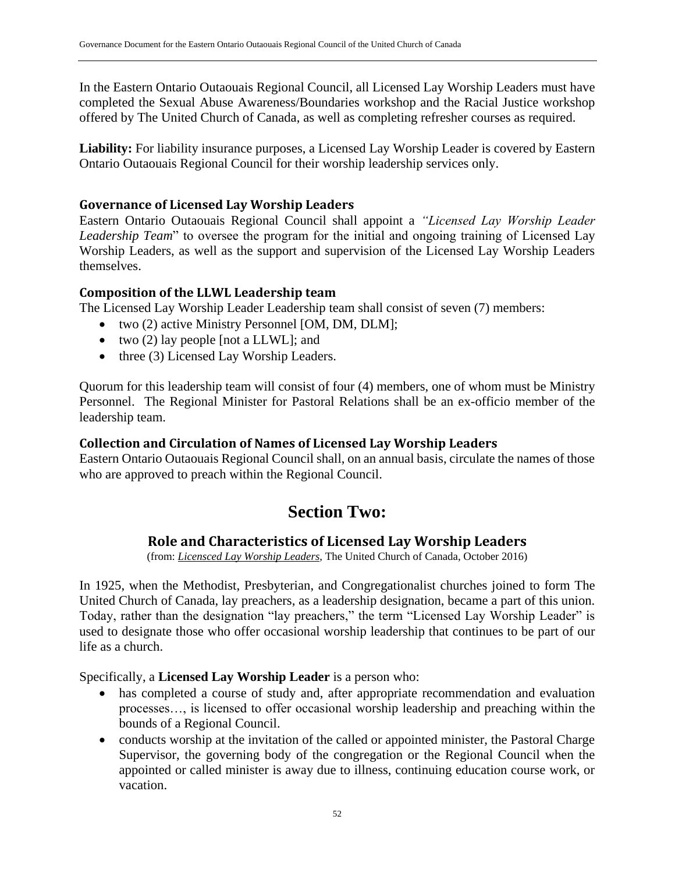In the Eastern Ontario Outaouais Regional Council, all Licensed Lay Worship Leaders must have completed the Sexual Abuse Awareness/Boundaries workshop and the Racial Justice workshop offered by The United Church of Canada, as well as completing refresher courses as required.

**Liability:** For liability insurance purposes, a Licensed Lay Worship Leader is covered by Eastern Ontario Outaouais Regional Council for their worship leadership services only.

#### <span id="page-52-0"></span>**Governance of Licensed Lay Worship Leaders**

Eastern Ontario Outaouais Regional Council shall appoint a *"Licensed Lay Worship Leader Leadership Team*" to oversee the program for the initial and ongoing training of Licensed Lay Worship Leaders, as well as the support and supervision of the Licensed Lay Worship Leaders themselves.

#### <span id="page-52-1"></span>**Composition of the LLWL Leadership team**

The Licensed Lay Worship Leader Leadership team shall consist of seven (7) members:

- two (2) active Ministry Personnel [OM, DM, DLM];
- two (2) lay people [not a LLWL]; and
- three (3) Licensed Lay Worship Leaders.

Quorum for this leadership team will consist of four (4) members, one of whom must be Ministry Personnel. The Regional Minister for Pastoral Relations shall be an ex-officio member of the leadership team.

#### <span id="page-52-2"></span>**Collection and Circulation of Names of Licensed Lay Worship Leaders**

Eastern Ontario Outaouais Regional Council shall, on an annual basis, circulate the names of those who are approved to preach within the Regional Council.

## **Section Two:**

#### **Role and Characteristics of Licensed Lay Worship Leaders**

(from: *Licensced Lay Worship Leaders*, The United Church of Canada, October 2016)

<span id="page-52-3"></span>In 1925, when the Methodist, Presbyterian, and Congregationalist churches joined to form The United Church of Canada, lay preachers, as a leadership designation, became a part of this union. Today, rather than the designation "lay preachers," the term "Licensed Lay Worship Leader" is used to designate those who offer occasional worship leadership that continues to be part of our life as a church.

Specifically, a **Licensed Lay Worship Leader** is a person who:

- has completed a course of study and, after appropriate recommendation and evaluation processes…, is licensed to offer occasional worship leadership and preaching within the bounds of a Regional Council.
- conducts worship at the invitation of the called or appointed minister, the Pastoral Charge Supervisor, the governing body of the congregation or the Regional Council when the appointed or called minister is away due to illness, continuing education course work, or vacation.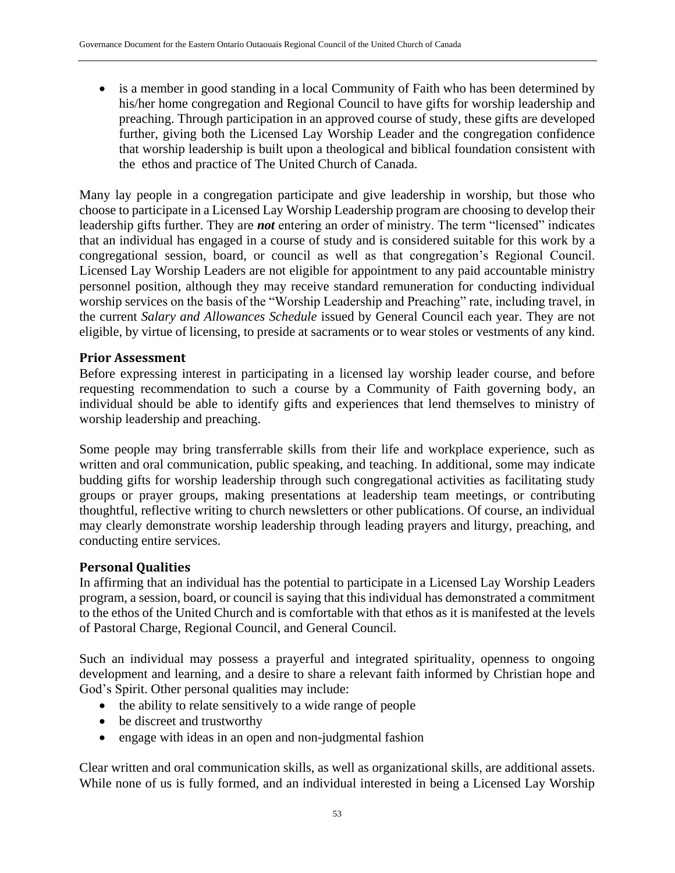• is a member in good standing in a local Community of Faith who has been determined by his/her home congregation and Regional Council to have gifts for worship leadership and preaching. Through participation in an approved course of study, these gifts are developed further, giving both the Licensed Lay Worship Leader and the congregation confidence that worship leadership is built upon a theological and biblical foundation consistent with the ethos and practice of The United Church of Canada.

Many lay people in a congregation participate and give leadership in worship, but those who choose to participate in a Licensed Lay Worship Leadership program are choosing to develop their leadership gifts further. They are *not* entering an order of ministry. The term "licensed" indicates that an individual has engaged in a course of study and is considered suitable for this work by a congregational session, board, or council as well as that congregation's Regional Council. Licensed Lay Worship Leaders are not eligible for appointment to any paid accountable ministry personnel position, although they may receive standard remuneration for conducting individual worship services on the basis of the "Worship Leadership and Preaching" rate, including travel, in the current *Salary and Allowances Schedule* issued by General Council each year. They are not eligible, by virtue of licensing, to preside at sacraments or to wear stoles or vestments of any kind.

#### <span id="page-53-0"></span>**Prior Assessment**

Before expressing interest in participating in a licensed lay worship leader course, and before requesting recommendation to such a course by a Community of Faith governing body, an individual should be able to identify gifts and experiences that lend themselves to ministry of worship leadership and preaching.

Some people may bring transferrable skills from their life and workplace experience, such as written and oral communication, public speaking, and teaching. In additional, some may indicate budding gifts for worship leadership through such congregational activities as facilitating study groups or prayer groups, making presentations at leadership team meetings, or contributing thoughtful, reflective writing to church newsletters or other publications. Of course, an individual may clearly demonstrate worship leadership through leading prayers and liturgy, preaching, and conducting entire services.

#### <span id="page-53-1"></span>**Personal Qualities**

In affirming that an individual has the potential to participate in a Licensed Lay Worship Leaders program, a session, board, or council is saying that this individual has demonstrated a commitment to the ethos of the United Church and is comfortable with that ethos as it is manifested at the levels of Pastoral Charge, Regional Council, and General Council.

Such an individual may possess a prayerful and integrated spirituality, openness to ongoing development and learning, and a desire to share a relevant faith informed by Christian hope and God's Spirit. Other personal qualities may include:

- the ability to relate sensitively to a wide range of people
- be discreet and trustworthy
- engage with ideas in an open and non-judgmental fashion

Clear written and oral communication skills, as well as organizational skills, are additional assets. While none of us is fully formed, and an individual interested in being a Licensed Lay Worship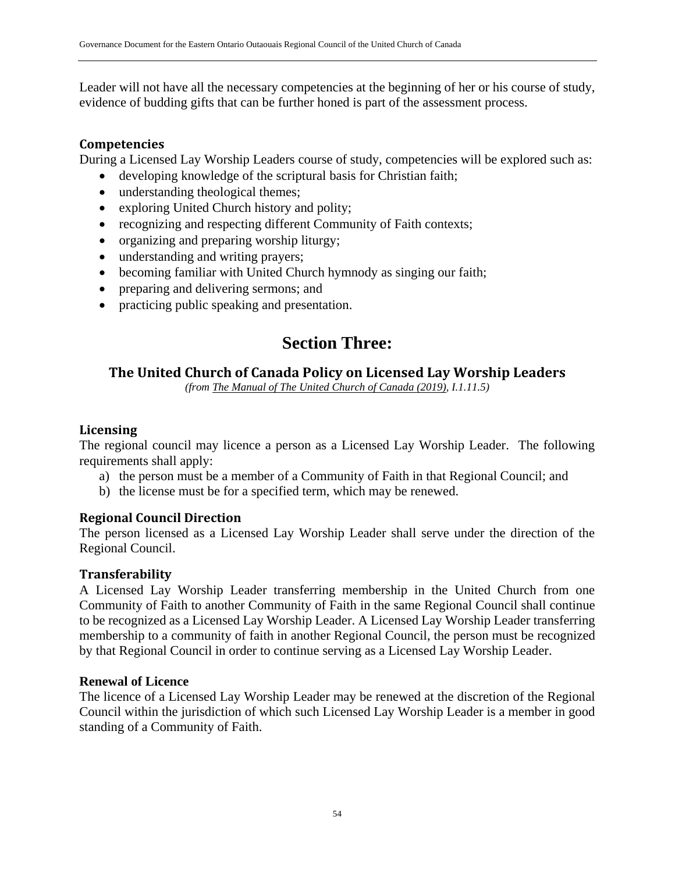Leader will not have all the necessary competencies at the beginning of her or his course of study, evidence of budding gifts that can be further honed is part of the assessment process.

#### <span id="page-54-0"></span>**Competencies**

During a Licensed Lay Worship Leaders course of study, competencies will be explored such as:

- developing knowledge of the scriptural basis for Christian faith;
- understanding theological themes;
- exploring United Church history and polity;
- recognizing and respecting different Community of Faith contexts;
- organizing and preparing worship liturgy;
- understanding and writing prayers;
- becoming familiar with United Church hymnody as singing our faith;
- preparing and delivering sermons; and
- practicing public speaking and presentation.

# **Section Three:**

## <span id="page-54-1"></span>**The United Church of Canada Policy on Licensed Lay Worship Leaders**

*(from The Manual of The United Church of Canada (2019), I.1.11.5)*

#### <span id="page-54-2"></span>**Licensing**

The regional council may licence a person as a Licensed Lay Worship Leader. The following requirements shall apply:

- a) the person must be a member of a Community of Faith in that Regional Council; and
- b) the license must be for a specified term, which may be renewed.

#### <span id="page-54-3"></span>**Regional Council Direction**

The person licensed as a Licensed Lay Worship Leader shall serve under the direction of the Regional Council.

#### <span id="page-54-4"></span>**Transferability**

A Licensed Lay Worship Leader transferring membership in the United Church from one Community of Faith to another Community of Faith in the same Regional Council shall continue to be recognized as a Licensed Lay Worship Leader. A Licensed Lay Worship Leader transferring membership to a community of faith in another Regional Council, the person must be recognized by that Regional Council in order to continue serving as a Licensed Lay Worship Leader.

#### **Renewal of Licence**

The licence of a Licensed Lay Worship Leader may be renewed at the discretion of the Regional Council within the jurisdiction of which such Licensed Lay Worship Leader is a member in good standing of a Community of Faith.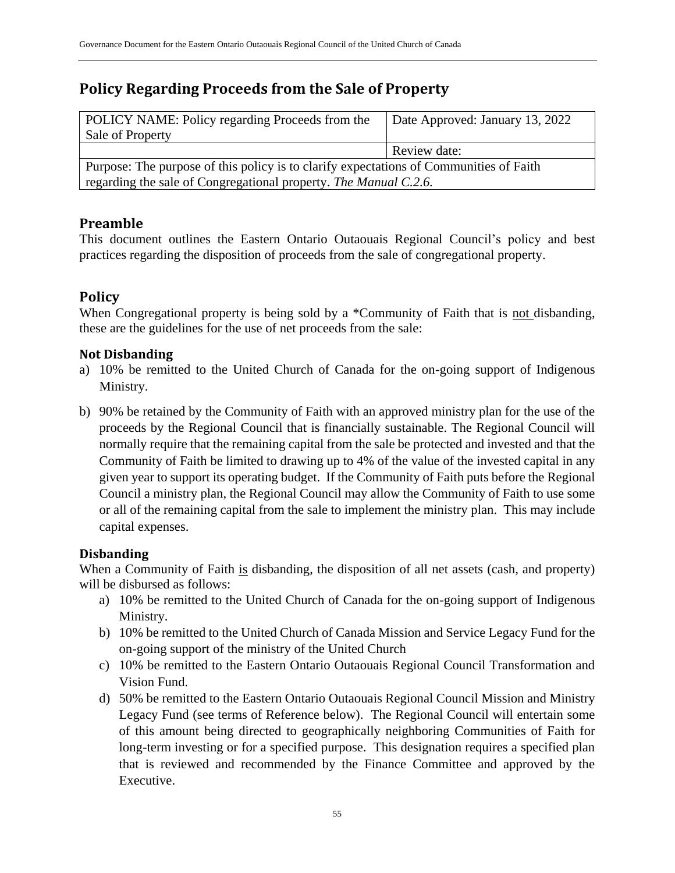## <span id="page-55-0"></span>**Policy Regarding Proceeds from the Sale of Property**

| POLICY NAME: Policy regarding Proceeds from the<br>Sale of Property                    | Date Approved: January 13, 2022 |
|----------------------------------------------------------------------------------------|---------------------------------|
|                                                                                        | Review date:                    |
| Purpose: The purpose of this policy is to clarify expectations of Communities of Faith |                                 |
| regarding the sale of Congregational property. The Manual C.2.6.                       |                                 |

## <span id="page-55-1"></span>**Preamble**

This document outlines the Eastern Ontario Outaouais Regional Council's policy and best practices regarding the disposition of proceeds from the sale of congregational property.

## <span id="page-55-2"></span>**Policy**

When Congregational property is being sold by a \*Community of Faith that is not disbanding, these are the guidelines for the use of net proceeds from the sale:

## <span id="page-55-3"></span>**Not Disbanding**

- a) 10% be remitted to the United Church of Canada for the on-going support of Indigenous Ministry.
- b) 90% be retained by the Community of Faith with an approved ministry plan for the use of the proceeds by the Regional Council that is financially sustainable. The Regional Council will normally require that the remaining capital from the sale be protected and invested and that the Community of Faith be limited to drawing up to 4% of the value of the invested capital in any given year to support its operating budget. If the Community of Faith puts before the Regional Council a ministry plan, the Regional Council may allow the Community of Faith to use some or all of the remaining capital from the sale to implement the ministry plan. This may include capital expenses.

## <span id="page-55-4"></span>**Disbanding**

When a Community of Faith is disbanding, the disposition of all net assets (cash, and property) will be disbursed as follows:

- a) 10% be remitted to the United Church of Canada for the on-going support of Indigenous Ministry.
- b) 10% be remitted to the United Church of Canada Mission and Service Legacy Fund for the on-going support of the ministry of the United Church
- c) 10% be remitted to the Eastern Ontario Outaouais Regional Council Transformation and Vision Fund.
- d) 50% be remitted to the Eastern Ontario Outaouais Regional Council Mission and Ministry Legacy Fund (see terms of Reference below). The Regional Council will entertain some of this amount being directed to geographically neighboring Communities of Faith for long-term investing or for a specified purpose. This designation requires a specified plan that is reviewed and recommended by the Finance Committee and approved by the Executive.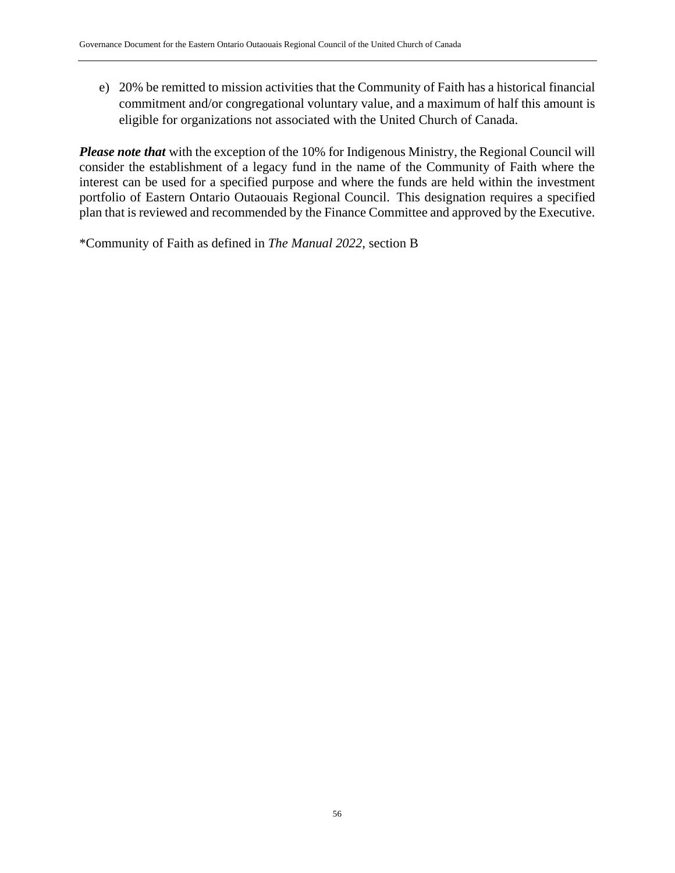e) 20% be remitted to mission activities that the Community of Faith has a historical financial commitment and/or congregational voluntary value, and a maximum of half this amount is eligible for organizations not associated with the United Church of Canada.

*Please note that* with the exception of the 10% for Indigenous Ministry, the Regional Council will consider the establishment of a legacy fund in the name of the Community of Faith where the interest can be used for a specified purpose and where the funds are held within the investment portfolio of Eastern Ontario Outaouais Regional Council. This designation requires a specified plan that is reviewed and recommended by the Finance Committee and approved by the Executive.

\*Community of Faith as defined in *The Manual 2022*, section B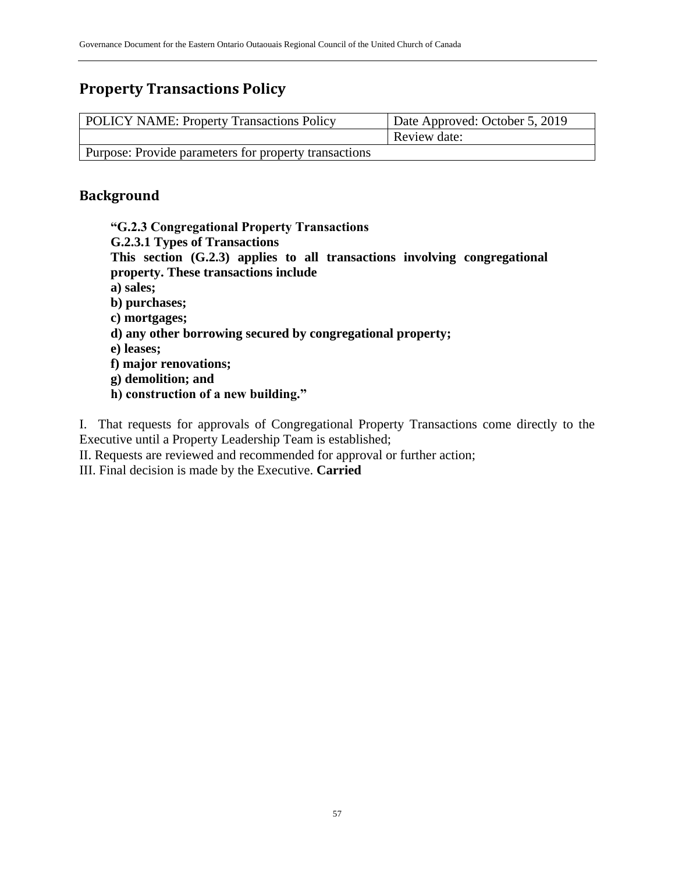## <span id="page-57-0"></span>**Property Transactions Policy**

| <b>POLICY NAME: Property Transactions Policy</b>      | Date Approved: October 5, 2019 |
|-------------------------------------------------------|--------------------------------|
|                                                       | Review date:                   |
| Purpose: Provide parameters for property transactions |                                |

#### <span id="page-57-1"></span>**Background**

**"G.2.3 Congregational Property Transactions G.2.3.1 Types of Transactions This section (G.2.3) applies to all transactions involving congregational property. These transactions include a) sales; b) purchases; c) mortgages; d) any other borrowing secured by congregational property; e) leases; f) major renovations; g) demolition; and h) construction of a new building."**

I. That requests for approvals of Congregational Property Transactions come directly to the Executive until a Property Leadership Team is established;

II. Requests are reviewed and recommended for approval or further action;

III. Final decision is made by the Executive. **Carried**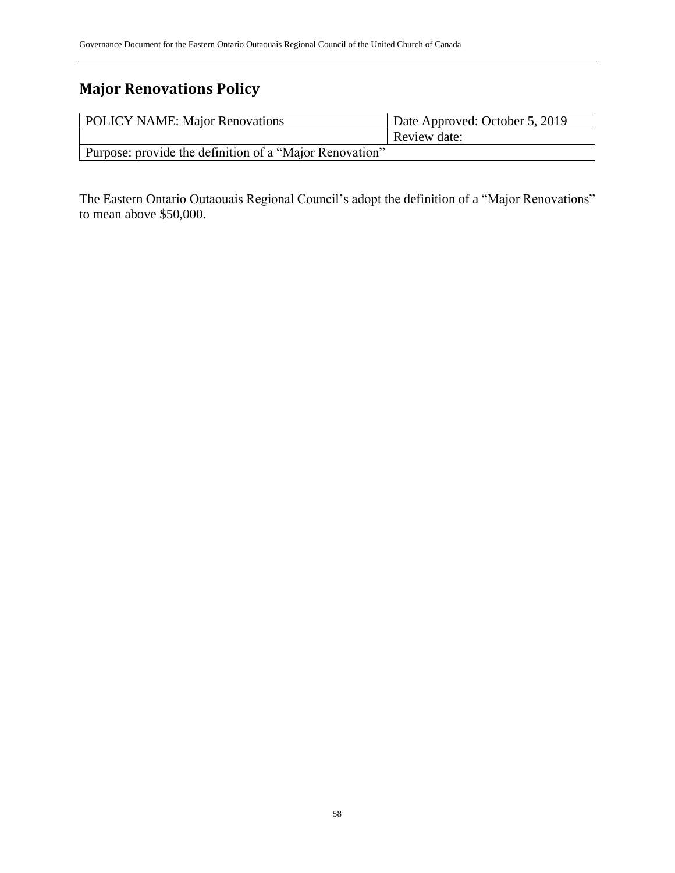# <span id="page-58-0"></span>**Major Renovations Policy**

| <b>POLICY NAME: Major Renovations</b>                   | Date Approved: October 5, 2019 |
|---------------------------------------------------------|--------------------------------|
|                                                         | Review date:                   |
| Purpose: provide the definition of a "Major Renovation" |                                |

The Eastern Ontario Outaouais Regional Council's adopt the definition of a "Major Renovations" to mean above \$50,000.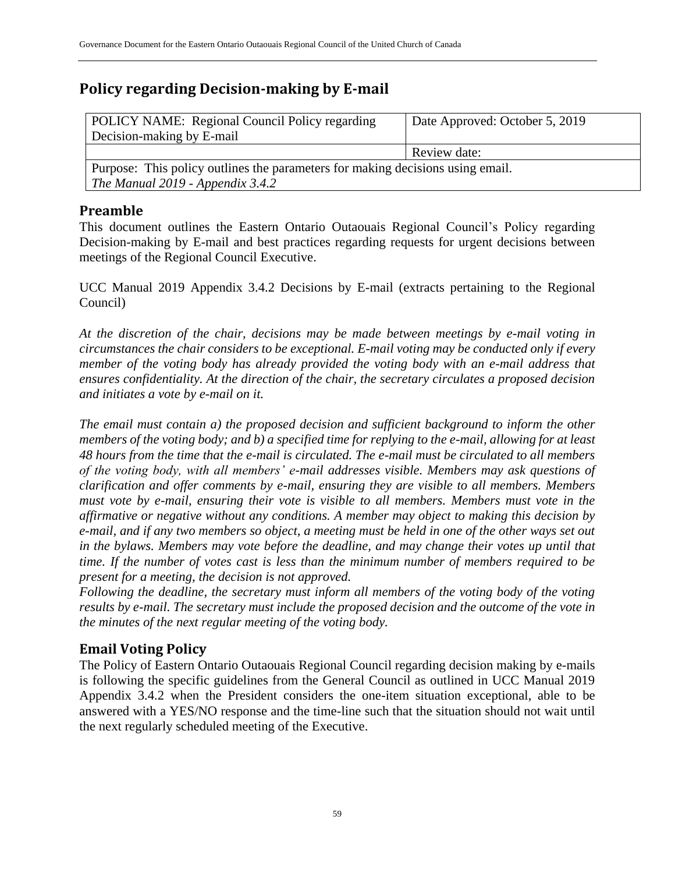## <span id="page-59-0"></span>**Policy regarding Decision-making by E-mail**

| POLICY NAME: Regional Council Policy regarding                                 | Date Approved: October 5, 2019 |
|--------------------------------------------------------------------------------|--------------------------------|
| Decision-making by E-mail                                                      |                                |
|                                                                                | Review date:                   |
| Purpose: This policy outlines the parameters for making decisions using email. |                                |
| The Manual $2019$ - Appendix 3.4.2                                             |                                |

## <span id="page-59-1"></span>**Preamble**

This document outlines the Eastern Ontario Outaouais Regional Council's Policy regarding Decision-making by E-mail and best practices regarding requests for urgent decisions between meetings of the Regional Council Executive.

UCC Manual 2019 Appendix 3.4.2 Decisions by E-mail (extracts pertaining to the Regional Council)

*At the discretion of the chair, decisions may be made between meetings by e-mail voting in circumstances the chair considers to be exceptional. E-mail voting may be conducted only if every member of the voting body has already provided the voting body with an e-mail address that ensures confidentiality. At the direction of the chair, the secretary circulates a proposed decision and initiates a vote by e-mail on it.* 

*The email must contain a) the proposed decision and sufficient background to inform the other members of the voting body; and b) a specified time for replying to the e-mail, allowing for at least 48 hours from the time that the e-mail is circulated. The e-mail must be circulated to all members of the voting body, with all members' e-mail addresses visible. Members may ask questions of clarification and offer comments by e-mail, ensuring they are visible to all members. Members must vote by e-mail, ensuring their vote is visible to all members. Members must vote in the affirmative or negative without any conditions. A member may object to making this decision by e-mail, and if any two members so object, a meeting must be held in one of the other ways set out in the bylaws. Members may vote before the deadline, and may change their votes up until that time. If the number of votes cast is less than the minimum number of members required to be present for a meeting, the decision is not approved.*

*Following the deadline, the secretary must inform all members of the voting body of the voting results by e-mail. The secretary must include the proposed decision and the outcome of the vote in the minutes of the next regular meeting of the voting body.*

## <span id="page-59-2"></span>**Email Voting Policy**

The Policy of Eastern Ontario Outaouais Regional Council regarding decision making by e-mails is following the specific guidelines from the General Council as outlined in UCC Manual 2019 Appendix 3.4.2 when the President considers the one-item situation exceptional, able to be answered with a YES/NO response and the time-line such that the situation should not wait until the next regularly scheduled meeting of the Executive.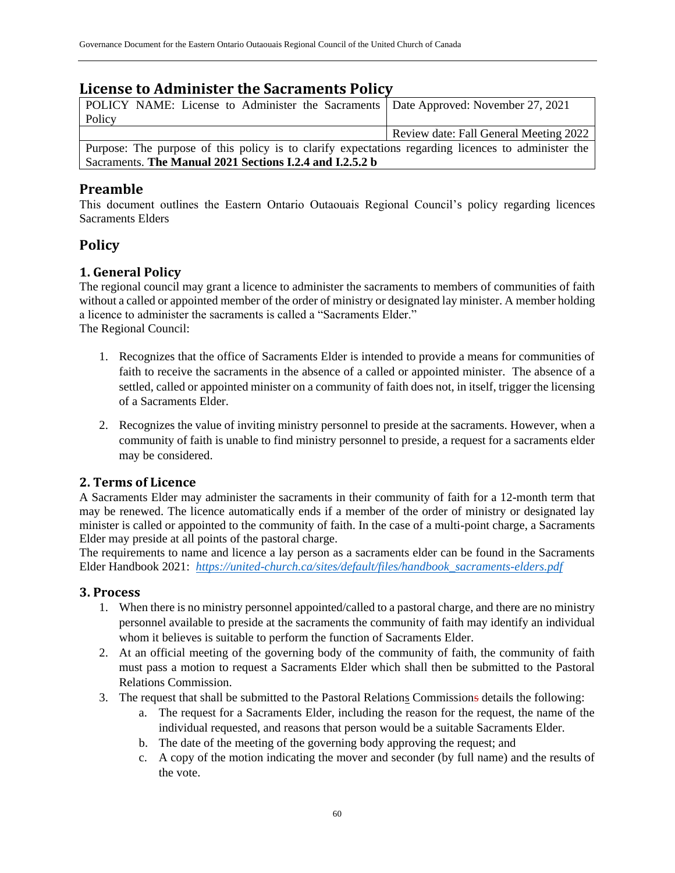#### <span id="page-60-0"></span>**License to Administer the Sacraments Policy**

| POLICY NAME: License to Administer the Sacraments Date Approved: November 27, 2021                  |                                        |
|-----------------------------------------------------------------------------------------------------|----------------------------------------|
| Policy                                                                                              |                                        |
|                                                                                                     | Review date: Fall General Meeting 2022 |
| Purpose: The purpose of this policy is to clarify expectations regarding licences to administer the |                                        |
| Sacraments. The Manual 2021 Sections I.2.4 and I.2.5.2 b                                            |                                        |

#### <span id="page-60-1"></span>**Preamble**

This document outlines the Eastern Ontario Outaouais Regional Council's policy regarding licences Sacraments Elders

#### <span id="page-60-2"></span>**Policy**

#### <span id="page-60-3"></span>**1. General Policy**

The regional council may grant a licence to administer the sacraments to members of communities of faith without a called or appointed member of the order of ministry or designated lay minister. A member holding a licence to administer the sacraments is called a "Sacraments Elder." The Regional Council:

- 1. Recognizes that the office of Sacraments Elder is intended to provide a means for communities of faith to receive the sacraments in the absence of a called or appointed minister. The absence of a settled, called or appointed minister on a community of faith does not, in itself, trigger the licensing of a Sacraments Elder.
- 2. Recognizes the value of inviting ministry personnel to preside at the sacraments. However, when a community of faith is unable to find ministry personnel to preside, a request for a sacraments elder may be considered.

#### <span id="page-60-4"></span>**2. Terms of Licence**

A Sacraments Elder may administer the sacraments in their community of faith for a 12-month term that may be renewed. The licence automatically ends if a member of the order of ministry or designated lay minister is called or appointed to the community of faith. In the case of a multi-point charge, a Sacraments Elder may preside at all points of the pastoral charge.

The requirements to name and licence a lay person as a sacraments elder can be found in the Sacraments Elder Handbook 2021: *[https://united-church.ca/sites/default/files/handbook\\_sacraments-elders.pdf](about:blank)*

#### <span id="page-60-5"></span>**3. Process**

- 1. When there is no ministry personnel appointed/called to a pastoral charge, and there are no ministry personnel available to preside at the sacraments the community of faith may identify an individual whom it believes is suitable to perform the function of Sacraments Elder.
- 2. At an official meeting of the governing body of the community of faith, the community of faith must pass a motion to request a Sacraments Elder which shall then be submitted to the Pastoral Relations Commission.
- 3. The request that shall be submitted to the Pastoral Relations Commissions details the following:
	- a. The request for a Sacraments Elder, including the reason for the request, the name of the individual requested, and reasons that person would be a suitable Sacraments Elder.
	- b. The date of the meeting of the governing body approving the request; and
	- c. A copy of the motion indicating the mover and seconder (by full name) and the results of the vote.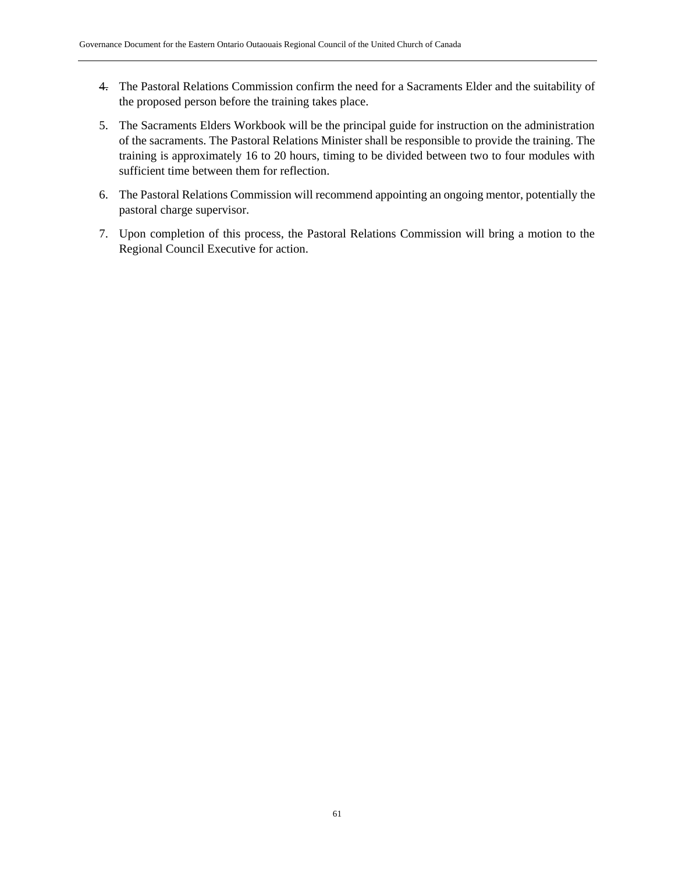- 4. The Pastoral Relations Commission confirm the need for a Sacraments Elder and the suitability of the proposed person before the training takes place.
- 5. The Sacraments Elders Workbook will be the principal guide for instruction on the administration of the sacraments. The Pastoral Relations Minister shall be responsible to provide the training. The training is approximately 16 to 20 hours, timing to be divided between two to four modules with sufficient time between them for reflection.
- 6. The Pastoral Relations Commission will recommend appointing an ongoing mentor, potentially the pastoral charge supervisor.
- 7. Upon completion of this process, the Pastoral Relations Commission will bring a motion to the Regional Council Executive for action.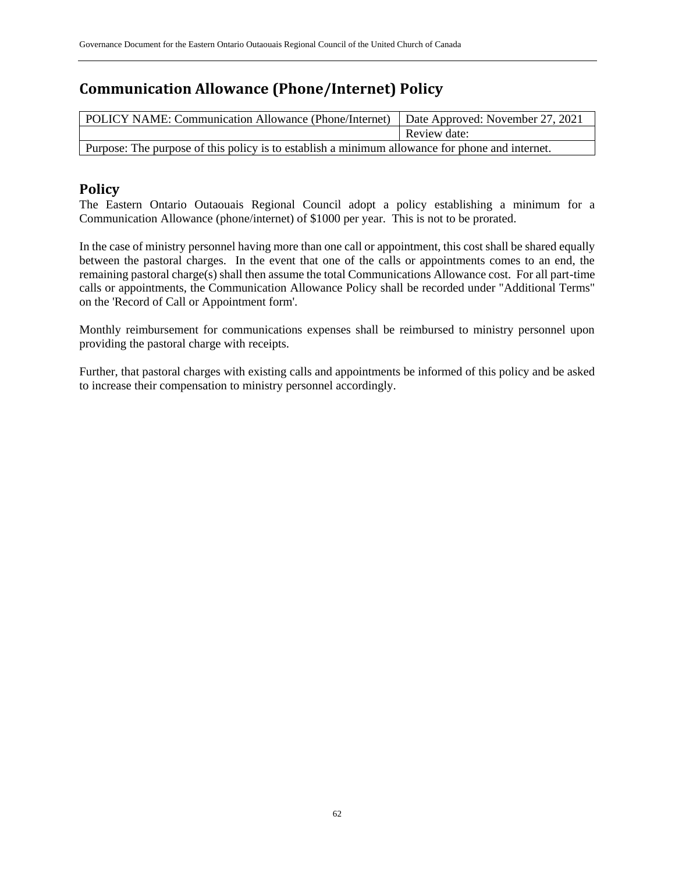## <span id="page-62-0"></span>**Communication Allowance (Phone/Internet) Policy**

| POLICY NAME: Communication Allowance (Phone/Internet)   Date Approved: November 27, 2021        |              |
|-------------------------------------------------------------------------------------------------|--------------|
|                                                                                                 | Review date: |
| Purpose: The purpose of this policy is to establish a minimum allowance for phone and internet. |              |

#### <span id="page-62-1"></span>**Policy**

The Eastern Ontario Outaouais Regional Council adopt a policy establishing a minimum for a Communication Allowance (phone/internet) of \$1000 per year. This is not to be prorated.

In the case of ministry personnel having more than one call or appointment, this cost shall be shared equally between the pastoral charges. In the event that one of the calls or appointments comes to an end, the remaining pastoral charge(s) shall then assume the total Communications Allowance cost. For all part-time calls or appointments, the Communication Allowance Policy shall be recorded under "Additional Terms" on the 'Record of Call or Appointment form'.

Monthly reimbursement for communications expenses shall be reimbursed to ministry personnel upon providing the pastoral charge with receipts.

Further, that pastoral charges with existing calls and appointments be informed of this policy and be asked to increase their compensation to ministry personnel accordingly.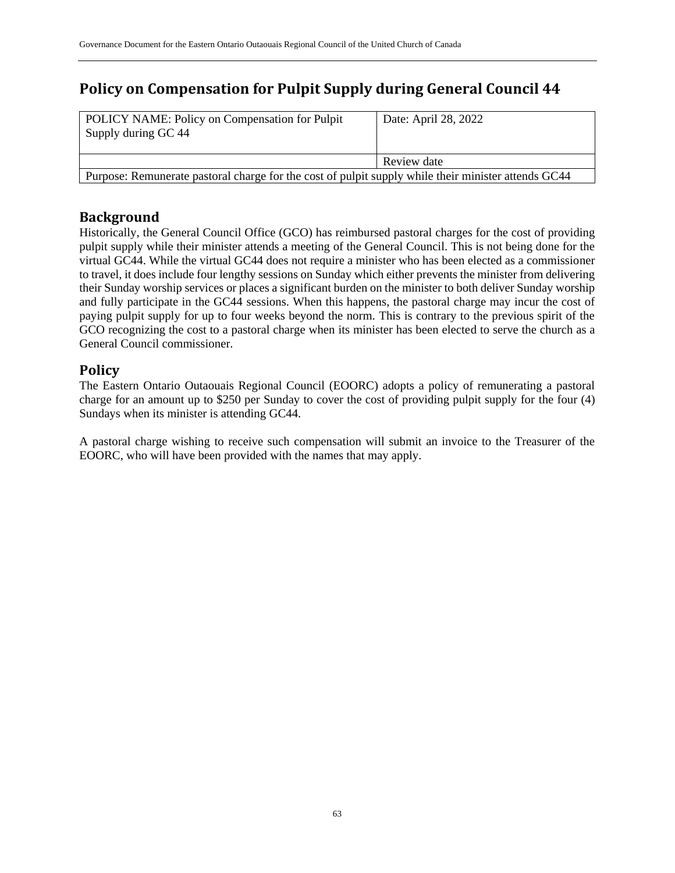## <span id="page-63-0"></span>**Policy on Compensation for Pulpit Supply during General Council 44**

| <b>POLICY NAME: Policy on Compensation for Pulpit</b><br>Supply during GC 44                        | Date: April 28, 2022 |
|-----------------------------------------------------------------------------------------------------|----------------------|
|                                                                                                     | Review date          |
| Purpose: Remunerate pastoral charge for the cost of pulpit supply while their minister attends GC44 |                      |

#### <span id="page-63-1"></span>**Background**

Historically, the General Council Office (GCO) has reimbursed pastoral charges for the cost of providing pulpit supply while their minister attends a meeting of the General Council. This is not being done for the virtual GC44. While the virtual GC44 does not require a minister who has been elected as a commissioner to travel, it does include four lengthy sessions on Sunday which either prevents the minister from delivering their Sunday worship services or places a significant burden on the minister to both deliver Sunday worship and fully participate in the GC44 sessions. When this happens, the pastoral charge may incur the cost of paying pulpit supply for up to four weeks beyond the norm. This is contrary to the previous spirit of the GCO recognizing the cost to a pastoral charge when its minister has been elected to serve the church as a General Council commissioner.

#### <span id="page-63-2"></span>**Policy**

The Eastern Ontario Outaouais Regional Council (EOORC) adopts a policy of remunerating a pastoral charge for an amount up to \$250 per Sunday to cover the cost of providing pulpit supply for the four (4) Sundays when its minister is attending GC44.

A pastoral charge wishing to receive such compensation will submit an invoice to the Treasurer of the EOORC, who will have been provided with the names that may apply.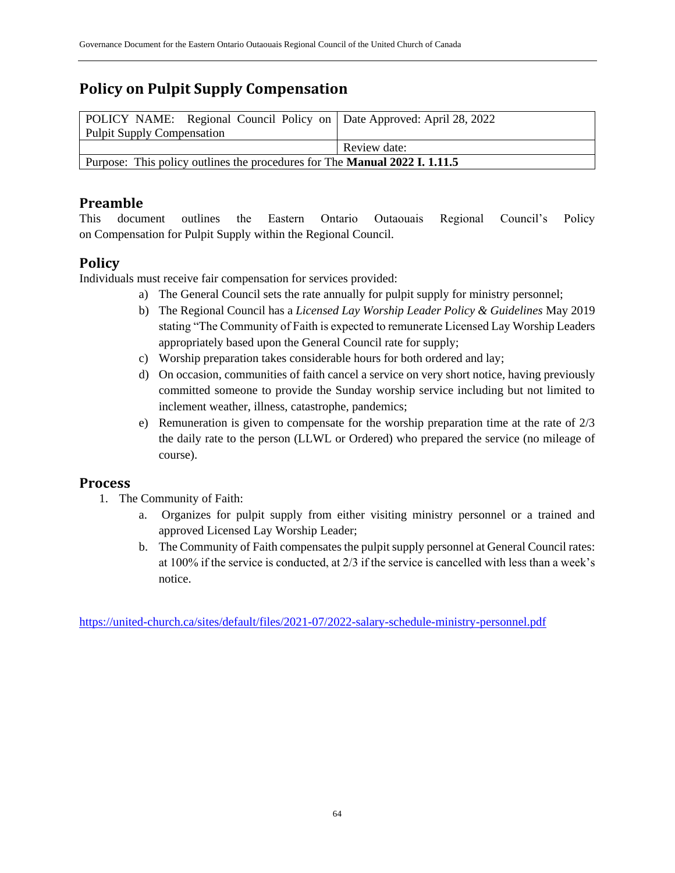## <span id="page-64-0"></span>**Policy on Pulpit Supply Compensation**

| POLICY NAME: Regional Council Policy on   Date Approved: April 28, 2022           |              |
|-----------------------------------------------------------------------------------|--------------|
| <b>Pulpit Supply Compensation</b>                                                 |              |
|                                                                                   | Review date: |
| Purpose: This policy outlines the procedures for The <b>Manual 2022 I. 1.11.5</b> |              |

#### <span id="page-64-1"></span>**Preamble**

This document outlines the Eastern Ontario Outaouais Regional Council's Policy on Compensation for Pulpit Supply within the Regional Council.

#### <span id="page-64-2"></span>**Policy**

Individuals must receive fair compensation for services provided:

- a) The General Council sets the rate annually for pulpit supply for ministry personnel;
- b) The Regional Council has a *Licensed Lay Worship Leader Policy & Guidelines* May 2019 stating "The Community of Faith is expected to remunerate Licensed Lay Worship Leaders appropriately based upon the General Council rate for supply;
- c) Worship preparation takes considerable hours for both ordered and lay;
- d) On occasion, communities of faith cancel a service on very short notice, having previously committed someone to provide the Sunday worship service including but not limited to inclement weather, illness, catastrophe, pandemics;
- e) Remuneration is given to compensate for the worship preparation time at the rate of 2/3 the daily rate to the person (LLWL or Ordered) who prepared the service (no mileage of course).

#### <span id="page-64-3"></span>**Process**

- 1. The Community of Faith:
	- a. Organizes for pulpit supply from either visiting ministry personnel or a trained and approved Licensed Lay Worship Leader;
	- b. The Community of Faith compensates the pulpit supply personnel at General Council rates: at 100% if the service is conducted, at 2/3 if the service is cancelled with less than a week's notice.

<https://united-church.ca/sites/default/files/2021-07/2022-salary-schedule-ministry-personnel.pdf>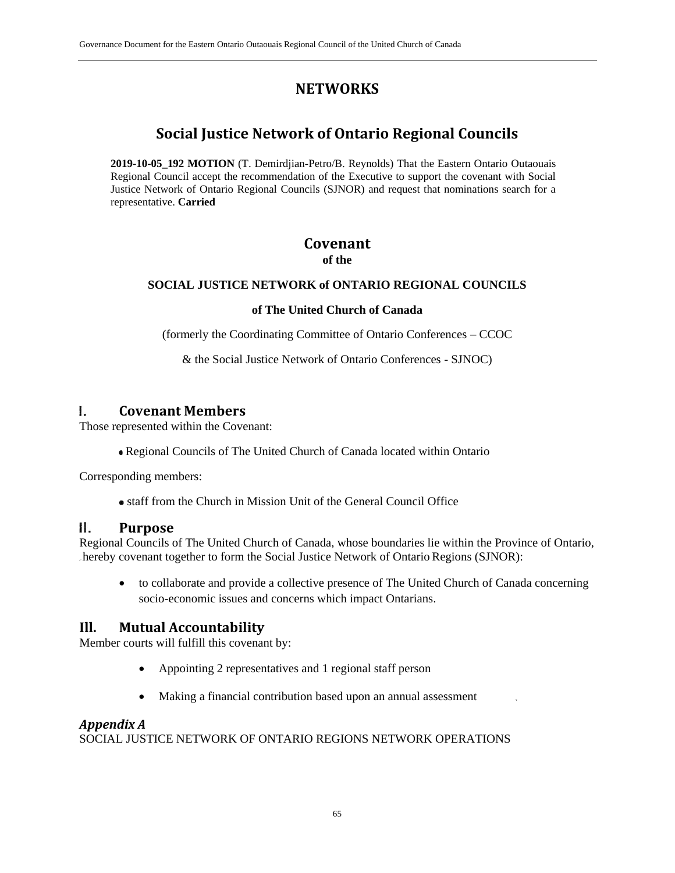## **NETWORKS**

## **Social Justice Network of Ontario Regional Councils**

<span id="page-65-2"></span><span id="page-65-1"></span><span id="page-65-0"></span>**2019-10-05\_192 MOTION** (T. Demirdjian-Petro/B. Reynolds) That the Eastern Ontario Outaouais Regional Council accept the recommendation of the Executive to support the covenant with Social Justice Network of Ontario Regional Councils (SJNOR) and request that nominations search for a representative. **Carried**

#### **Covenant of the**

#### **SOCIAL JUSTICE NETWORK of ONTARIO REGIONAL COUNCILS**

#### **of The United Church of Canada**

(formerly the Coordinating Committee of Ontario Conferences – CCOC

& the Social Justice Network of Ontario Conferences - SJNOC)

#### <span id="page-65-3"></span>L **Covenant Members**

Those represented within the Covenant:

Regional Councils of The United Church of Canada located within Ontario

Corresponding members:

staff from the Church in Mission Unit of the General Council Office

#### <span id="page-65-4"></span>Η. **Purpose**

Regional Councils of The United Church of Canada, whose boundaries lie within the Province of Ontario, hereby covenant together to form the Social Justice Network of Ontario Regions (SJNOR):

• to collaborate and provide a collective presence of The United Church of Canada concerning socio-economic issues and concerns which impact Ontarians.

#### <span id="page-65-5"></span>**Ill. Mutual Accountability**

Member courts will fulfill this covenant by:

- Appointing 2 representatives and 1 regional staff person
- Making a financial contribution based upon an annual assessment

#### *Appendix A*

SOCIAL JUSTICE NETWORK OF ONTARIO REGIONS NETWORK OPERATIONS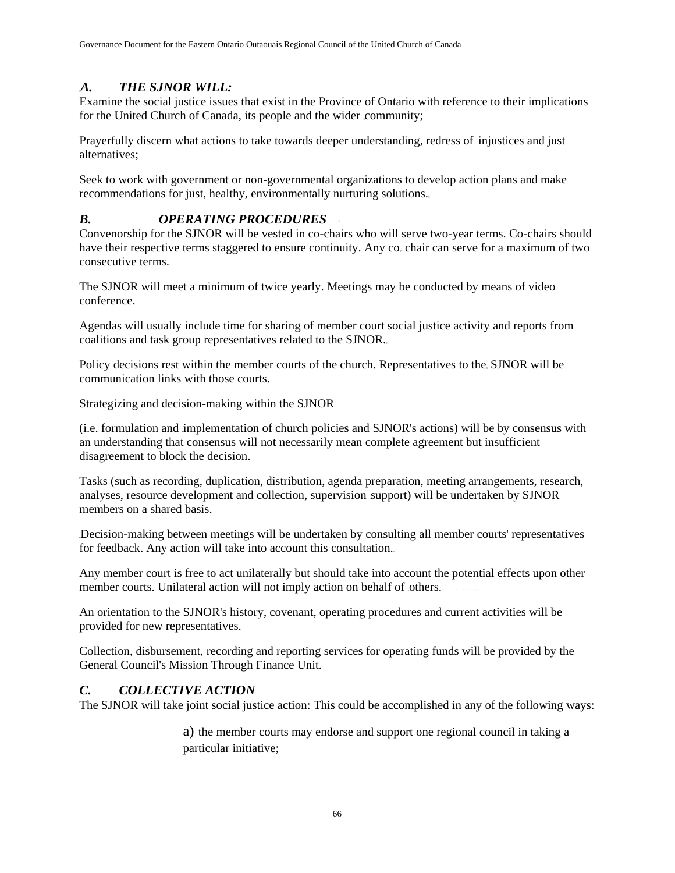#### *A. THE SJNOR WILL:*

Examine the social justice issues that exist in the Province of Ontario with reference to their implications for the United Church of Canada, its people and the wider community;

Prayerfully discern what actions to take towards deeper understanding, redress of injustices and just alternatives;

Seek to work with government or non-governmental organizations to develop action plans and make recommendations for just, healthy, environmentally nurturing solutions.

#### *B. OPERATING PROCEDURES*

Convenorship for the SJNOR will be vested in co-chairs who will serve two-year terms. Co-chairs should have their respective terms staggered to ensure continuity. Any co. chair can serve for a maximum of two consecutive terms.

The SJNOR will meet a minimum of twice yearly. Meetings may be conducted by means of video conference.

Agendas will usually include time for sharing of member court social justice activity and reports from coalitions and task group representatives related to the SJNOR.

Policy decisions rest within the member courts of the church. Representatives to the SJNOR will be communication links with those courts.

Strategizing and decision-making within the SJNOR

(i.e. formulation and implementation of church policies and SJNOR's actions) will be by consensus with an understanding that consensus will not necessarily mean complete agreement but insufficient disagreement to block the decision.

Tasks (such as recording, duplication, distribution, agenda preparation, meeting arrangements, research, analyses, resource development and collection, supervision support) will be undertaken by SJNOR members on a shared basis.

Decision-making between meetings will be undertaken by consulting all member courts' representatives for feedback. Any action will take into account this consultation.

Any member court is free to act unilaterally but should take into account the potential effects upon other member courts. Unilateral action will not imply action on behalf of others.

An orientation to the SJNOR's history, covenant, operating procedures and current activities will be provided for new representatives.

Collection, disbursement, recording and reporting services for operating funds will be provided by the General Council's Mission Through Finance Unit.

#### *C. COLLECTIVE ACTION*

The SJNOR will take joint social justice action: This could be accomplished in any of the following ways:

a) the member courts may endorse and support one regional council in taking a particular initiative;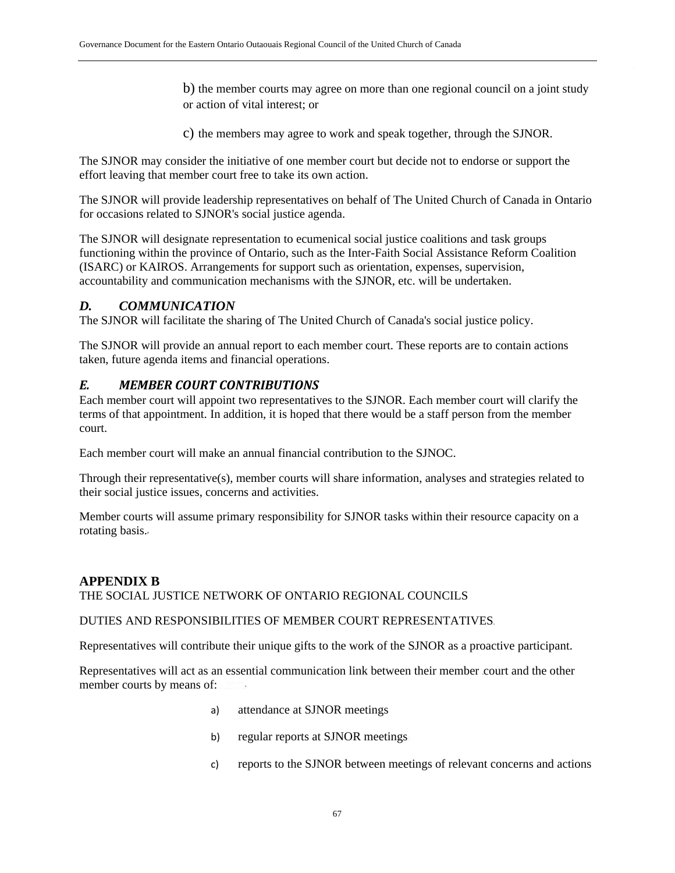b) the member courts may agree on more than one regional council on a joint study or action of vital interest; or

c) the members may agree to work and speak together, through the SJNOR.

The SJNOR may consider the initiative of one member court but decide not to endorse or support the effort leaving that member court free to take its own action.

The SJNOR will provide leadership representatives on behalf of The United Church of Canada in Ontario for occasions related to SJNOR's social justice agenda.

The SJNOR will designate representation to ecumenical social justice coalitions and task groups functioning within the province of Ontario, such as the Inter-Faith Social Assistance Reform Coalition (ISARC) or KAIROS. Arrangements for support such as orientation, expenses, supervision, accountability and communication mechanisms with the SJNOR, etc. will be undertaken.

#### *D. COMMUNICATION*

The SJNOR will facilitate the sharing of The United Church of Canada's social justice policy.

The SJNOR will provide an annual report to each member court. These reports are to contain actions taken, future agenda items and financial operations.

#### *E. MEMBER COURT CONTRIBUTIONS*

Each member court will appoint two representatives to the SJNOR. Each member court will clarify the terms of that appointment. In addition, it is hoped that there would be a staff person from the member court.

Each member court will make an annual financial contribution to the SJNOC.

Through their representative(s), member courts will share information, analyses and strategies related to their social justice issues, concerns and activities.

Member courts will assume primary responsibility for SJNOR tasks within their resource capacity on a rotating basis.

#### <span id="page-67-0"></span>**APPENDIX B** THE SOCIAL JUSTICE NETWORK OF ONTARIO REGIONAL COUNCILS

#### DUTIES AND RESPONSIBILITIES OF MEMBER COURT REPRESENTATIVES

Representatives will contribute their unique gifts to the work of the SJNOR as a proactive participant.

Representatives will act as an essential communication link between their member court and the other member courts by means of:

- a) attendance at SJNOR meetings
- b) regular reports at SJNOR meetings
- c) reports to the SJNOR between meetings of relevant concerns and actions